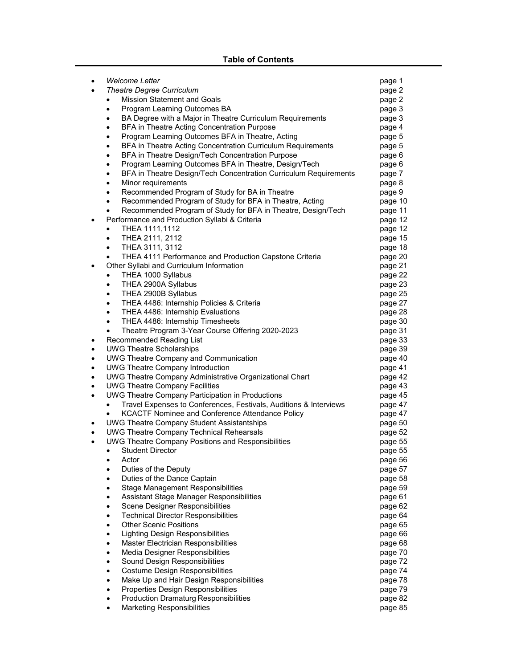# **Table of Contents**

| ٠         | <b>Welcome Letter</b>                                                         | page 1  |
|-----------|-------------------------------------------------------------------------------|---------|
|           | <b>Theatre Degree Curriculum</b>                                              | page 2  |
|           | Mission Statement and Goals                                                   | page 2  |
|           | Program Learning Outcomes BA<br>٠                                             | page 3  |
|           | BA Degree with a Major in Theatre Curriculum Requirements                     | page 3  |
|           | BFA in Theatre Acting Concentration Purpose<br>$\bullet$                      | page 4  |
|           | Program Learning Outcomes BFA in Theatre, Acting<br>$\bullet$                 | page 5  |
|           | BFA in Theatre Acting Concentration Curriculum Requirements<br>$\bullet$      | page 5  |
|           | BFA in Theatre Design/Tech Concentration Purpose<br>٠                         | page 6  |
|           | Program Learning Outcomes BFA in Theatre, Design/Tech<br>٠                    | page 6  |
|           | BFA in Theatre Design/Tech Concentration Curriculum Requirements<br>$\bullet$ | page 7  |
|           | Minor requirements<br>$\bullet$                                               | page 8  |
|           | Recommended Program of Study for BA in Theatre<br>٠                           | page 9  |
|           | Recommended Program of Study for BFA in Theatre, Acting<br>٠                  | page 10 |
|           | Recommended Program of Study for BFA in Theatre, Design/Tech                  | page 11 |
|           | Performance and Production Syllabi & Criteria                                 | page 12 |
|           | THEA 1111,1112<br>$\bullet$                                                   | page 12 |
|           | THEA 2111, 2112<br>٠                                                          | page 15 |
|           | THEA 3111, 3112<br>٠                                                          | page 18 |
|           | THEA 4111 Performance and Production Capstone Criteria                        | page 20 |
|           | Other Syllabi and Curriculum Information                                      | page 21 |
|           | THEA 1000 Syllabus<br>$\bullet$                                               | page 22 |
|           | THEA 2900A Syllabus<br>$\bullet$                                              | page 23 |
|           | THEA 2900B Syllabus<br>٠                                                      | page 25 |
|           | THEA 4486: Internship Policies & Criteria<br>٠                                | page 27 |
|           | THEA 4486: Internship Evaluations<br>٠                                        | page 28 |
|           | THEA 4486: Internship Timesheets<br>٠                                         | page 30 |
|           | Theatre Program 3-Year Course Offering 2020-2023<br>$\bullet$                 | page 31 |
| ٠         | Recommended Reading List                                                      | page 33 |
| ٠         | <b>UWG Theatre Scholarships</b>                                               | page 39 |
| ٠         | <b>UWG Theatre Company and Communication</b>                                  | page 40 |
|           | <b>UWG Theatre Company Introduction</b>                                       | page 41 |
|           | UWG Theatre Company Administrative Organizational Chart                       | page 42 |
| $\bullet$ | <b>UWG Theatre Company Facilities</b>                                         | page 43 |
| $\bullet$ | <b>UWG Theatre Company Participation in Productions</b>                       | page 45 |
|           | Travel Expenses to Conferences, Festivals, Auditions & Interviews             | page 47 |
|           | KCACTF Nominee and Conference Attendance Policy                               | page 47 |
|           | <b>UWG Theatre Company Student Assistantships</b>                             | page 50 |
|           | <b>UWG Theatre Company Technical Rehearsals</b>                               | page 52 |
| $\bullet$ | UWG Theatre Company Positions and Responsibilities                            | page 55 |
|           | $\bullet$ Student Director                                                    | page 55 |
|           | Actor<br>٠                                                                    | page 56 |
|           | Duties of the Deputy                                                          | page 57 |
|           | Duties of the Dance Captain<br>٠                                              | page 58 |
|           | <b>Stage Management Responsibilities</b><br>٠                                 | page 59 |
|           | Assistant Stage Manager Responsibilities<br>$\bullet$                         | page 61 |
|           | <b>Scene Designer Responsibilities</b><br>٠                                   | page 62 |
|           | <b>Technical Director Responsibilities</b><br>٠                               | page 64 |
|           | <b>Other Scenic Positions</b><br>٠                                            | page 65 |
|           | <b>Lighting Design Responsibilities</b><br>٠                                  | page 66 |
|           | Master Electrician Responsibilities                                           | page 68 |
|           | Media Designer Responsibilities<br>٠                                          | page 70 |
|           | Sound Design Responsibilities<br>٠                                            | page 72 |
|           | <b>Costume Design Responsibilities</b><br>٠                                   | page 74 |
|           | Make Up and Hair Design Responsibilities<br>٠                                 | page 78 |
|           | Properties Design Responsibilities<br>$\bullet$                               | page 79 |
|           | <b>Production Dramaturg Responsibilities</b><br>٠                             | page 82 |
|           | <b>Marketing Responsibilities</b><br>٠                                        | page 85 |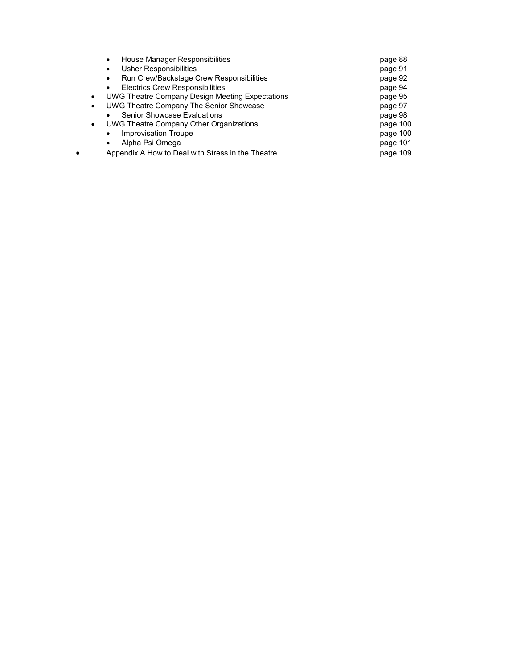| page 88  |
|----------|
| page 91  |
| page 92  |
| page 94  |
| page 95  |
| page 97  |
| page 98  |
| page 100 |
| page 100 |
| page 101 |
| page 109 |
|          |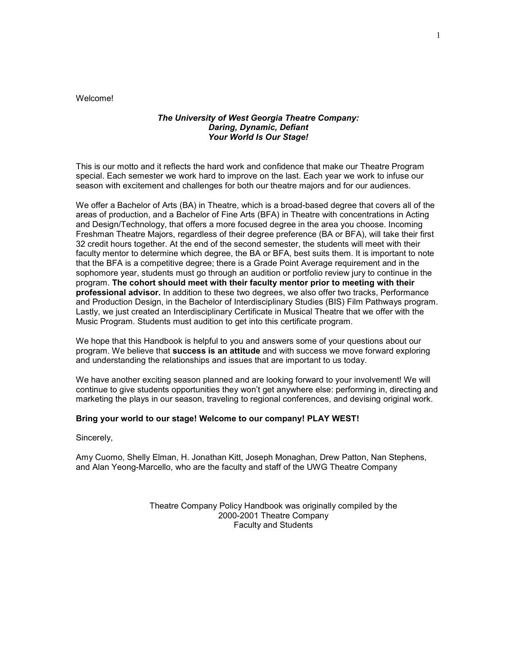Welcome!

#### *The University of West Georgia Theatre Company: Daring, Dynamic, Defiant Your World Is Our Stage!*

This is our motto and it reflects the hard work and confidence that make our Theatre Program special. Each semester we work hard to improve on the last. Each year we work to infuse our season with excitement and challenges for both our theatre majors and for our audiences.

We offer a Bachelor of Arts (BA) in Theatre, which is a broad-based degree that covers all of the areas of production, and a Bachelor of Fine Arts (BFA) in Theatre with concentrations in Acting and Design/Technology, that offers a more focused degree in the area you choose. Incoming Freshman Theatre Majors, regardless of their degree preference (BA or BFA), will take their first 32 credit hours together. At the end of the second semester, the students will meet with their faculty mentor to determine which degree, the BA or BFA, best suits them. It is important to note that the BFA is a competitive degree; there is a Grade Point Average requirement and in the sophomore year, students must go through an audition or portfolio review jury to continue in the program. **The cohort should meet with their faculty mentor prior to meeting with their professional advisor.** In addition to these two degrees, we also offer two tracks, Performance and Production Design, in the Bachelor of Interdisciplinary Studies (BIS) Film Pathways program. Lastly, we just created an Interdisciplinary Certificate in Musical Theatre that we offer with the Music Program. Students must audition to get into this certificate program.

We hope that this Handbook is helpful to you and answers some of your questions about our program. We believe that **success is an attitude** and with success we move forward exploring and understanding the relationships and issues that are important to us today.

We have another exciting season planned and are looking forward to your involvement! We will continue to give students opportunities they won't get anywhere else: performing in, directing and marketing the plays in our season, traveling to regional conferences, and devising original work.

#### **Bring your world to our stage! Welcome to our company! PLAY WEST!**

Sincerely,

Amy Cuomo, Shelly Elman, H. Jonathan Kitt, Joseph Monaghan, Drew Patton, Nan Stephens, and Alan Yeong-Marcello, who are the faculty and staff of the UWG Theatre Company

> Theatre Company Policy Handbook was originally compiled by the 2000-2001 Theatre Company Faculty and Students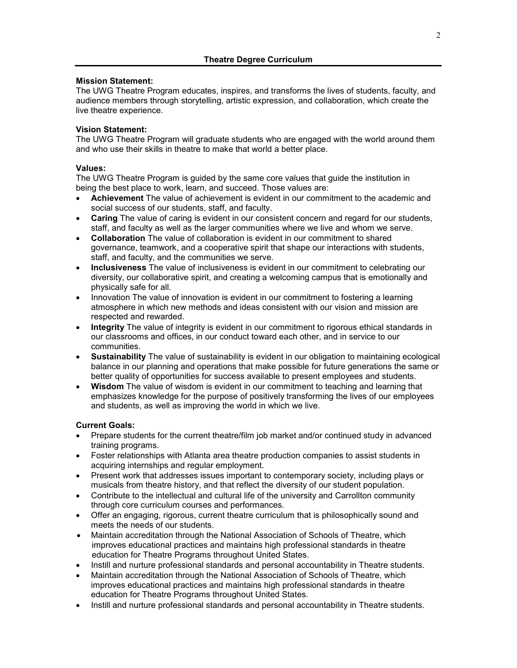### **Mission Statement:**

The UWG Theatre Program educates, inspires, and transforms the lives of students, faculty, and audience members through storytelling, artistic expression, and collaboration, which create the live theatre experience.

### **Vision Statement:**

The UWG Theatre Program will graduate students who are engaged with the world around them and who use their skills in theatre to make that world a better place.

# **Values:**

The UWG Theatre Program is guided by the same core values that guide the institution in being the best place to work, learn, and succeed. Those values are:

- **Achievement** The value of achievement is evident in our commitment to the academic and social success of our students, staff, and faculty.
- **Caring** The value of caring is evident in our consistent concern and regard for our students, staff, and faculty as well as the larger communities where we live and whom we serve.
- **Collaboration** The value of collaboration is evident in our commitment to shared governance, teamwork, and a cooperative spirit that shape our interactions with students, staff, and faculty, and the communities we serve.
- **Inclusiveness** The value of inclusiveness is evident in our commitment to celebrating our diversity, our collaborative spirit, and creating a welcoming campus that is emotionally and physically safe for all.
- Innovation The value of innovation is evident in our commitment to fostering a learning atmosphere in which new methods and ideas consistent with our vision and mission are respected and rewarded.
- **Integrity** The value of integrity is evident in our commitment to rigorous ethical standards in our classrooms and offices, in our conduct toward each other, and in service to our communities.
- **Sustainability** The value of sustainability is evident in our obligation to maintaining ecological balance in our planning and operations that make possible for future generations the same or better quality of opportunities for success available to present employees and students.
- **Wisdom** The value of wisdom is evident in our commitment to teaching and learning that emphasizes knowledge for the purpose of positively transforming the lives of our employees and students, as well as improving the world in which we live.

# **Current Goals:**

- Prepare students for the current theatre/film job market and/or continued study in advanced training programs.
- Foster relationships with Atlanta area theatre production companies to assist students in acquiring internships and regular employment.
- Present work that addresses issues important to contemporary society, including plays or musicals from theatre history, and that reflect the diversity of our student population.
- Contribute to the intellectual and cultural life of the university and Carrollton community through core curriculum courses and performances.
- Offer an engaging, rigorous, current theatre curriculum that is philosophically sound and meets the needs of our students.
- Maintain accreditation through the National Association of Schools of Theatre, which improves educational practices and maintains high professional standards in theatre education for Theatre Programs throughout United States.
- Instill and nurture professional standards and personal accountability in Theatre students.
- Maintain accreditation through the National Association of Schools of Theatre, which improves educational practices and maintains high professional standards in theatre education for Theatre Programs throughout United States.
- Instill and nurture professional standards and personal accountability in Theatre students.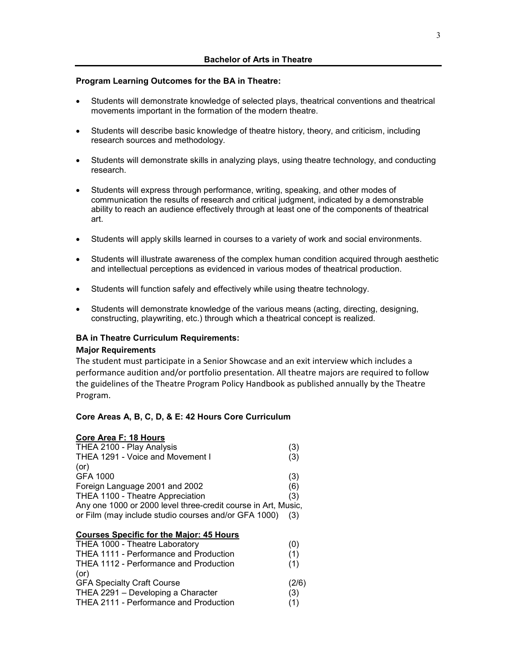#### **Program Learning Outcomes for the BA in Theatre:**

- Students will demonstrate knowledge of selected plays, theatrical conventions and theatrical movements important in the formation of the modern theatre.
- Students will describe basic knowledge of theatre history, theory, and criticism, including research sources and methodology.
- Students will demonstrate skills in analyzing plays, using theatre technology, and conducting research.
- Students will express through performance, writing, speaking, and other modes of communication the results of research and critical judgment, indicated by a demonstrable ability to reach an audience effectively through at least one of the components of theatrical art.
- Students will apply skills learned in courses to a variety of work and social environments.
- Students will illustrate awareness of the complex human condition acquired through aesthetic and intellectual perceptions as evidenced in various modes of theatrical production.
- Students will function safely and effectively while using theatre technology.
- Students will demonstrate knowledge of the various means (acting, directing, designing, constructing, playwriting, etc.) through which a theatrical concept is realized.

#### **BA in Theatre Curriculum Requirements:**

#### **Major Requirements**

The student must participate in a Senior Showcase and an exit interview which includes a performance audition and/or portfolio presentation. All theatre majors are required to follow the guidelines of the Theatre Program Policy Handbook as published annually by the Theatre Program.

#### **Core Areas A, B, C, D, & E: 42 Hours Core Curriculum**

#### **Core Area F: 18 Hours**

| THEA 2100 - Play Analysis                                     | (3) |
|---------------------------------------------------------------|-----|
| THEA 1291 - Voice and Movement I                              | (3) |
| (or)                                                          |     |
| GFA 1000                                                      | (3) |
| Foreign Language 2001 and 2002                                | (6) |
| THEA 1100 - Theatre Appreciation                              | (3) |
| Any one 1000 or 2000 level three-credit course in Art, Music, |     |
| or Film (may include studio courses and/or GFA 1000)          | (3) |
|                                                               |     |

#### **Courses Specific for the Major: 45 Hours**

| THEA 1000 - Theatre Laboratory                |       |
|-----------------------------------------------|-------|
| THEA 1111 - Performance and Production        | (1)   |
| <b>THEA 1112 - Performance and Production</b> | (1)   |
| (or)                                          |       |
| <b>GFA Specialty Craft Course</b>             | (2/6) |
| THEA 2291 - Developing a Character            | (3)   |
| THEA 2111 - Performance and Production        | (1)   |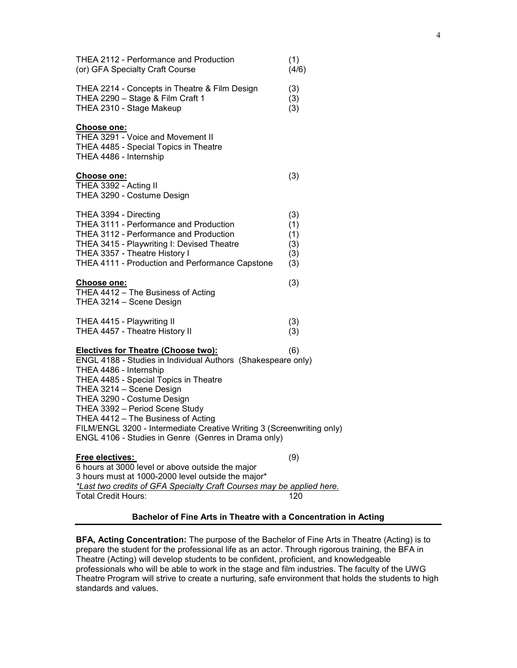| THEA 2112 - Performance and Production<br>(or) GFA Specialty Craft Course                                                                                                                                                                                                                                                                                                                                                                       | (1)<br>(4/6)                           |
|-------------------------------------------------------------------------------------------------------------------------------------------------------------------------------------------------------------------------------------------------------------------------------------------------------------------------------------------------------------------------------------------------------------------------------------------------|----------------------------------------|
| THEA 2214 - Concepts in Theatre & Film Design<br>THEA 2290 - Stage & Film Craft 1<br>THEA 2310 - Stage Makeup                                                                                                                                                                                                                                                                                                                                   | (3)<br>(3)<br>(3)                      |
| <b>Choose one:</b><br>THEA 3291 - Voice and Movement II<br>THEA 4485 - Special Topics in Theatre<br>THEA 4486 - Internship                                                                                                                                                                                                                                                                                                                      |                                        |
| <b>Choose one:</b><br>THEA 3392 - Acting II<br>THEA 3290 - Costume Design                                                                                                                                                                                                                                                                                                                                                                       | (3)                                    |
| THEA 3394 - Directing<br><b>THEA 3111 - Performance and Production</b><br>THEA 3112 - Performance and Production<br>THEA 3415 - Playwriting I: Devised Theatre<br>THEA 3357 - Theatre History I<br>THEA 4111 - Production and Performance Capstone                                                                                                                                                                                              | (3)<br>(1)<br>(1)<br>(3)<br>(3)<br>(3) |
| <b>Choose one:</b><br>THEA 4412 - The Business of Acting<br>THEA 3214 - Scene Design                                                                                                                                                                                                                                                                                                                                                            | (3)                                    |
| THEA 4415 - Playwriting II<br>THEA 4457 - Theatre History II                                                                                                                                                                                                                                                                                                                                                                                    | (3)<br>(3)                             |
| <b>Electives for Theatre (Choose two):</b><br>ENGL 4188 - Studies in Individual Authors (Shakespeare only)<br>THEA 4486 - Internship<br>THEA 4485 - Special Topics in Theatre<br>THEA 3214 - Scene Design<br>THEA 3290 - Costume Design<br>THEA 3392 - Period Scene Study<br>THEA 4412 - The Business of Acting<br>FILM/ENGL 3200 - Intermediate Creative Writing 3 (Screenwriting only)<br>ENGL 4106 - Studies in Genre (Genres in Drama only) | (6)                                    |
| Free electives:<br>6 hours at 3000 level or above outside the major<br>3 hours must at 1000-2000 level outside the major*<br>*Last two credits of GFA Specialty Craft Courses may be applied here.<br><b>Total Credit Hours:</b>                                                                                                                                                                                                                | (9)<br>120                             |
|                                                                                                                                                                                                                                                                                                                                                                                                                                                 |                                        |

# **Bachelor of Fine Arts in Theatre with a Concentration in Acting**

**BFA, Acting Concentration:** The purpose of the Bachelor of Fine Arts in Theatre (Acting) is to prepare the student for the professional life as an actor. Through rigorous training, the BFA in Theatre (Acting) will develop students to be confident, proficient, and knowledgeable professionals who will be able to work in the stage and film industries. The faculty of the UWG Theatre Program will strive to create a nurturing, safe environment that holds the students to high standards and values.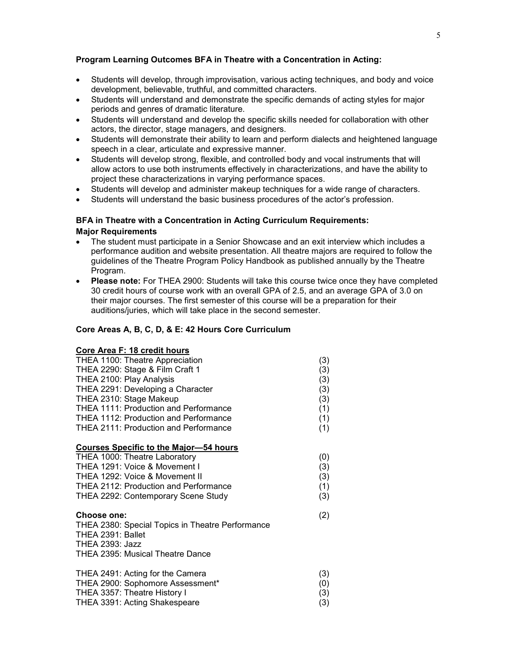### **Program Learning Outcomes BFA in Theatre with a Concentration in Acting:**

- Students will develop, through improvisation, various acting techniques, and body and voice development, believable, truthful, and committed characters.
- Students will understand and demonstrate the specific demands of acting styles for major periods and genres of dramatic literature.
- Students will understand and develop the specific skills needed for collaboration with other actors, the director, stage managers, and designers.
- Students will demonstrate their ability to learn and perform dialects and heightened language speech in a clear, articulate and expressive manner.
- Students will develop strong, flexible, and controlled body and vocal instruments that will allow actors to use both instruments effectively in characterizations, and have the ability to project these characterizations in varying performance spaces.
- Students will develop and administer makeup techniques for a wide range of characters.
- Students will understand the basic business procedures of the actor's profession.

### **BFA in Theatre with a Concentration in Acting Curriculum Requirements: Major Requirements**

- The student must participate in a Senior Showcase and an exit interview which includes a performance audition and website presentation. All theatre majors are required to follow the guidelines of the Theatre Program Policy Handbook as published annually by the Theatre Program.
- **Please note:** For THEA 2900: Students will take this course twice once they have completed 30 credit hours of course work with an overall GPA of 2.5, and an average GPA of 3.0 on their major courses. The first semester of this course will be a preparation for their auditions/juries, which will take place in the second semester.

#### **Core Areas A, B, C, D, & E: 42 Hours Core Curriculum**

### **Core Area F: 18 credit hours**

| THEA 1100: Theatre Appreciation                  | (3) |
|--------------------------------------------------|-----|
| THEA 2290: Stage & Film Craft 1                  | (3) |
| THEA 2100: Play Analysis                         | (3) |
| THEA 2291: Developing a Character                | (3) |
| THEA 2310: Stage Makeup                          | (3) |
| THEA 1111: Production and Performance            | (1) |
| THEA 1112: Production and Performance            | (1) |
| <b>THEA 2111: Production and Performance</b>     | (1) |
| <b>Courses Specific to the Major-54 hours</b>    |     |
| THEA 1000: Theatre Laboratory                    | (0) |
| THEA 1291: Voice & Movement I                    | (3) |
| THEA 1292: Voice & Movement II                   | (3) |
| THEA 2112: Production and Performance            | (1) |
| THEA 2292: Contemporary Scene Study              | (3) |
| Choose one:                                      | (2) |
| THEA 2380: Special Topics in Theatre Performance |     |
| THEA 2391: Ballet                                |     |
| THEA 2393: Jazz                                  |     |
| THEA 2395: Musical Theatre Dance                 |     |
| THEA 2491: Acting for the Camera                 | (3) |
| THEA 2900: Sophomore Assessment*                 | (0) |
| THEA 3357: Theatre History I                     | (3) |
| THEA 3391: Acting Shakespeare                    | (3) |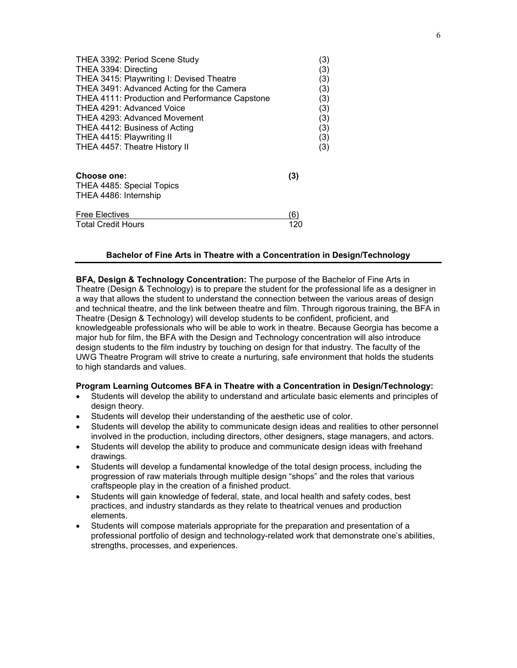| THEA 3392: Period Scene Study                  |     | (3) |
|------------------------------------------------|-----|-----|
| THEA 3394: Directing                           |     | (3) |
| THEA 3415: Playwriting I: Devised Theatre      |     | (3) |
| THEA 3491: Advanced Acting for the Camera      |     | (3) |
| THEA 4111: Production and Performance Capstone |     | (3) |
| THEA 4291: Advanced Voice                      |     | (3) |
| THEA 4293: Advanced Movement                   |     | (3) |
| THEA 4412: Business of Acting                  |     | (3) |
| THEA 4415: Playwriting II                      |     | (3) |
| THEA 4457: Theatre History II                  |     | (3) |
| Choose one:                                    | (3) |     |
| THEA 4485: Special Topics                      |     |     |
| THEA 4486: Internship                          |     |     |
| <b>Free Electives</b>                          | '6) |     |
| <b>Total Credit Hours</b>                      | 120 |     |

### **Bachelor of Fine Arts in Theatre with a Concentration in Design/Technology**

**BFA, Design & Technology Concentration:** The purpose of the Bachelor of Fine Arts in Theatre (Design & Technology) is to prepare the student for the professional life as a designer in a way that allows the student to understand the connection between the various areas of design and technical theatre, and the link between theatre and film. Through rigorous training, the BFA in Theatre (Design & Technology) will develop students to be confident, proficient, and knowledgeable professionals who will be able to work in theatre. Because Georgia has become a major hub for film, the BFA with the Design and Technology concentration will also introduce design students to the film industry by touching on design for that industry. The faculty of the UWG Theatre Program will strive to create a nurturing, safe environment that holds the students to high standards and values.

#### **Program Learning Outcomes BFA in Theatre with a Concentration in Design/Technology:**

- Students will develop the ability to understand and articulate basic elements and principles of design theory.
- Students will develop their understanding of the aesthetic use of color.
- Students will develop the ability to communicate design ideas and realities to other personnel involved in the production, including directors, other designers, stage managers, and actors.
- Students will develop the ability to produce and communicate design ideas with freehand drawings.
- Students will develop a fundamental knowledge of the total design process, including the progression of raw materials through multiple design "shops" and the roles that various craftspeople play in the creation of a finished product.
- Students will gain knowledge of federal, state, and local health and safety codes, best practices, and industry standards as they relate to theatrical venues and production elements.
- Students will compose materials appropriate for the preparation and presentation of a professional portfolio of design and technology-related work that demonstrate one's abilities, strengths, processes, and experiences.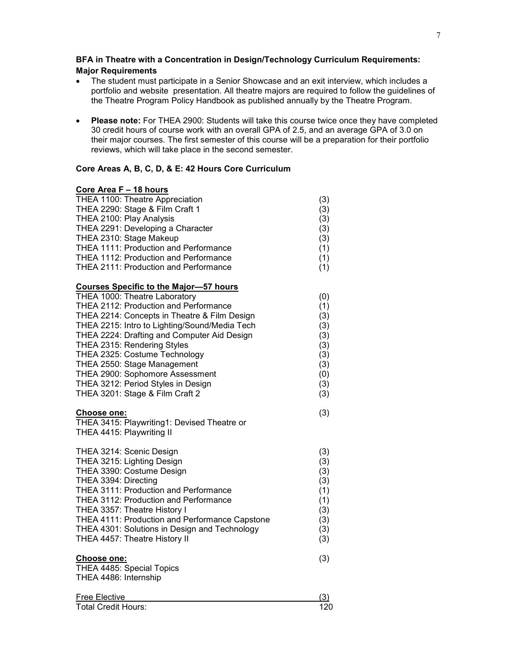# **BFA in Theatre with a Concentration in Design/Technology Curriculum Requirements: Major Requirements**

- The student must participate in a Senior Showcase and an exit interview, which includes a portfolio and website presentation. All theatre majors are required to follow the guidelines of the Theatre Program Policy Handbook as published annually by the Theatre Program.
- **Please note:** For THEA 2900: Students will take this course twice once they have completed 30 credit hours of course work with an overall GPA of 2.5, and an average GPA of 3.0 on their major courses. The first semester of this course will be a preparation for their portfolio reviews, which will take place in the second semester.

#### **Core Areas A, B, C, D, & E: 42 Hours Core Curriculum**

# **Core Area F – 18 hours**

| THEA 1100: Theatre Appreciation                    | (3)        |
|----------------------------------------------------|------------|
| THEA 2290: Stage & Film Craft 1                    | (3)        |
| THEA 2100: Play Analysis                           | (3)        |
| THEA 2291: Developing a Character                  | (3)        |
| THEA 2310: Stage Makeup                            | (3)        |
| THEA 1111: Production and Performance              | (1)        |
| THEA 1112: Production and Performance              | (1)        |
| THEA 2111: Production and Performance              | (1)        |
| <b>Courses Specific to the Major-57 hours</b>      |            |
| THEA 1000: Theatre Laboratory                      | (0)        |
| THEA 2112: Production and Performance              | (1)        |
| THEA 2214: Concepts in Theatre & Film Design       | (3)        |
| THEA 2215: Intro to Lighting/Sound/Media Tech      | (3)        |
| THEA 2224: Drafting and Computer Aid Design        | (3)        |
| THEA 2315: Rendering Styles                        | (3)        |
| THEA 2325: Costume Technology                      | (3)        |
| THEA 2550: Stage Management                        | (3)        |
| THEA 2900: Sophomore Assessment                    | (0)        |
| THEA 3212: Period Styles in Design                 | (3)        |
| THEA 3201: Stage & Film Craft 2                    | (3)        |
| Choose one:                                        | (3)        |
| THEA 3415: Playwriting1: Devised Theatre or        |            |
| THEA 4415: Playwriting II                          |            |
|                                                    |            |
| THEA 3214: Scenic Design                           | (3)        |
| THEA 3215: Lighting Design                         | (3)        |
| THEA 3390: Costume Design                          | (3)        |
| THEA 3394: Directing                               | (3)        |
| THEA 3111: Production and Performance              | (1)        |
| THEA 3112: Production and Performance              | (1)        |
| THEA 3357: Theatre History I                       | (3)        |
| THEA 4111: Production and Performance Capstone     | (3)        |
| THEA 4301: Solutions in Design and Technology      | (3)        |
| THEA 4457: Theatre History II                      | (3)        |
| Choose one:                                        | (3)        |
|                                                    |            |
|                                                    |            |
| THEA 4485: Special Topics                          |            |
| THEA 4486: Internship                              |            |
| <b>Free Elective</b><br><b>Total Credit Hours:</b> | (3)<br>120 |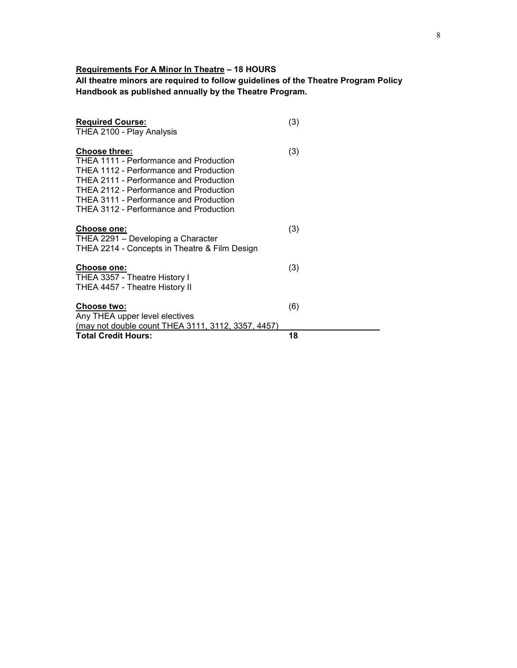# **Requirements For A Minor In Theatre – 18 HOURS**

**All theatre minors are required to follow guidelines of the Theatre Program Policy Handbook as published annually by the Theatre Program.**

| <b>Required Course:</b><br>THEA 2100 - Play Analysis                                                                                                                                                                                                                                    | (3) |
|-----------------------------------------------------------------------------------------------------------------------------------------------------------------------------------------------------------------------------------------------------------------------------------------|-----|
| <b>Choose three:</b><br>THEA 1111 - Performance and Production<br><b>THEA 1112 - Performance and Production</b><br>THEA 2111 - Performance and Production<br>THEA 2112 - Performance and Production<br>THEA 3111 - Performance and Production<br>THEA 3112 - Performance and Production | (3) |
| Choose one:<br>THEA 2291 - Developing a Character<br>THEA 2214 - Concepts in Theatre & Film Design                                                                                                                                                                                      | (3) |
| <b>Choose one:</b><br>THEA 3357 - Theatre History I<br>THEA 4457 - Theatre History II                                                                                                                                                                                                   | (3) |
| <b>Choose two:</b><br>Any THEA upper level electives<br>(may not double count THEA 3111, 3112, 3357, 4457)                                                                                                                                                                              | (6) |
| <b>Total Credit Hours:</b>                                                                                                                                                                                                                                                              | 18  |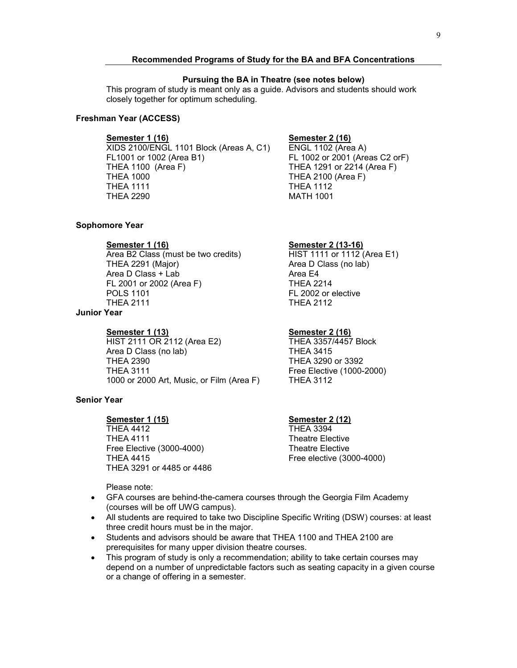#### **Recommended Programs of Study for the BA and BFA Concentrations**

#### **Pursuing the BA in Theatre (see notes below)**

This program of study is meant only as a guide. Advisors and students should work closely together for optimum scheduling.

#### **Freshman Year (ACCESS)**

**Semester 1 (16) Semester 2 (16)** XIDS 2100/ENGL 1101 Block (Areas A, C1)<br>FL1001 or 1002 (Area B1) THEA 1100 (Area F) THEA 1291 or 2214 (Area F) THEA 1000 THEA 2100 (Area F) **THEA 1111** THEA 2290 MATH 1001

Area D Class (no lab)<br>Area E4

FL 2002 or elective

THEA 3290 or 3392

FL 1002 or 2001 (Areas C2 orF)

#### **Sophomore Year**

**Semester 1 (16) Semester 2 (13-16)** Area B2 Class (must be two credits)<br>THEA 2291 (Major) Area D Class  $+$  Lab FL 2001 or 2002 (Area F) THEA 2214<br>POLS 1101 FL 2002 or  $\epsilon$ THEA 2111 THEA 2112

# **Junior Year**

#### **Semester 1 (13) Semester 2 (16)**

HIST 2111 OR 2112 (Area E2) THEA 3357/4457 Block Area D Class (no lab) THEA 3415<br>THEA 2390 THEA 3290 THEA 3111 Free Elective (1000-2000)<br>1000 or 2000 Art. Music. or Film (Area F) THEA 3112 1000 or 2000 Art, Music, or Film (Area F)

### **Senior Year**

# **Semester 1 (15) Semester 2 (12)**

**THEA 4412** THEA 4111<br>Free Flective (3000-4000) Theatre Elective Free Elective  $(3000-4000)$ THEA 4415 **Free elective (3000-4000)** THEA 3291 or 4485 or 4486

Please note:

- GFA courses are behind-the-camera courses through the Georgia Film Academy (courses will be off UWG campus).
- All students are required to take two Discipline Specific Writing (DSW) courses: at least three credit hours must be in the major.
- Students and advisors should be aware that THEA 1100 and THEA 2100 are prerequisites for many upper division theatre courses.
- This program of study is only a recommendation; ability to take certain courses may depend on a number of unpredictable factors such as seating capacity in a given course or a change of offering in a semester.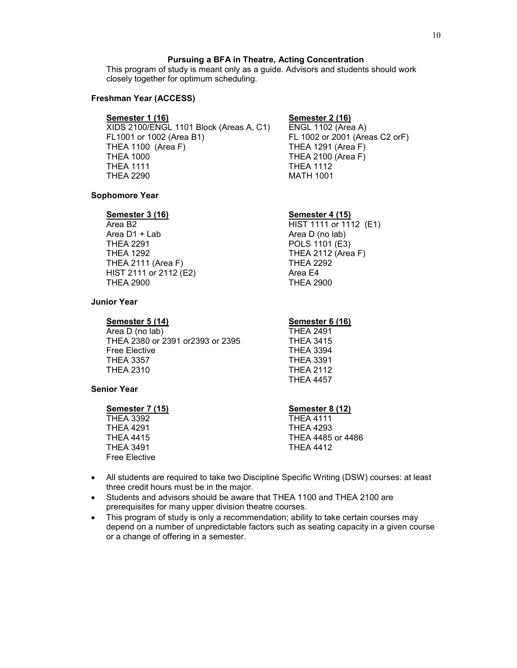### **Pursuing a BFA in Theatre, Acting Concentration**

This program of study is meant only as a guide. Advisors and students should work closely together for optimum scheduling.

#### **Freshman Year (ACCESS)**

**Semester 1 (16) Semester 2 (16)** XIDS 2100/ENGL 1101 Block (Areas A, C1)<br>FL1001 or 1002 (Area B1) THEA 1100 (Area F) THEA 1291 (Area F) THEA 1000 THEA 2100 (Area F) THEA 1111 THEA 1112 THEA 2290 MATH 1001

FL 1002 or 2001 (Areas C2 orF)

#### **Sophomore Year**

#### **Semester 3 (16) Semester 4 (15)**

Area B2 **HIST 1111 or 1112** (E1) Area D1 + Lab Area D (no lab)<br>THEA 2291 Area D (no lab) THEA 2291 POLS 1101 (E3)<br>THEA 1292 THEA 2112 (Area THEA 2111 (Area F) THEA 2292 HIST 2111 or 2112 (E2) Area E4 THEA 2900 THEA 2900

### **Junior Year**

**Semester 5 (14) Semester 6 (16)**<br> **Area D (no lab) Semester 6 (16) THEA 2491** Area D (no lab) THEA 2380 or 2391 or2393 or 2395 THEA 3415 Free Elective THEA 3394 **THEA 3357** THEA 2310 THEA 2112

THEA 2112 (Area F)

THEA 4457

### **Senior Year**

**Semester 7 (15) Semester 8 (12)** THEA 3392 THEA 4111 THEA 3491 THEA 4412 Free Elective

THEA 4291 THEA 4293 THEA 4415 THEA 4485 or 4486

- All students are required to take two Discipline Specific Writing (DSW) courses: at least three credit hours must be in the major.
- Students and advisors should be aware that THEA 1100 and THEA 2100 are prerequisites for many upper division theatre courses.
- This program of study is only a recommendation; ability to take certain courses may depend on a number of unpredictable factors such as seating capacity in a given course or a change of offering in a semester.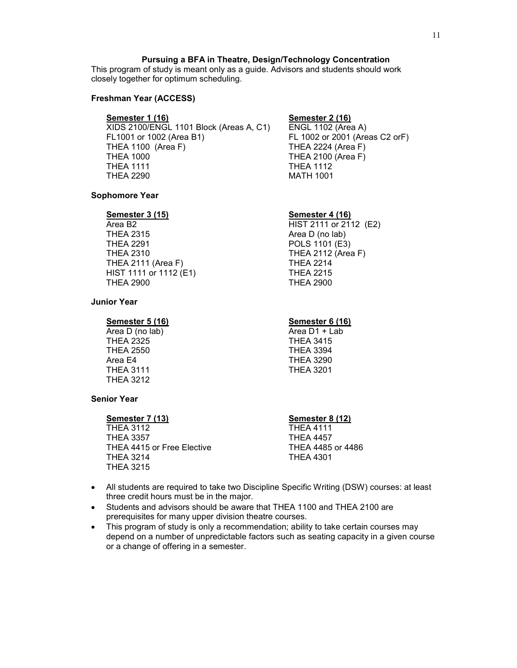# **Pursuing a BFA in Theatre, Design/Technology Concentration**

This program of study is meant only as a guide. Advisors and students should work closely together for optimum scheduling.

#### **Freshman Year (ACCESS)**

**Semester 1 (16) Semester 2 (16)**  $XIDS$  2100/ENGL 1101 Block (Areas A, C1)<br>FL1001 or 1002 (Area B1) THEA 1100 (Area F) THEA 2224 (Area F) THEA 1000 THEA 2100 (Area F) THEA 1111 THEA 1112 THEA 2290 MATH 1001

FL 1002 or 2001 (Areas C2 orF)

#### **Sophomore Year**

#### **Semester 3 (15) Semester 4 (16)**

Area B2 **HIST 2111 or 2112** (E2) THEA 2315 Area D (no lab)<br>THEA 2291 Area D (no lab) THEA 2291 POLS 1101 (E3)<br>THEA 2310 THEA 2112 (Area THEA 2111 (Area F) THEA 2214 HIST 1111 or 1112 (E1) THEA 2215 THEA 2900 THEA 2900

### **Junior Year**

**Semester 5 (16) Semester 6 (16)**

Area D (no  $lab$ ) THEA 2325 THEA 3415 THEA 2550 THEA 3394 Area E4 THEA 3290 THEA 3111 THEA 3201 THEA 3212

THEA 2112 (Area F)

### **Senior Year**

**Semester 7 (13)**<br>THEA 3112 **Semester 8 (12)**<br>THEA 4111

**THEA 3112** THEA 3357 THEA 4457 THEA 4415 or Free Elective THEA 4485 or 4486 THEA 3214 THEA 4301 THEA 3215

- All students are required to take two Discipline Specific Writing (DSW) courses: at least three credit hours must be in the major.
- Students and advisors should be aware that THEA 1100 and THEA 2100 are prerequisites for many upper division theatre courses.
- This program of study is only a recommendation; ability to take certain courses may depend on a number of unpredictable factors such as seating capacity in a given course or a change of offering in a semester.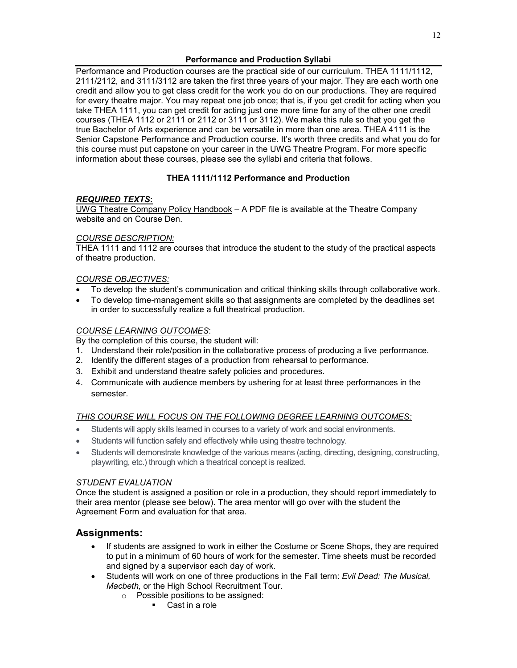# **Performance and Production Syllabi**

Performance and Production courses are the practical side of our curriculum. THEA 1111/1112, 2111/2112, and 3111/3112 are taken the first three years of your major. They are each worth one credit and allow you to get class credit for the work you do on our productions. They are required for every theatre major. You may repeat one job once; that is, if you get credit for acting when you take THEA 1111, you can get credit for acting just one more time for any of the other one credit courses (THEA 1112 or 2111 or 2112 or 3111 or 3112). We make this rule so that you get the true Bachelor of Arts experience and can be versatile in more than one area. THEA 4111 is the Senior Capstone Performance and Production course. It's worth three credits and what you do for this course must put capstone on your career in the UWG Theatre Program. For more specific information about these courses, please see the syllabi and criteria that follows.

# **THEA 1111/1112 Performance and Production**

# *REQUIRED TEXTS***:**

UWG Theatre Company Policy Handbook – A PDF file is available at the Theatre Company website and on Course Den.

# *COURSE DESCRIPTION:*

THEA 1111 and 1112 are courses that introduce the student to the study of the practical aspects of theatre production.

# *COURSE OBJECTIVES:*

- To develop the student's communication and critical thinking skills through collaborative work.
- To develop time-management skills so that assignments are completed by the deadlines set in order to successfully realize a full theatrical production.

# *COURSE LEARNING OUTCOMES*:

By the completion of this course, the student will:

- 1. Understand their role/position in the collaborative process of producing a live performance.
- 2. Identify the different stages of a production from rehearsal to performance.
- 3. Exhibit and understand theatre safety policies and procedures.
- 4. Communicate with audience members by ushering for at least three performances in the semester.

# *THIS COURSE WILL FOCUS ON THE FOLLOWING DEGREE LEARNING OUTCOMES:*

- Students will apply skills learned in courses to a variety of work and social environments.
- Students will function safely and effectively while using theatre technology.
- Students will demonstrate knowledge of the various means (acting, directing, designing, constructing, playwriting, etc.) through which a theatrical concept is realized.

# *STUDENT EVALUATION*

Once the student is assigned a position or role in a production, they should report immediately to their area mentor (please see below). The area mentor will go over with the student the Agreement Form and evaluation for that area.

# **Assignments:**

- If students are assigned to work in either the Costume or Scene Shops, they are required to put in a minimum of 60 hours of work for the semester. Time sheets must be recorded and signed by a supervisor each day of work.
- Students will work on one of three productions in the Fall term: *Evil Dead: The Musical, Macbeth,* or the High School Recruitment Tour.
	- o Possible positions to be assigned:
		- Cast in a role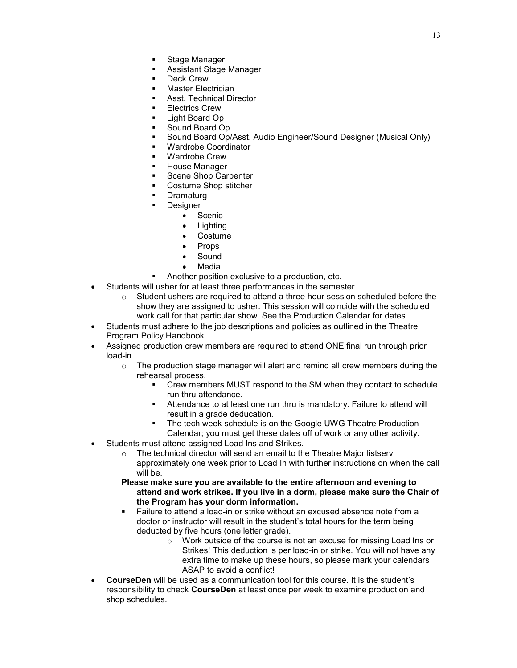- Stage Manager
- Assistant Stage Manager
- Deck Crew
- Master Electrician
- Asst. Technical Director
- Electrics Crew
- Light Board Op
- Sound Board Op
- Sound Board Op/Asst. Audio Engineer/Sound Designer (Musical Only)
- Wardrobe Coordinator
- Wardrobe Crew
- **House Manager**
- Scene Shop Carpenter
- Costume Shop stitcher
- Dramaturg
- Designer
	- Scenic
	- Lighting
	- Costume
	- Props
	- **Sound**
	- Media
- Another position exclusive to a production, etc.
- Students will usher for at least three performances in the semester.
	- $\circ$  Student ushers are required to attend a three hour session scheduled before the show they are assigned to usher. This session will coincide with the scheduled work call for that particular show. See the Production Calendar for dates.
- Students must adhere to the job descriptions and policies as outlined in the Theatre Program Policy Handbook.
- Assigned production crew members are required to attend ONE final run through prior load-in.
	- $\circ$  The production stage manager will alert and remind all crew members during the rehearsal process.
		- Crew members MUST respond to the SM when they contact to schedule run thru attendance.
		- Attendance to at least one run thru is mandatory. Failure to attend will result in a grade deducation.
		- The tech week schedule is on the Google UWG Theatre Production Calendar; you must get these dates off of work or any other activity.
- Students must attend assigned Load Ins and Strikes.
	- o The technical director will send an email to the Theatre Major listserv approximately one week prior to Load In with further instructions on when the call will be.
	- **Please make sure you are available to the entire afternoon and evening to attend and work strikes. If you live in a dorm, please make sure the Chair of the Program has your dorm information.**
	- Failure to attend a load-in or strike without an excused absence note from a doctor or instructor will result in the student's total hours for the term being deducted by five hours (one letter grade).
		- o Work outside of the course is not an excuse for missing Load Ins or Strikes! This deduction is per load-in or strike. You will not have any extra time to make up these hours, so please mark your calendars ASAP to avoid a conflict!
- **CourseDen** will be used as a communication tool for this course. It is the student's responsibility to check **CourseDen** at least once per week to examine production and shop schedules.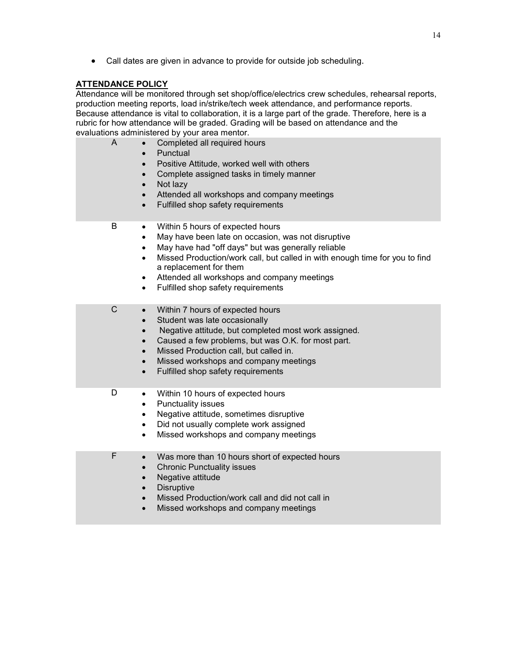• Call dates are given in advance to provide for outside job scheduling.

# **ATTENDANCE POLICY**

Attendance will be monitored through set shop/office/electrics crew schedules, rehearsal reports, production meeting reports, load in/strike/tech week attendance, and performance reports. Because attendance is vital to collaboration, it is a large part of the grade. Therefore, here is a rubric for how attendance will be graded. Grading will be based on attendance and the evaluations administered by your area mentor.

| A<br>$\bullet$<br>$\bullet$<br>$\bullet$                                                               | Completed all required hours<br>Punctual<br>Positive Attitude, worked well with others<br>Complete assigned tasks in timely manner<br>Not lazy<br>Attended all workshops and company meetings<br>Fulfilled shop safety requirements                                                                                                        |
|--------------------------------------------------------------------------------------------------------|--------------------------------------------------------------------------------------------------------------------------------------------------------------------------------------------------------------------------------------------------------------------------------------------------------------------------------------------|
| B<br>$\bullet$<br>$\bullet$<br>$\bullet$<br>$\bullet$<br>$\bullet$<br>$\bullet$                        | Within 5 hours of expected hours<br>May have been late on occasion, was not disruptive<br>May have had "off days" but was generally reliable<br>Missed Production/work call, but called in with enough time for you to find<br>a replacement for them<br>Attended all workshops and company meetings<br>Fulfilled shop safety requirements |
| $\mathsf C$<br>$\bullet$<br>$\bullet$<br>$\bullet$<br>$\bullet$<br>$\bullet$<br>$\bullet$<br>$\bullet$ | Within 7 hours of expected hours<br>Student was late occasionally<br>Negative attitude, but completed most work assigned.<br>Caused a few problems, but was O.K. for most part.<br>Missed Production call, but called in.<br>Missed workshops and company meetings<br>Fulfilled shop safety requirements                                   |
| D<br>$\bullet$<br>$\bullet$<br>$\bullet$<br>$\bullet$<br>$\bullet$                                     | Within 10 hours of expected hours<br>Punctuality issues<br>Negative attitude, sometimes disruptive<br>Did not usually complete work assigned<br>Missed workshops and company meetings                                                                                                                                                      |
| F<br>$\bullet$<br>$\bullet$<br>$\bullet$                                                               | Was more than 10 hours short of expected hours<br><b>Chronic Punctuality issues</b><br>Negative attitude<br><b>Disruptive</b><br>Missed Production/work call and did not call in<br>Missed workshops and company meetings                                                                                                                  |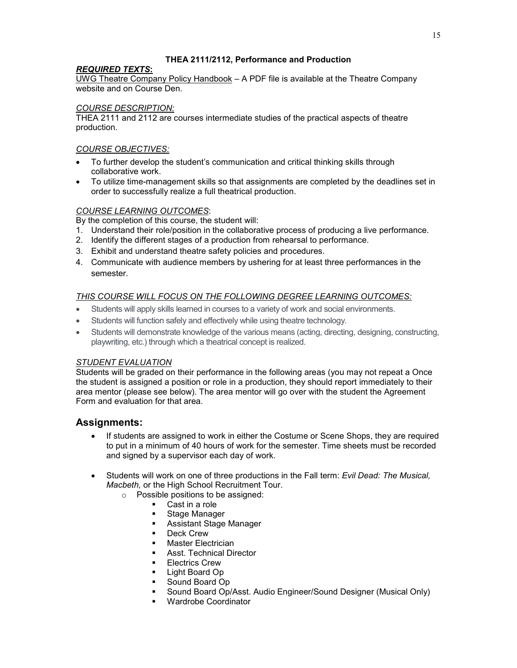# **THEA 2111/2112, Performance and Production**

# *REQUIRED TEXTS***:**

UWG Theatre Company Policy Handbook – A PDF file is available at the Theatre Company website and on Course Den.

# *COURSE DESCRIPTION:*

THEA 2111 and 2112 are courses intermediate studies of the practical aspects of theatre production.

# *COURSE OBJECTIVES:*

- To further develop the student's communication and critical thinking skills through collaborative work.
- To utilize time-management skills so that assignments are completed by the deadlines set in order to successfully realize a full theatrical production.

# *COURSE LEARNING OUTCOMES*:

By the completion of this course, the student will:

- 1. Understand their role/position in the collaborative process of producing a live performance.
- 2. Identify the different stages of a production from rehearsal to performance.
- 3. Exhibit and understand theatre safety policies and procedures.
- 4. Communicate with audience members by ushering for at least three performances in the semester.

# *THIS COURSE WILL FOCUS ON THE FOLLOWING DEGREE LEARNING OUTCOMES:*

- Students will apply skills learned in courses to a variety of work and social environments.
- Students will function safely and effectively while using theatre technology.
- Students will demonstrate knowledge of the various means (acting, directing, designing, constructing, playwriting, etc.) through which a theatrical concept is realized.

### *STUDENT EVALUATION*

Students will be graded on their performance in the following areas (you may not repeat a Once the student is assigned a position or role in a production, they should report immediately to their area mentor (please see below). The area mentor will go over with the student the Agreement Form and evaluation for that area.

# **Assignments:**

- If students are assigned to work in either the Costume or Scene Shops, they are required to put in a minimum of 40 hours of work for the semester. Time sheets must be recorded and signed by a supervisor each day of work.
- Students will work on one of three productions in the Fall term: *Evil Dead: The Musical, Macbeth,* or the High School Recruitment Tour.
	- $\circ$  Possible positions to be assigned:
		- Cast in a role
		- **Stage Manager**
		- Assistant Stage Manager
		- Deck Crew<br>■ Master Flec
		- Master Electrician
		- Asst. Technical Director
		- **Electrics Crew**
		- **Light Board Op**
		- **Sound Board Op**
		- **Sound Board Op/Asst. Audio Engineer/Sound Designer (Musical Only)**<br> **Subset Coordinator**
		- Wardrobe Coordinator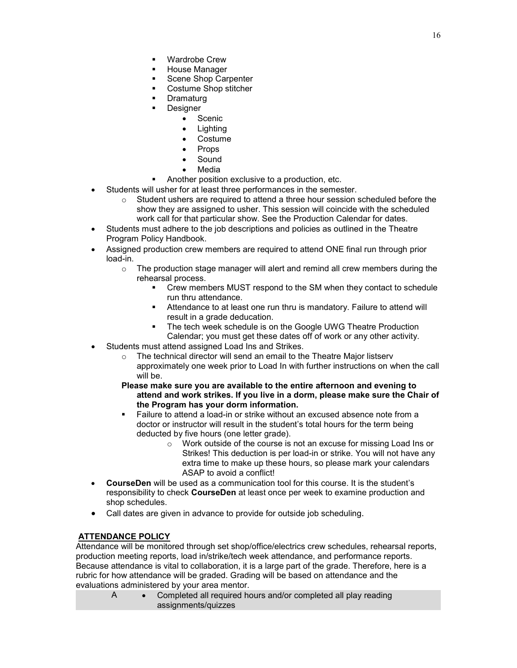- Wardrobe Crew
- House Manager
- Scene Shop Carpenter
- Costume Shop stitcher
- **Dramaturg**
- Designer
	- Scenic
	- Lighting
	- Costume
	- Props
	- Sound
	- Media
- Another position exclusive to a production, etc.
- Students will usher for at least three performances in the semester.
	- $\circ$  Student ushers are required to attend a three hour session scheduled before the show they are assigned to usher. This session will coincide with the scheduled work call for that particular show. See the Production Calendar for dates.
- Students must adhere to the job descriptions and policies as outlined in the Theatre Program Policy Handbook.
- Assigned production crew members are required to attend ONE final run through prior load-in.
	- $\circ$  The production stage manager will alert and remind all crew members during the rehearsal process.
		- Crew members MUST respond to the SM when they contact to schedule run thru attendance.
		- Attendance to at least one run thru is mandatory. Failure to attend will result in a grade deducation.
		- The tech week schedule is on the Google UWG Theatre Production Calendar; you must get these dates off of work or any other activity.
- Students must attend assigned Load Ins and Strikes.
	- o The technical director will send an email to the Theatre Major listserv approximately one week prior to Load In with further instructions on when the call will be.
	- **Please make sure you are available to the entire afternoon and evening to attend and work strikes. If you live in a dorm, please make sure the Chair of the Program has your dorm information.**
	- Failure to attend a load-in or strike without an excused absence note from a doctor or instructor will result in the student's total hours for the term being deducted by five hours (one letter grade).
		- o Work outside of the course is not an excuse for missing Load Ins or Strikes! This deduction is per load-in or strike. You will not have any extra time to make up these hours, so please mark your calendars ASAP to avoid a conflict!
- **CourseDen** will be used as a communication tool for this course. It is the student's responsibility to check **CourseDen** at least once per week to examine production and shop schedules.
- Call dates are given in advance to provide for outside job scheduling.

# **ATTENDANCE POLICY**

Attendance will be monitored through set shop/office/electrics crew schedules, rehearsal reports, production meeting reports, load in/strike/tech week attendance, and performance reports. Because attendance is vital to collaboration, it is a large part of the grade. Therefore, here is a rubric for how attendance will be graded. Grading will be based on attendance and the evaluations administered by your area mentor.

A • Completed all required hours and/or completed all play reading assignments/quizzes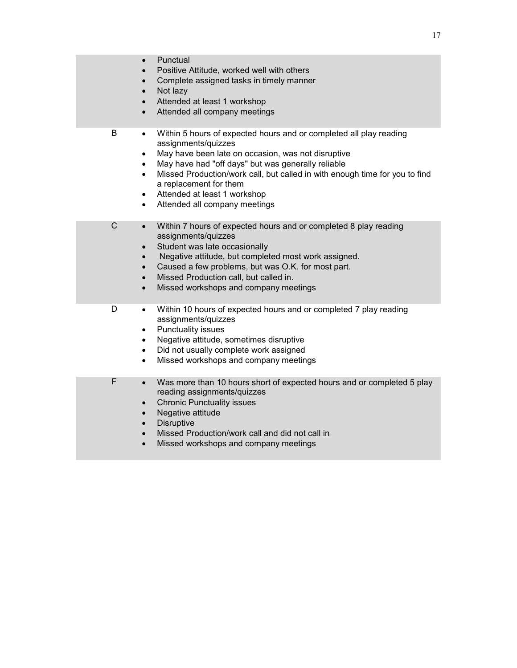| $\bullet$<br>$\bullet$<br>$\bullet$<br>$\bullet$                                | Punctual<br>Positive Attitude, worked well with others<br>Complete assigned tasks in timely manner<br>Not lazy<br>Attended at least 1 workshop<br>Attended all company meetings                                                                                                                                                                                                 |
|---------------------------------------------------------------------------------|---------------------------------------------------------------------------------------------------------------------------------------------------------------------------------------------------------------------------------------------------------------------------------------------------------------------------------------------------------------------------------|
| В<br>$\bullet$<br>$\bullet$<br>$\bullet$<br>$\bullet$<br>$\bullet$<br>$\bullet$ | Within 5 hours of expected hours and or completed all play reading<br>assignments/quizzes<br>May have been late on occasion, was not disruptive<br>May have had "off days" but was generally reliable<br>Missed Production/work call, but called in with enough time for you to find<br>a replacement for them<br>Attended at least 1 workshop<br>Attended all company meetings |
| $\mathsf C$<br>$\bullet$<br>$\bullet$<br>$\bullet$<br>$\bullet$<br>$\bullet$    | Within 7 hours of expected hours and or completed 8 play reading<br>assignments/quizzes<br>Student was late occasionally<br>Negative attitude, but completed most work assigned.<br>Caused a few problems, but was O.K. for most part.<br>Missed Production call, but called in.<br>Missed workshops and company meetings                                                       |
| D<br>$\bullet$<br>$\bullet$<br>$\bullet$<br>$\bullet$                           | Within 10 hours of expected hours and or completed 7 play reading<br>assignments/quizzes<br>Punctuality issues<br>Negative attitude, sometimes disruptive<br>Did not usually complete work assigned<br>Missed workshops and company meetings                                                                                                                                    |
| F<br>$\bullet$<br>$\bullet$<br>$\bullet$<br>$\bullet$<br>$\bullet$<br>$\bullet$ | Was more than 10 hours short of expected hours and or completed 5 play<br>reading assignments/quizzes<br><b>Chronic Punctuality issues</b><br>Negative attitude<br><b>Disruptive</b><br>Missed Production/work call and did not call in<br>Missed workshops and company meetings                                                                                                |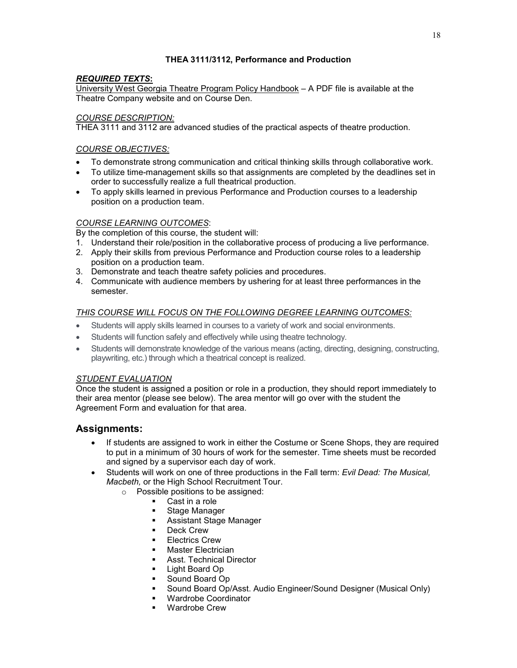# **THEA 3111/3112, Performance and Production**

# *REQUIRED TEXTS***:**

University West Georgia Theatre Program Policy Handbook – A PDF file is available at the Theatre Company website and on Course Den.

# *COURSE DESCRIPTION:*

THEA 3111 and 3112 are advanced studies of the practical aspects of theatre production.

# *COURSE OBJECTIVES:*

- To demonstrate strong communication and critical thinking skills through collaborative work.
- To utilize time-management skills so that assignments are completed by the deadlines set in order to successfully realize a full theatrical production.
- To apply skills learned in previous Performance and Production courses to a leadership position on a production team.

# *COURSE LEARNING OUTCOMES*:

By the completion of this course, the student will:

- 1. Understand their role/position in the collaborative process of producing a live performance.
- 2. Apply their skills from previous Performance and Production course roles to a leadership position on a production team.
- 3. Demonstrate and teach theatre safety policies and procedures.
- 4. Communicate with audience members by ushering for at least three performances in the semester.

# *THIS COURSE WILL FOCUS ON THE FOLLOWING DEGREE LEARNING OUTCOMES:*

- Students will apply skills learned in courses to a variety of work and social environments.
- Students will function safely and effectively while using theatre technology.
- Students will demonstrate knowledge of the various means (acting, directing, designing, constructing, playwriting, etc.) through which a theatrical concept is realized.

# *STUDENT EVALUATION*

Once the student is assigned a position or role in a production, they should report immediately to their area mentor (please see below). The area mentor will go over with the student the Agreement Form and evaluation for that area.

# **Assignments:**

- If students are assigned to work in either the Costume or Scene Shops, they are required to put in a minimum of 30 hours of work for the semester. Time sheets must be recorded and signed by a supervisor each day of work.
- Students will work on one of three productions in the Fall term: *Evil Dead: The Musical, Macbeth,* or the High School Recruitment Tour.
	- o Possible positions to be assigned:
		- Cast in a role
		- **Stage Manager**
		- Assistant Stage Manager
		- Deck Crew<br>■ Electrics Cr
		- Electrics Crew
		- **Master Electrician**
		- Asst. Technical Director
		- **Light Board Op**
		- **Sound Board Op**
		- **Sound Board Op/Asst. Audio Engineer/Sound Designer (Musical Only)**<br> **Wardrobe Coordinator**
		- Wardrobe Coordinator
		- Wardrobe Crew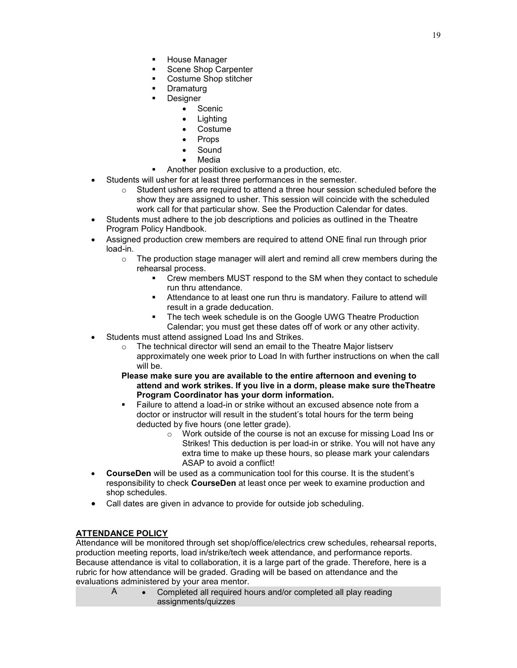- House Manager
- Scene Shop Carpenter
- Costume Shop stitcher
- **Dramaturg** 
	- Designer
		- Scenic
		- Lighting
		- Costume
		- Props
		- Sound
		- Media
- Another position exclusive to a production, etc.
- Students will usher for at least three performances in the semester.
	- $\circ$  Student ushers are required to attend a three hour session scheduled before the show they are assigned to usher. This session will coincide with the scheduled work call for that particular show. See the Production Calendar for dates.
- Students must adhere to the job descriptions and policies as outlined in the Theatre Program Policy Handbook.
- Assigned production crew members are required to attend ONE final run through prior load-in.
	- $\circ$  The production stage manager will alert and remind all crew members during the rehearsal process.
		- Crew members MUST respond to the SM when they contact to schedule run thru attendance.
		- Attendance to at least one run thru is mandatory. Failure to attend will result in a grade deducation.
		- **The tech week schedule is on the Google UWG Theatre Production** Calendar; you must get these dates off of work or any other activity.
- Students must attend assigned Load Ins and Strikes.
	- o The technical director will send an email to the Theatre Major listserv approximately one week prior to Load In with further instructions on when the call will be.
	- **Please make sure you are available to the entire afternoon and evening to attend and work strikes. If you live in a dorm, please make sure theTheatre Program Coordinator has your dorm information.**
	- Failure to attend a load-in or strike without an excused absence note from a doctor or instructor will result in the student's total hours for the term being deducted by five hours (one letter grade).
		- o Work outside of the course is not an excuse for missing Load Ins or Strikes! This deduction is per load-in or strike. You will not have any extra time to make up these hours, so please mark your calendars ASAP to avoid a conflict!
- **CourseDen** will be used as a communication tool for this course. It is the student's responsibility to check **CourseDen** at least once per week to examine production and shop schedules.
- Call dates are given in advance to provide for outside job scheduling.

# **ATTENDANCE POLICY**

Attendance will be monitored through set shop/office/electrics crew schedules, rehearsal reports, production meeting reports, load in/strike/tech week attendance, and performance reports. Because attendance is vital to collaboration, it is a large part of the grade. Therefore, here is a rubric for how attendance will be graded. Grading will be based on attendance and the evaluations administered by your area mentor.

A • Completed all required hours and/or completed all play reading assignments/quizzes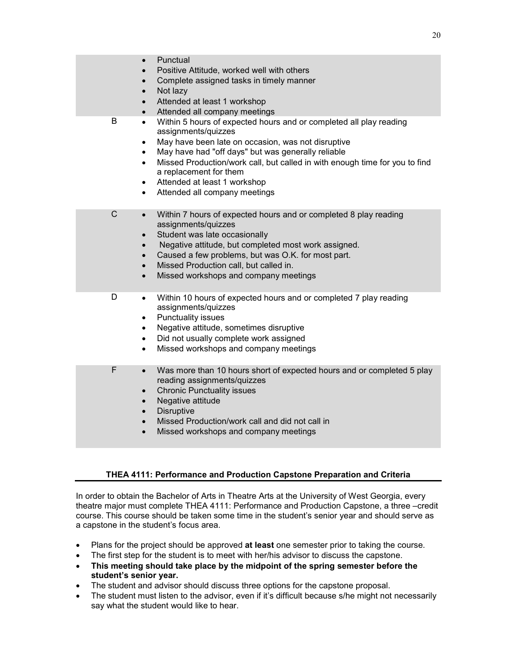|             | Punctual<br>$\bullet$<br>Positive Attitude, worked well with others<br>Complete assigned tasks in timely manner<br>$\bullet$<br>Not lazy<br>$\bullet$<br>Attended at least 1 workshop<br>$\bullet$<br>Attended all company meetings<br>$\bullet$                                                                                                                                                                                                              |
|-------------|---------------------------------------------------------------------------------------------------------------------------------------------------------------------------------------------------------------------------------------------------------------------------------------------------------------------------------------------------------------------------------------------------------------------------------------------------------------|
| B           | Within 5 hours of expected hours and or completed all play reading<br>$\bullet$<br>assignments/quizzes<br>May have been late on occasion, was not disruptive<br>$\bullet$<br>May have had "off days" but was generally reliable<br>$\bullet$<br>Missed Production/work call, but called in with enough time for you to find<br>$\bullet$<br>a replacement for them<br>Attended at least 1 workshop<br>$\bullet$<br>Attended all company meetings<br>$\bullet$ |
| $\mathsf C$ | Within 7 hours of expected hours and or completed 8 play reading<br>$\bullet$<br>assignments/quizzes<br>Student was late occasionally<br>$\bullet$<br>Negative attitude, but completed most work assigned.<br>$\bullet$<br>Caused a few problems, but was O.K. for most part.<br>$\bullet$<br>Missed Production call, but called in.<br>$\bullet$<br>Missed workshops and company meetings<br>$\bullet$                                                       |
| D           | Within 10 hours of expected hours and or completed 7 play reading<br>$\bullet$<br>assignments/quizzes<br>Punctuality issues<br>$\bullet$<br>Negative attitude, sometimes disruptive<br>$\bullet$<br>Did not usually complete work assigned<br>$\bullet$<br>Missed workshops and company meetings<br>$\bullet$                                                                                                                                                 |
| F           | Was more than 10 hours short of expected hours and or completed 5 play<br>$\bullet$<br>reading assignments/quizzes<br><b>Chronic Punctuality issues</b><br>$\bullet$<br>Negative attitude<br>$\bullet$<br><b>Disruptive</b><br>$\bullet$<br>Missed Production/work call and did not call in<br>$\bullet$<br>Missed workshops and company meetings                                                                                                             |

### **THEA 4111: Performance and Production Capstone Preparation and Criteria**

In order to obtain the Bachelor of Arts in Theatre Arts at the University of West Georgia, every theatre major must complete THEA 4111: Performance and Production Capstone, a three –credit course. This course should be taken some time in the student's senior year and should serve as a capstone in the student's focus area.

- Plans for the project should be approved **at least** one semester prior to taking the course.
- The first step for the student is to meet with her/his advisor to discuss the capstone.
- **This meeting should take place by the midpoint of the spring semester before the student's senior year.**
- The student and advisor should discuss three options for the capstone proposal.
- The student must listen to the advisor, even if it's difficult because s/he might not necessarily say what the student would like to hear.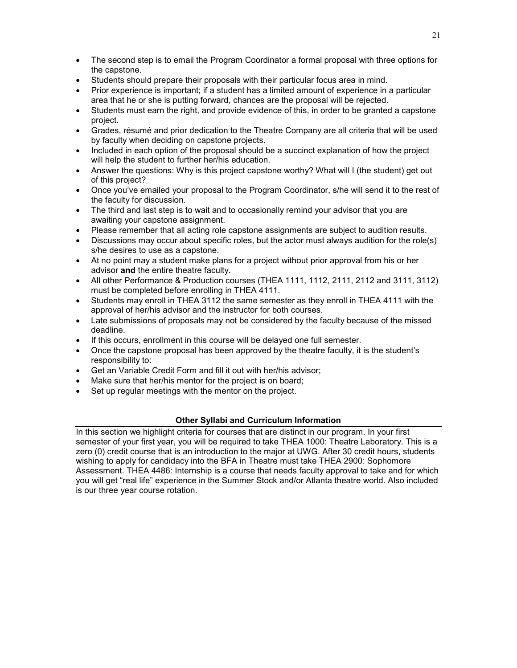- The second step is to email the Program Coordinator a formal proposal with three options for the capstone.
- Students should prepare their proposals with their particular focus area in mind.
- Prior experience is important; if a student has a limited amount of experience in a particular area that he or she is putting forward, chances are the proposal will be rejected.
- Students must earn the right, and provide evidence of this, in order to be granted a capstone project.
- Grades, résumé and prior dedication to the Theatre Company are all criteria that will be used by faculty when deciding on capstone projects.
- Included in each option of the proposal should be a succinct explanation of how the project will help the student to further her/his education.
- Answer the questions: Why is this project capstone worthy? What will I (the student) get out of this project?
- Once you've emailed your proposal to the Program Coordinator, s/he will send it to the rest of the faculty for discussion.
- The third and last step is to wait and to occasionally remind your advisor that you are awaiting your capstone assignment.
- Please remember that all acting role capstone assignments are subject to audition results.
- Discussions may occur about specific roles, but the actor must always audition for the role(s) s/he desires to use as a capstone.
- At no point may a student make plans for a project without prior approval from his or her advisor **and** the entire theatre faculty.
- All other Performance & Production courses (THEA 1111, 1112, 2111, 2112 and 3111, 3112) must be completed before enrolling in THEA 4111.
- Students may enroll in THEA 3112 the same semester as they enroll in THEA 4111 with the approval of her/his advisor and the instructor for both courses.
- Late submissions of proposals may not be considered by the faculty because of the missed deadline.
- If this occurs, enrollment in this course will be delayed one full semester.
- Once the capstone proposal has been approved by the theatre faculty, it is the student's responsibility to:
- Get an Variable Credit Form and fill it out with her/his advisor;
- Make sure that her/his mentor for the project is on board;
- Set up regular meetings with the mentor on the project.

# **Other Syllabi and Curriculum Information**

In this section we highlight criteria for courses that are distinct in our program. In your first semester of your first year, you will be required to take THEA 1000: Theatre Laboratory. This is a zero (0) credit course that is an introduction to the major at UWG. After 30 credit hours, students wishing to apply for candidacy into the BFA in Theatre must take THEA 2900: Sophomore Assessment. THEA 4486: Internship is a course that needs faculty approval to take and for which you will get "real life" experience in the Summer Stock and/or Atlanta theatre world. Also included is our three year course rotation.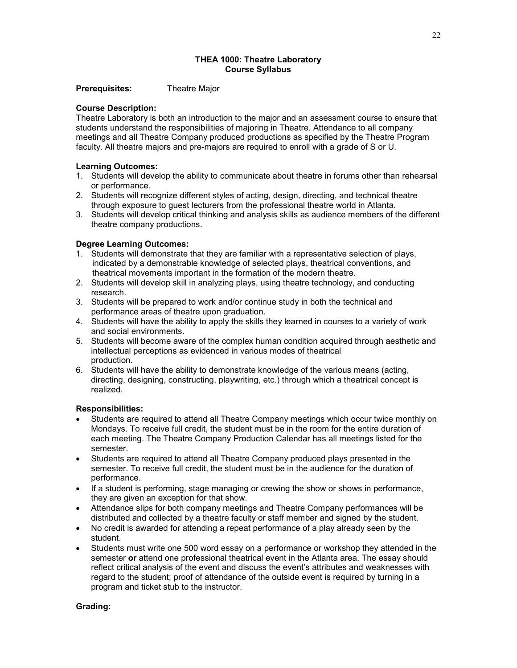### **THEA 1000: Theatre Laboratory Course Syllabus**

#### **Prerequisites:** Theatre Major

#### **Course Description:**

Theatre Laboratory is both an introduction to the major and an assessment course to ensure that students understand the responsibilities of majoring in Theatre. Attendance to all company meetings and all Theatre Company produced productions as specified by the Theatre Program faculty. All theatre majors and pre-majors are required to enroll with a grade of S or U.

#### **Learning Outcomes:**

- 1. Students will develop the ability to communicate about theatre in forums other than rehearsal or performance.
- 2. Students will recognize different styles of acting, design, directing, and technical theatre through exposure to guest lecturers from the professional theatre world in Atlanta.
- 3. Students will develop critical thinking and analysis skills as audience members of the different theatre company productions.

### **Degree Learning Outcomes:**

- 1. Students will demonstrate that they are familiar with a representative selection of plays, indicated by a demonstrable knowledge of selected plays, theatrical conventions, and theatrical movements important in the formation of the modern theatre.
- 2. Students will develop skill in analyzing plays, using theatre technology, and conducting research.
- 3. Students will be prepared to work and/or continue study in both the technical and performance areas of theatre upon graduation.
- 4. Students will have the ability to apply the skills they learned in courses to a variety of work and social environments.
- 5. Students will become aware of the complex human condition acquired through aesthetic and intellectual perceptions as evidenced in various modes of theatrical production.
- 6. Students will have the ability to demonstrate knowledge of the various means (acting, directing, designing, constructing, playwriting, etc.) through which a theatrical concept is realized.

### **Responsibilities:**

- Students are required to attend all Theatre Company meetings which occur twice monthly on Mondays. To receive full credit, the student must be in the room for the entire duration of each meeting. The Theatre Company Production Calendar has all meetings listed for the semester.
- Students are required to attend all Theatre Company produced plays presented in the semester. To receive full credit, the student must be in the audience for the duration of performance.
- If a student is performing, stage managing or crewing the show or shows in performance, they are given an exception for that show.
- Attendance slips for both company meetings and Theatre Company performances will be distributed and collected by a theatre faculty or staff member and signed by the student.
- No credit is awarded for attending a repeat performance of a play already seen by the student.
- Students must write one 500 word essay on a performance or workshop they attended in the semester **or** attend one professional theatrical event in the Atlanta area. The essay should reflect critical analysis of the event and discuss the event's attributes and weaknesses with regard to the student; proof of attendance of the outside event is required by turning in a program and ticket stub to the instructor.

### **Grading:**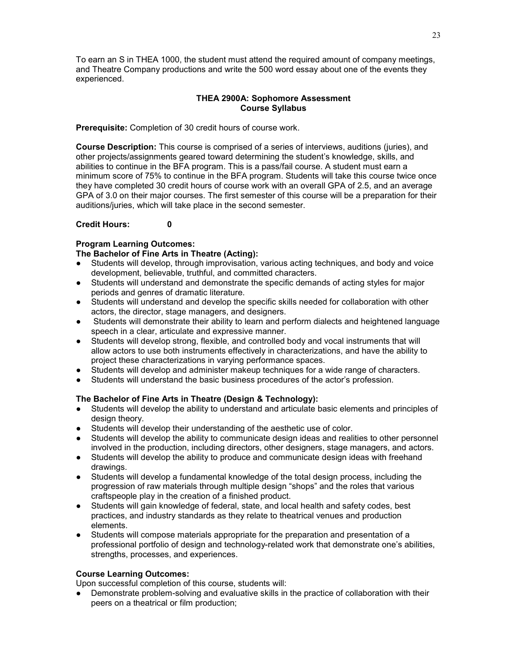To earn an S in THEA 1000, the student must attend the required amount of company meetings, and Theatre Company productions and write the 500 word essay about one of the events they experienced.

# **THEA 2900A: Sophomore Assessment Course Syllabus**

**Prerequisite:** Completion of 30 credit hours of course work.

**Course Description:** This course is comprised of a series of interviews, auditions (juries), and other projects/assignments geared toward determining the student's knowledge, skills, and abilities to continue in the BFA program. This is a pass/fail course. A student must earn a minimum score of 75% to continue in the BFA program. Students will take this course twice once they have completed 30 credit hours of course work with an overall GPA of 2.5, and an average GPA of 3.0 on their major courses. The first semester of this course will be a preparation for their auditions/juries, which will take place in the second semester.

# **Credit Hours: 0**

# **Program Learning Outcomes:**

# **The Bachelor of Fine Arts in Theatre (Acting):**

- Students will develop, through improvisation, various acting techniques, and body and voice development, believable, truthful, and committed characters.
- Students will understand and demonstrate the specific demands of acting styles for major periods and genres of dramatic literature.
- Students will understand and develop the specific skills needed for collaboration with other actors, the director, stage managers, and designers.
- Students will demonstrate their ability to learn and perform dialects and heightened language speech in a clear, articulate and expressive manner.
- Students will develop strong, flexible, and controlled body and vocal instruments that will allow actors to use both instruments effectively in characterizations, and have the ability to project these characterizations in varying performance spaces.
- Students will develop and administer makeup techniques for a wide range of characters.
- Students will understand the basic business procedures of the actor's profession.

# **The Bachelor of Fine Arts in Theatre (Design & Technology):**

- Students will develop the ability to understand and articulate basic elements and principles of design theory.
- Students will develop their understanding of the aesthetic use of color.
- Students will develop the ability to communicate design ideas and realities to other personnel involved in the production, including directors, other designers, stage managers, and actors.
- Students will develop the ability to produce and communicate design ideas with freehand drawings.
- Students will develop a fundamental knowledge of the total design process, including the progression of raw materials through multiple design "shops" and the roles that various craftspeople play in the creation of a finished product.
- Students will gain knowledge of federal, state, and local health and safety codes, best practices, and industry standards as they relate to theatrical venues and production elements.
- Students will compose materials appropriate for the preparation and presentation of a professional portfolio of design and technology-related work that demonstrate one's abilities, strengths, processes, and experiences.

### **Course Learning Outcomes:**

Upon successful completion of this course, students will:

• Demonstrate problem-solving and evaluative skills in the practice of collaboration with their peers on a theatrical or film production;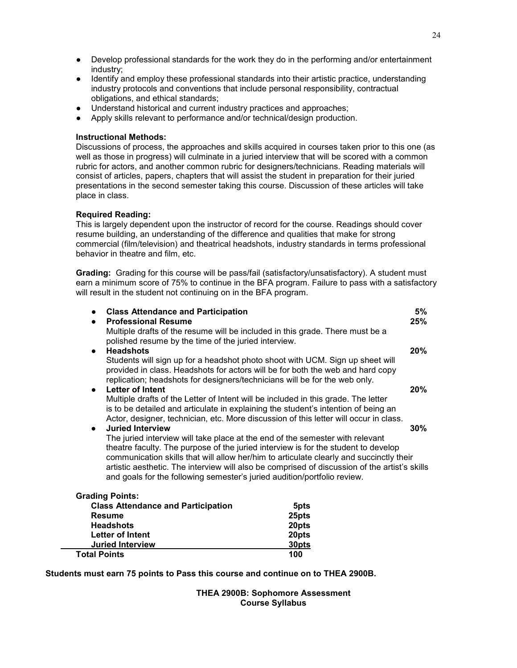- Develop professional standards for the work they do in the performing and/or entertainment industry;
- Identify and employ these professional standards into their artistic practice, understanding industry protocols and conventions that include personal responsibility, contractual obligations, and ethical standards;
- Understand historical and current industry practices and approaches;
- Apply skills relevant to performance and/or technical/design production.

#### **Instructional Methods:**

Discussions of process, the approaches and skills acquired in courses taken prior to this one (as well as those in progress) will culminate in a juried interview that will be scored with a common rubric for actors, and another common rubric for designers/technicians. Reading materials will consist of articles, papers, chapters that will assist the student in preparation for their juried presentations in the second semester taking this course. Discussion of these articles will take place in class.

#### **Required Reading:**

This is largely dependent upon the instructor of record for the course. Readings should cover resume building, an understanding of the difference and qualities that make for strong commercial (film/television) and theatrical headshots, industry standards in terms professional behavior in theatre and film, etc.

**Grading:** Grading for this course will be pass/fail (satisfactory/unsatisfactory). A student must earn a minimum score of 75% to continue in the BFA program. Failure to pass with a satisfactory will result in the student not continuing on in the BFA program.

| <b>Class Attendance and Participation</b><br>$\bullet$<br><b>Professional Resume</b><br>$\bullet$                                                                                                                                                                                                                                                                                                                                           |       | 5%<br>25% |
|---------------------------------------------------------------------------------------------------------------------------------------------------------------------------------------------------------------------------------------------------------------------------------------------------------------------------------------------------------------------------------------------------------------------------------------------|-------|-----------|
| Multiple drafts of the resume will be included in this grade. There must be a<br>polished resume by the time of the juried interview.                                                                                                                                                                                                                                                                                                       |       |           |
| <b>Headshots</b><br>$\bullet$                                                                                                                                                                                                                                                                                                                                                                                                               |       | 20%       |
| Students will sign up for a headshot photo shoot with UCM. Sign up sheet will<br>provided in class. Headshots for actors will be for both the web and hard copy<br>replication; headshots for designers/technicians will be for the web only.                                                                                                                                                                                               |       |           |
| <b>Letter of Intent</b><br>$\bullet$                                                                                                                                                                                                                                                                                                                                                                                                        |       | $20\%$    |
| Multiple drafts of the Letter of Intent will be included in this grade. The letter<br>is to be detailed and articulate in explaining the student's intention of being an<br>Actor, designer, technician, etc. More discussion of this letter will occur in class.                                                                                                                                                                           |       |           |
| <b>Juried Interview</b><br>$\bullet$                                                                                                                                                                                                                                                                                                                                                                                                        |       | $30\%$    |
| The juried interview will take place at the end of the semester with relevant<br>theatre faculty. The purpose of the juried interview is for the student to develop<br>communication skills that will allow her/him to articulate clearly and succinctly their<br>artistic aesthetic. The interview will also be comprised of discussion of the artist's skills<br>and goals for the following semester's juried audition/portfolio review. |       |           |
| <b>Grading Points:</b>                                                                                                                                                                                                                                                                                                                                                                                                                      |       |           |
| <b>Class Attendance and Participation</b>                                                                                                                                                                                                                                                                                                                                                                                                   | 5pts  |           |
| <b>Resume</b>                                                                                                                                                                                                                                                                                                                                                                                                                               | 25pts |           |
| <b>Headshots</b>                                                                                                                                                                                                                                                                                                                                                                                                                            | 20pts |           |
| Letter of Intent                                                                                                                                                                                                                                                                                                                                                                                                                            | 20pts |           |

**Students must earn 75 points to Pass this course and continue on to THEA 2900B.**

**Juried Interview 30pts Total Points 100**

> **THEA 2900B: Sophomore Assessment Course Syllabus**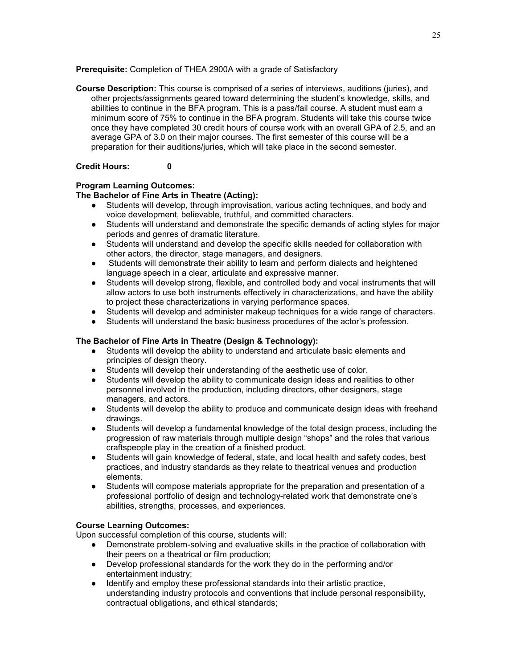**Prerequisite:** Completion of THEA 2900A with a grade of Satisfactory

**Course Description:** This course is comprised of a series of interviews, auditions (juries), and other projects/assignments geared toward determining the student's knowledge, skills, and abilities to continue in the BFA program. This is a pass/fail course. A student must earn a minimum score of 75% to continue in the BFA program. Students will take this course twice once they have completed 30 credit hours of course work with an overall GPA of 2.5, and an average GPA of 3.0 on their major courses. The first semester of this course will be a preparation for their auditions/juries, which will take place in the second semester.

# **Credit Hours: 0**

# **Program Learning Outcomes:**

# **The Bachelor of Fine Arts in Theatre (Acting):**

- Students will develop, through improvisation, various acting techniques, and body and voice development, believable, truthful, and committed characters.
- Students will understand and demonstrate the specific demands of acting styles for major periods and genres of dramatic literature.
- Students will understand and develop the specific skills needed for collaboration with other actors, the director, stage managers, and designers.
- Students will demonstrate their ability to learn and perform dialects and heightened language speech in a clear, articulate and expressive manner.
- Students will develop strong, flexible, and controlled body and vocal instruments that will allow actors to use both instruments effectively in characterizations, and have the ability to project these characterizations in varying performance spaces.
- Students will develop and administer makeup techniques for a wide range of characters.
- Students will understand the basic business procedures of the actor's profession.

# **The Bachelor of Fine Arts in Theatre (Design & Technology):**

- Students will develop the ability to understand and articulate basic elements and principles of design theory.
- Students will develop their understanding of the aesthetic use of color.
- Students will develop the ability to communicate design ideas and realities to other personnel involved in the production, including directors, other designers, stage managers, and actors.
- Students will develop the ability to produce and communicate design ideas with freehand drawings.
- Students will develop a fundamental knowledge of the total design process, including the progression of raw materials through multiple design "shops" and the roles that various craftspeople play in the creation of a finished product.
- Students will gain knowledge of federal, state, and local health and safety codes, best practices, and industry standards as they relate to theatrical venues and production elements.
- Students will compose materials appropriate for the preparation and presentation of a professional portfolio of design and technology-related work that demonstrate one's abilities, strengths, processes, and experiences.

### **Course Learning Outcomes:**

Upon successful completion of this course, students will:

- Demonstrate problem-solving and evaluative skills in the practice of collaboration with their peers on a theatrical or film production;
- Develop professional standards for the work they do in the performing and/or entertainment industry;
- Identify and employ these professional standards into their artistic practice, understanding industry protocols and conventions that include personal responsibility, contractual obligations, and ethical standards;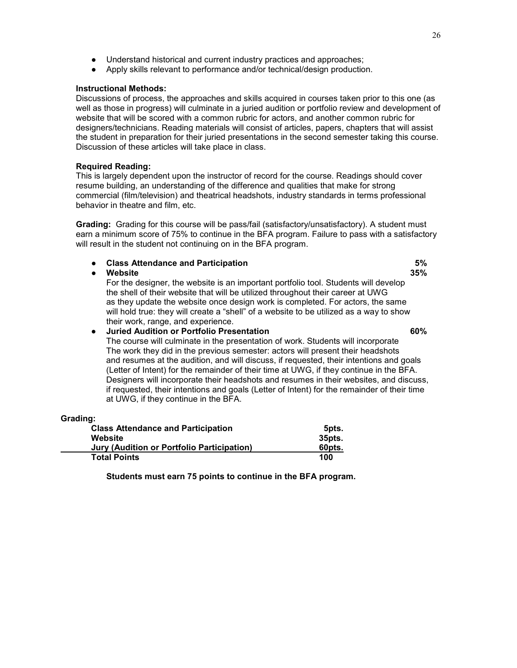- Understand historical and current industry practices and approaches;
- Apply skills relevant to performance and/or technical/design production.

# **Instructional Methods:**

Discussions of process, the approaches and skills acquired in courses taken prior to this one (as well as those in progress) will culminate in a juried audition or portfolio review and development of website that will be scored with a common rubric for actors, and another common rubric for designers/technicians. Reading materials will consist of articles, papers, chapters that will assist the student in preparation for their juried presentations in the second semester taking this course. Discussion of these articles will take place in class.

### **Required Reading:**

This is largely dependent upon the instructor of record for the course. Readings should cover resume building, an understanding of the difference and qualities that make for strong commercial (film/television) and theatrical headshots, industry standards in terms professional behavior in theatre and film, etc.

**Grading:** Grading for this course will be pass/fail (satisfactory/unsatisfactory). A student must earn a minimum score of 75% to continue in the BFA program. Failure to pass with a satisfactory will result in the student not continuing on in the BFA program.

| $\bullet$ | <b>Class Attendance and Participation</b>                                                                                                                                                                                                                                                                                                                                                 | 5%  |
|-----------|-------------------------------------------------------------------------------------------------------------------------------------------------------------------------------------------------------------------------------------------------------------------------------------------------------------------------------------------------------------------------------------------|-----|
|           | Website                                                                                                                                                                                                                                                                                                                                                                                   | 35% |
|           | For the designer, the website is an important portfolio tool. Students will develop<br>the shell of their website that will be utilized throughout their career at UWG<br>as they update the website once design work is completed. For actors, the same<br>will hold true: they will create a "shell" of a website to be utilized as a way to show<br>their work, range, and experience. |     |
| $\bullet$ | <b>Juried Audition or Portfolio Presentation</b>                                                                                                                                                                                                                                                                                                                                          | 60% |
|           | The course will culminate in the presentation of work. Students will incorporate<br>The work they did in the previous semester: actors will present their headshots                                                                                                                                                                                                                       |     |
|           | and resumes at the audition and will discuss if requested their intentions and goals                                                                                                                                                                                                                                                                                                      |     |

and resumes at the audition, and will discuss, if requested, their intentions and goals (Letter of Intent) for the remainder of their time at UWG, if they continue in the BFA. Designers will incorporate their headshots and resumes in their websites, and discuss, if requested, their intentions and goals (Letter of Intent) for the remainder of their time at UWG, if they continue in the BFA.

| Grading:                                   |        |
|--------------------------------------------|--------|
| <b>Class Attendance and Participation</b>  | 5pts.  |
| Website                                    | 35pts. |
| Jury (Audition or Portfolio Participation) | 60pts. |
| <b>Total Points</b>                        | 100    |

**Students must earn 75 points to continue in the BFA program.**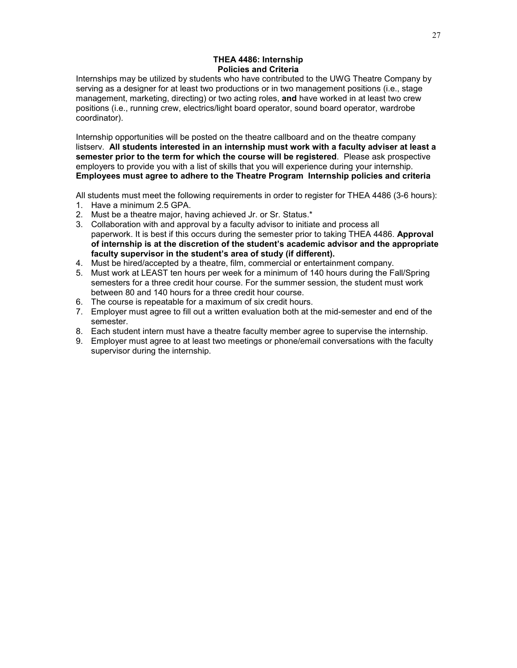# **THEA 4486: Internship Policies and Criteria**

Internships may be utilized by students who have contributed to the UWG Theatre Company by serving as a designer for at least two productions or in two management positions (i.e., stage management, marketing, directing) or two acting roles, **and** have worked in at least two crew positions (i.e., running crew, electrics/light board operator, sound board operator, wardrobe coordinator).

Internship opportunities will be posted on the theatre callboard and on the theatre company listserv. **All students interested in an internship must work with a faculty adviser at least a semester prior to the term for which the course will be registered**. Please ask prospective employers to provide you with a list of skills that you will experience during your internship. **Employees must agree to adhere to the Theatre Program Internship policies and criteria**

All students must meet the following requirements in order to register for THEA 4486 (3-6 hours):

- 1. Have a minimum 2.5 GPA.
- 2. Must be a theatre major, having achieved Jr. or Sr. Status.\*
- 3. Collaboration with and approval by a faculty advisor to initiate and process all paperwork. It is best if this occurs during the semester prior to taking THEA 4486. **Approval of internship is at the discretion of the student's academic advisor and the appropriate faculty supervisor in the student's area of study (if different).**
- 4. Must be hired/accepted by a theatre, film, commercial or entertainment company.
- 5. Must work at LEAST ten hours per week for a minimum of 140 hours during the Fall/Spring semesters for a three credit hour course. For the summer session, the student must work between 80 and 140 hours for a three credit hour course.
- 6. The course is repeatable for a maximum of six credit hours.
- 7. Employer must agree to fill out a written evaluation both at the mid-semester and end of the semester.
- 8. Each student intern must have a theatre faculty member agree to supervise the internship.
- 9. Employer must agree to at least two meetings or phone/email conversations with the faculty supervisor during the internship.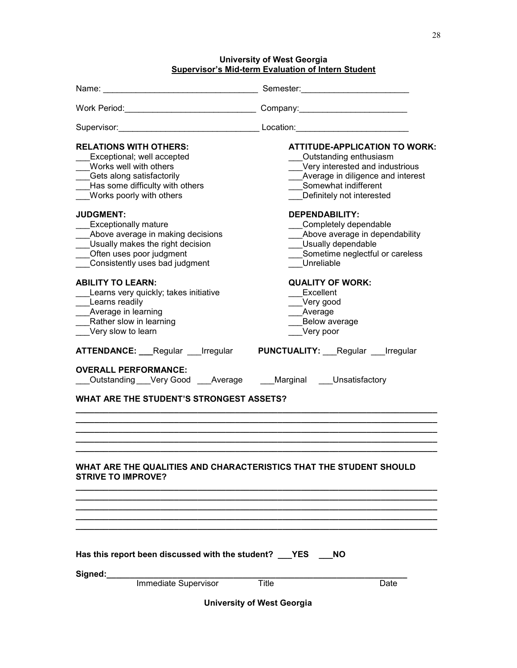# **University of West Georgia**

**Supervisor's Mid-term Evaluation of Intern Student**

| <b>RELATIONS WITH OTHERS:</b><br>Exceptional; well accepted<br>Works well with others<br>Gets along satisfactorily<br>Has some difficulty with others<br>Works poorly with others<br><b>JUDGMENT:</b> | <b>ATTITUDE-APPLICATION TO WORK:</b><br>Outstanding enthusiasm<br>Very interested and industrious<br>Average in diligence and interest<br>Somewhat indifferent<br>Definitely not interested<br><b>DEPENDABILITY:</b> |  |  |  |  |
|-------------------------------------------------------------------------------------------------------------------------------------------------------------------------------------------------------|----------------------------------------------------------------------------------------------------------------------------------------------------------------------------------------------------------------------|--|--|--|--|
| <b>Exceptionally mature</b><br>Above average in making decisions<br>Usually makes the right decision<br>Often uses poor judgment<br>Consistently uses bad judgment                                    | Completely dependable<br>Above average in dependability<br>Usually dependable<br>Sometime neglectful or careless<br>Unreliable                                                                                       |  |  |  |  |
| <b>ABILITY TO LEARN:</b><br>Learns very quickly; takes initiative<br>Learns readily<br>Average in learning<br>Rather slow in learning<br>__Very slow to learn                                         | <b>QUALITY OF WORK:</b><br>Excellent<br>Very good<br>Average<br>Below average<br>Very poor                                                                                                                           |  |  |  |  |
| <b>ATTENDANCE:</b> Regular Irregular                                                                                                                                                                  | <b>PUNCTUALITY:</b> Regular Irregular                                                                                                                                                                                |  |  |  |  |
| <b>OVERALL PERFORMANCE:</b><br>Outstanding Very Good Average Marginal Unsatisfactory                                                                                                                  |                                                                                                                                                                                                                      |  |  |  |  |
| WHAT ARE THE STUDENT'S STRONGEST ASSETS?                                                                                                                                                              |                                                                                                                                                                                                                      |  |  |  |  |
|                                                                                                                                                                                                       |                                                                                                                                                                                                                      |  |  |  |  |
| WHAT ARE THE QUALITIES AND CHARACTERISTICS THAT THE STUDENT SHOULD<br><b>STRIVE TO IMPROVE?</b>                                                                                                       |                                                                                                                                                                                                                      |  |  |  |  |
|                                                                                                                                                                                                       |                                                                                                                                                                                                                      |  |  |  |  |
|                                                                                                                                                                                                       |                                                                                                                                                                                                                      |  |  |  |  |
| Has this report been discussed with the student? __YES                                                                                                                                                | <b>NO</b>                                                                                                                                                                                                            |  |  |  |  |
| Signed:<br>Immediate Supervisor                                                                                                                                                                       | Title<br>Date                                                                                                                                                                                                        |  |  |  |  |
|                                                                                                                                                                                                       | <b>University of West Georgia</b>                                                                                                                                                                                    |  |  |  |  |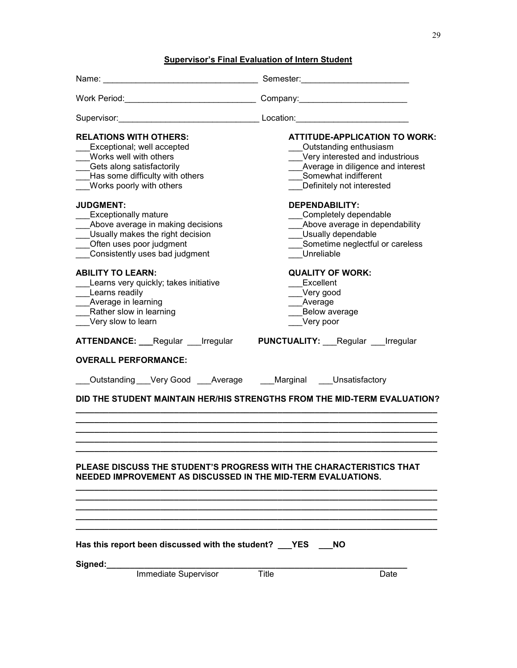# **Supervisor's Final Evaluation of Intern Student**

| <b>RELATIONS WITH OTHERS:</b><br>Exceptional; well accepted<br>Works well with others<br>__Gets along satisfactorily<br>Has some difficulty with others<br>Works poorly with others    | <b>ATTITUDE-APPLICATION TO WORK:</b><br>Outstanding enthusiasm<br>Very interested and industrious<br>Average in diligence and interest<br>Somewhat indifferent<br>Definitely not interested |  |  |  |  |  |
|----------------------------------------------------------------------------------------------------------------------------------------------------------------------------------------|---------------------------------------------------------------------------------------------------------------------------------------------------------------------------------------------|--|--|--|--|--|
| <b>JUDGMENT:</b><br><b>Exceptionally mature</b><br>Above average in making decisions<br>Usually makes the right decision<br>Often uses poor judgment<br>Consistently uses bad judgment | <b>DEPENDABILITY:</b><br>Completely dependable<br>_Above average in dependability<br>Usually dependable<br>Sometime neglectful or careless<br>Unreliable                                    |  |  |  |  |  |
| <b>ABILITY TO LEARN:</b><br>Learns very quickly; takes initiative<br>Learns readily<br>_Average in learning<br>Rather slow in learning<br>Very slow to learn                           | <b>QUALITY OF WORK:</b><br>Excellent<br>Very good<br>Average<br>Below average<br>Very poor                                                                                                  |  |  |  |  |  |
| ATTENDANCE: Regular Irregular PUNCTUALITY: Regular Irregular                                                                                                                           |                                                                                                                                                                                             |  |  |  |  |  |
| <b>OVERALL PERFORMANCE:</b>                                                                                                                                                            |                                                                                                                                                                                             |  |  |  |  |  |
| _Outstanding ___Very Good ____Average _____Marginal ____Unsatisfactory                                                                                                                 |                                                                                                                                                                                             |  |  |  |  |  |
|                                                                                                                                                                                        | DID THE STUDENT MAINTAIN HER/HIS STRENGTHS FROM THE MID-TERM EVALUATION?                                                                                                                    |  |  |  |  |  |
|                                                                                                                                                                                        |                                                                                                                                                                                             |  |  |  |  |  |
|                                                                                                                                                                                        |                                                                                                                                                                                             |  |  |  |  |  |
| PLEASE DISCUSS THE STUDENT'S PROGRESS WITH THE CHARACTERISTICS THAT<br>NEEDED IMPROVEMENT AS DISCUSSED IN THE MID-TERM EVALUATIONS.                                                    |                                                                                                                                                                                             |  |  |  |  |  |
|                                                                                                                                                                                        |                                                                                                                                                                                             |  |  |  |  |  |
| Has this report been discussed with the student? ___YES<br><b>NO</b>                                                                                                                   |                                                                                                                                                                                             |  |  |  |  |  |
| Signed:<br>Immediate Supervisor                                                                                                                                                        | Title<br>Date                                                                                                                                                                               |  |  |  |  |  |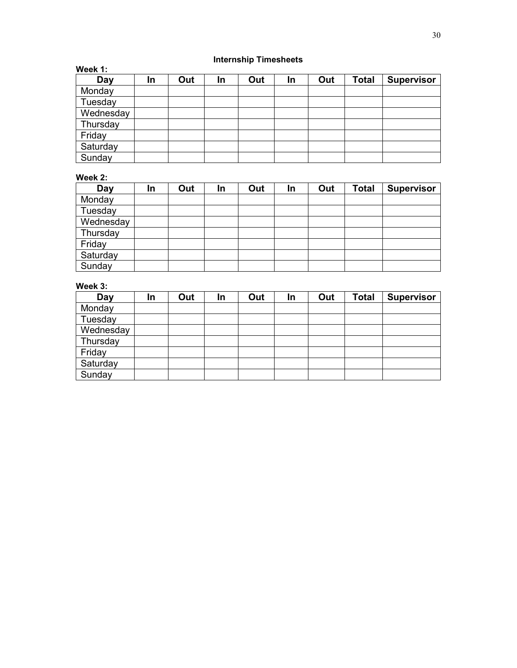# **Internship Timesheets**

| Week 1:   |     |     |    |     |    |     |              |                   |
|-----------|-----|-----|----|-----|----|-----|--------------|-------------------|
| Day       | In. | Out | In | Out | In | Out | <b>Total</b> | <b>Supervisor</b> |
| Monday    |     |     |    |     |    |     |              |                   |
| Tuesday   |     |     |    |     |    |     |              |                   |
| Wednesday |     |     |    |     |    |     |              |                   |
| Thursday  |     |     |    |     |    |     |              |                   |
| Friday    |     |     |    |     |    |     |              |                   |
| Saturday  |     |     |    |     |    |     |              |                   |
| Sunday    |     |     |    |     |    |     |              |                   |

# **Week 2:**

| Day       | In | Out | In | Out | In | Out | <b>Total</b> | <b>Supervisor</b> |
|-----------|----|-----|----|-----|----|-----|--------------|-------------------|
| Monday    |    |     |    |     |    |     |              |                   |
| Tuesday   |    |     |    |     |    |     |              |                   |
| Wednesday |    |     |    |     |    |     |              |                   |
| Thursday  |    |     |    |     |    |     |              |                   |
| Friday    |    |     |    |     |    |     |              |                   |
| Saturday  |    |     |    |     |    |     |              |                   |
| Sunday    |    |     |    |     |    |     |              |                   |

# **Week 3:**

| Day       | In | Out | In | Out | In | Out | <b>Total</b> | <b>Supervisor</b> |
|-----------|----|-----|----|-----|----|-----|--------------|-------------------|
| Monday    |    |     |    |     |    |     |              |                   |
| Tuesday   |    |     |    |     |    |     |              |                   |
| Wednesday |    |     |    |     |    |     |              |                   |
| Thursday  |    |     |    |     |    |     |              |                   |
| Friday    |    |     |    |     |    |     |              |                   |
| Saturday  |    |     |    |     |    |     |              |                   |
| Sunday    |    |     |    |     |    |     |              |                   |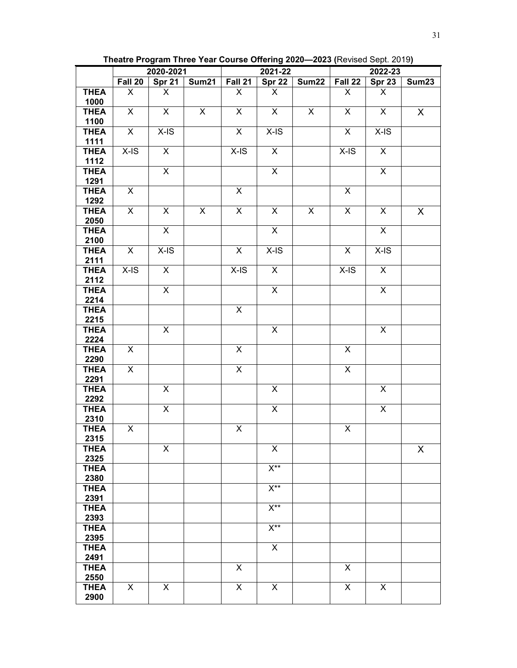**Theatre Program Three Year Course Offering 2020—2023 (**Revised Sept. 2019**)**

|                     | 2020-2021      |                         | 2021-22        |                |                         | 2022-23        |                |                |       |
|---------------------|----------------|-------------------------|----------------|----------------|-------------------------|----------------|----------------|----------------|-------|
|                     | Fall 20        | <b>Spr 21</b>           | Sum21          | Fall 21        | Spr 22                  | Sum22          | Fall 22        | <b>Spr 23</b>  | Sum23 |
| <b>THEA</b>         | X              | X                       |                | X              | X                       |                | X              | X              |       |
| 1000                |                |                         |                |                |                         |                |                |                |       |
| <b>THEA</b>         | X              | X                       | $\pmb{\times}$ | $\pmb{\times}$ | X                       | X              | X              | X              | X     |
| 1100                |                |                         |                |                |                         |                |                |                |       |
| <b>THEA</b>         | X              | $X$ -IS                 |                | X              | $X-IS$                  |                | X              | $X$ -IS        |       |
| 1111<br><b>THEA</b> | $X$ -IS        | X                       |                | X-IS           | X                       |                | X-IS           | X              |       |
| 1112                |                |                         |                |                |                         |                |                |                |       |
| <b>THEA</b>         |                | $\pmb{\times}$          |                |                | $\overline{\mathsf{x}}$ |                |                | X              |       |
| 1291                |                |                         |                |                |                         |                |                |                |       |
| <b>THEA</b>         | X              |                         |                | X              |                         |                | X              |                |       |
| 1292                |                |                         |                |                |                         |                |                |                |       |
| <b>THEA</b>         | $\overline{X}$ | $\overline{\mathsf{x}}$ | $\overline{X}$ | $\overline{X}$ | $\overline{\mathsf{x}}$ | $\pmb{\times}$ | $\overline{X}$ | X              | X     |
| 2050                |                |                         |                |                |                         |                |                |                |       |
| <b>THEA</b>         |                | $\overline{X}$          |                |                | $\pmb{\times}$          |                |                | $\overline{X}$ |       |
| 2100                |                |                         |                |                |                         |                |                |                |       |
| <b>THEA</b>         | X              | $X$ -IS                 |                | X              | $X$ -IS                 |                | X              | $X-IS$         |       |
| 2111                |                |                         |                |                |                         |                |                |                |       |
| <b>THEA</b><br>2112 | $X-IS$         | $\overline{\mathsf{x}}$ |                | $X-IS$         | $\overline{X}$          |                | $X-IS$         | $\overline{X}$ |       |
| <b>THEA</b>         |                | X                       |                |                | $\overline{\mathsf{x}}$ |                |                | $\overline{X}$ |       |
| 2214                |                |                         |                |                |                         |                |                |                |       |
| <b>THEA</b>         |                |                         |                | X              |                         |                |                |                |       |
| 2215                |                |                         |                |                |                         |                |                |                |       |
| <b>THEA</b>         |                | X                       |                |                | X                       |                |                | X              |       |
| 2224                |                |                         |                |                |                         |                |                |                |       |
| <b>THEA</b>         | X              |                         |                | X              |                         |                | X              |                |       |
| 2290                |                |                         |                |                |                         |                |                |                |       |
| <b>THEA</b>         | X              |                         |                | X              |                         |                | X              |                |       |
| 2291<br><b>THEA</b> |                | $\mathsf X$             |                |                | $\pmb{\times}$          |                |                | X              |       |
| 2292                |                |                         |                |                |                         |                |                |                |       |
| <b>THEA</b>         |                | $\mathsf X$             |                |                | $\pmb{\times}$          |                |                | $\pmb{\times}$ |       |
| 2310                |                |                         |                |                |                         |                |                |                |       |
| <b>THEA</b>         | X              |                         |                | X              |                         |                | X              |                |       |
| 2315                |                |                         |                |                |                         |                |                |                |       |
| <b>THEA</b>         |                | X                       |                |                | X                       |                |                |                | X     |
| 2325                |                |                         |                |                |                         |                |                |                |       |
| <b>THEA</b>         |                |                         |                |                | $X^{\star\star}$        |                |                |                |       |
| 2380                |                |                         |                |                |                         |                |                |                |       |
| <b>THEA</b><br>2391 |                |                         |                |                | $X^{\star\star}$        |                |                |                |       |
| <b>THEA</b>         |                |                         |                |                | $\overline{X^{**}}$     |                |                |                |       |
| 2393                |                |                         |                |                |                         |                |                |                |       |
| <b>THEA</b>         |                |                         |                |                | $X^{**}$                |                |                |                |       |
| 2395                |                |                         |                |                |                         |                |                |                |       |
| <b>THEA</b>         |                |                         |                |                | X                       |                |                |                |       |
| 2491                |                |                         |                |                |                         |                |                |                |       |
| <b>THEA</b>         |                |                         |                | X              |                         |                | X              |                |       |
| 2550                |                |                         |                |                |                         |                |                |                |       |
| <b>THEA</b>         | X              | X                       |                | $\mathsf{X}$   | X                       |                | X              | X              |       |
| 2900                |                |                         |                |                |                         |                |                |                |       |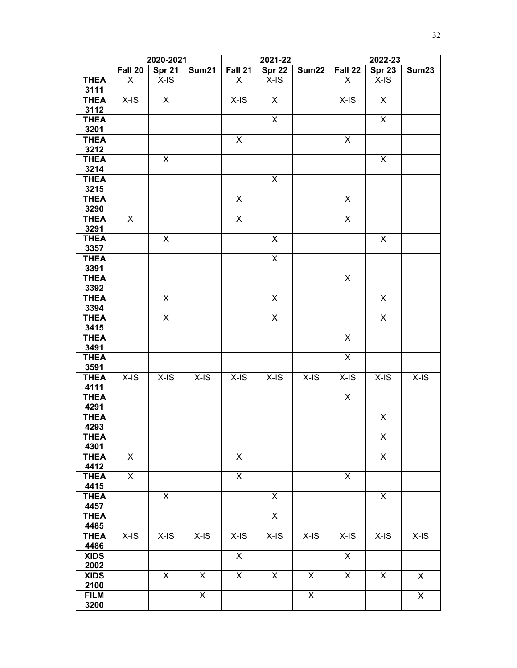|                     | 2020-2021 |                         | 2021-22                 |                         |                | 2022-23                 |                         |                           |         |
|---------------------|-----------|-------------------------|-------------------------|-------------------------|----------------|-------------------------|-------------------------|---------------------------|---------|
|                     | Fall 20   | Spr 21                  | Sum21                   | Fall 21                 | <b>Spr 22</b>  | Sum22                   | Fall 22                 | <b>Spr 23</b>             | Sum23   |
| <b>THEA</b><br>3111 | X         | $X-IS$                  |                         | X                       | $X-IS$         |                         | X                       | $X-IS$                    |         |
| <b>THEA</b>         | $X$ -IS   | $\overline{X}$          |                         | $X$ -IS                 | $\overline{X}$ |                         | $X$ -IS                 | $\mathsf{X}$              |         |
| 3112                |           |                         |                         |                         |                |                         |                         |                           |         |
| <b>THEA</b>         |           |                         |                         |                         | X              |                         |                         | $\pmb{\times}$            |         |
| 3201                |           |                         |                         |                         |                |                         |                         |                           |         |
| <b>THEA</b>         |           |                         |                         | $\pmb{\times}$          |                |                         | X                       |                           |         |
| 3212                |           |                         |                         |                         |                |                         |                         |                           |         |
| <b>THEA</b>         |           | X                       |                         |                         |                |                         |                         | $\boldsymbol{\mathsf{X}}$ |         |
| 3214                |           |                         |                         |                         |                |                         |                         |                           |         |
| <b>THEA</b>         |           |                         |                         |                         | X              |                         |                         |                           |         |
| 3215                |           |                         |                         |                         |                |                         |                         |                           |         |
| <b>THEA</b>         |           |                         |                         | $\pmb{\times}$          |                |                         | X                       |                           |         |
| 3290                |           |                         |                         |                         |                |                         |                         |                           |         |
| <b>THEA</b>         | X         |                         |                         | $\overline{\mathsf{x}}$ |                |                         | $\mathsf{X}$            |                           |         |
| 3291                |           |                         |                         |                         |                |                         |                         |                           |         |
| <b>THEA</b>         |           | X                       |                         |                         | X              |                         |                         | X                         |         |
| 3357                |           |                         |                         |                         |                |                         |                         |                           |         |
| <b>THEA</b>         |           |                         |                         |                         | X              |                         |                         |                           |         |
| 3391                |           |                         |                         |                         |                |                         |                         |                           |         |
| <b>THEA</b>         |           |                         |                         |                         |                |                         | $\mathsf{X}$            |                           |         |
| 3392                |           |                         |                         |                         |                |                         |                         |                           |         |
| <b>THEA</b>         |           | X                       |                         |                         | X              |                         |                         | X                         |         |
| 3394<br><b>THEA</b> |           | X                       |                         |                         | X              |                         |                         | X                         |         |
| 3415                |           |                         |                         |                         |                |                         |                         |                           |         |
| <b>THEA</b>         |           |                         |                         |                         |                |                         | $\pmb{\times}$          |                           |         |
| 3491                |           |                         |                         |                         |                |                         |                         |                           |         |
| <b>THEA</b>         |           |                         |                         |                         |                |                         | $\overline{X}$          |                           |         |
| 3591                |           |                         |                         |                         |                |                         |                         |                           |         |
| <b>THEA</b>         | $X-IS$    | $X-IS$                  | $X$ -IS                 | $X-S$                   | $X-IS$         | $X$ -IS                 | $X$ -IS                 | $X-IS$                    | $X$ -IS |
| 4111                |           |                         |                         |                         |                |                         |                         |                           |         |
| <b>THEA</b>         |           |                         |                         |                         |                |                         | $\overline{X}$          |                           |         |
| 4291                |           |                         |                         |                         |                |                         |                         |                           |         |
| <b>THEA</b>         |           |                         |                         |                         |                |                         |                         | X                         |         |
| 4293                |           |                         |                         |                         |                |                         |                         |                           |         |
| <b>THEA</b>         |           |                         |                         |                         |                |                         |                         | $\pmb{\times}$            |         |
| 4301                |           |                         |                         | $\pmb{\times}$          |                |                         |                         | X                         |         |
| <b>THEA</b><br>4412 | X         |                         |                         |                         |                |                         |                         |                           |         |
| <b>THEA</b>         | X         |                         |                         | $\pmb{\times}$          |                |                         | X                       |                           |         |
| 4415                |           |                         |                         |                         |                |                         |                         |                           |         |
| <b>THEA</b>         |           | X                       |                         |                         | X              |                         |                         | X                         |         |
| 4457                |           |                         |                         |                         |                |                         |                         |                           |         |
| <b>THEA</b>         |           |                         |                         |                         | $\overline{X}$ |                         |                         |                           |         |
| 4485                |           |                         |                         |                         |                |                         |                         |                           |         |
| <b>THEA</b>         | $X-IS$    | $X-IS$                  | $X-IS$                  | $X-IS$                  | $X-IS$         | $X-IS$                  | $X-IS$                  | $X-IS$                    | $X-IS$  |
| 4486                |           |                         |                         |                         |                |                         |                         |                           |         |
| <b>XIDS</b>         |           |                         |                         | $\pmb{\times}$          |                |                         | X                       |                           |         |
| 2002                |           |                         |                         |                         |                |                         |                         |                           |         |
| <b>XIDS</b>         |           | $\overline{\mathsf{X}}$ | $\overline{\mathsf{x}}$ | $\overline{\mathsf{x}}$ | $\overline{X}$ | $\overline{\mathsf{x}}$ | $\overline{\mathsf{x}}$ | $\overline{\mathsf{x}}$   | X       |
| 2100                |           |                         |                         |                         |                |                         |                         |                           |         |
| <b>FILM</b>         |           |                         | $\overline{\mathsf{x}}$ |                         |                | X                       |                         |                           | X       |
| 3200                |           |                         |                         |                         |                |                         |                         |                           |         |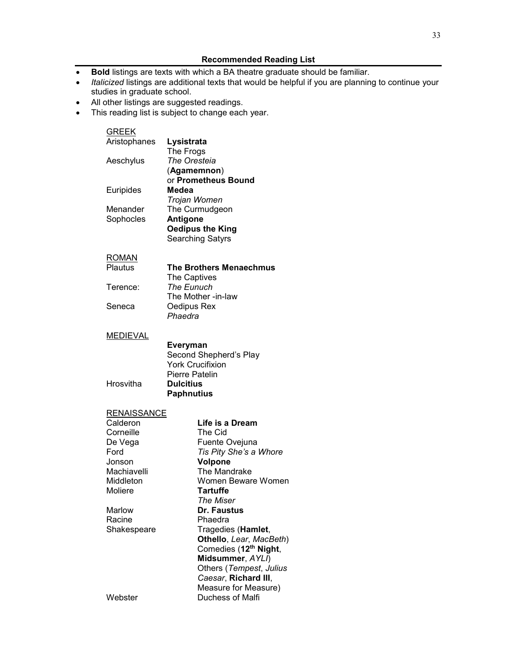- **Bold** listings are texts with which a BA theatre graduate should be familiar.
- *Italicized* listings are additional texts that would be helpful if you are planning to continue your studies in graduate school.
- All other listings are suggested readings.
- This reading list is subject to change each year.

| <b>GREEK</b> |                         |
|--------------|-------------------------|
| Aristophanes | Lysistrata              |
|              | The Frogs               |
| Aeschylus    | The Oresteia            |
|              | (Agamemnon)             |
|              | or Prometheus Bound     |
| Euripides    | Medea                   |
|              | Trojan Women            |
| Menander     | The Curmudgeon          |
| Sophocles    | Antigone                |
|              | <b>Oedipus the King</b> |
|              | <b>Searching Satyrs</b> |
|              |                         |

#### <u>ROMAN</u>

| Plautus  | <b>The Brothers Menaechmus</b> |
|----------|--------------------------------|
|          | The Captives                   |
| Terence: | The Eunuch                     |
|          | The Mother -in-law             |
| Seneca   | Oedipus Rex                    |
|          | Phaedra                        |
|          |                                |

#### **MEDIEVAL**

**Hrosvitha** 

| Everyman                |
|-------------------------|
| Second Shepherd's Play  |
| <b>York Crucifixion</b> |
| Pierre Patelin          |
| <b>Dulcitius</b>        |
| <b>Paphnutius</b>       |

# **RENAISSANCE**

| Calderon    | Life is a Dream                   |
|-------------|-----------------------------------|
| Corneille   | The Cid                           |
| De Vega     | Fuente Ovejuna                    |
| Ford        | Tis Pity She's a Whore            |
| Jonson      | <b>Volpone</b>                    |
| Machiavelli | The Mandrake                      |
| Middleton   | Women Beware Women                |
| Moliere     | Tartuffe                          |
|             | The Miser                         |
| Marlow      | Dr. Faustus                       |
| Racine      | Phaedra                           |
| Shakespeare | Tragedies (Hamlet,                |
|             | Othello, Lear, MacBeth)           |
|             | Comedies (12 <sup>th</sup> Night, |
|             | Midsummer, AYLI)                  |
|             | Others (Tempest, Julius           |
|             | Caesar, Richard III,              |
|             | Measure for Measure)              |
| Webster     | Duchess of Malfi                  |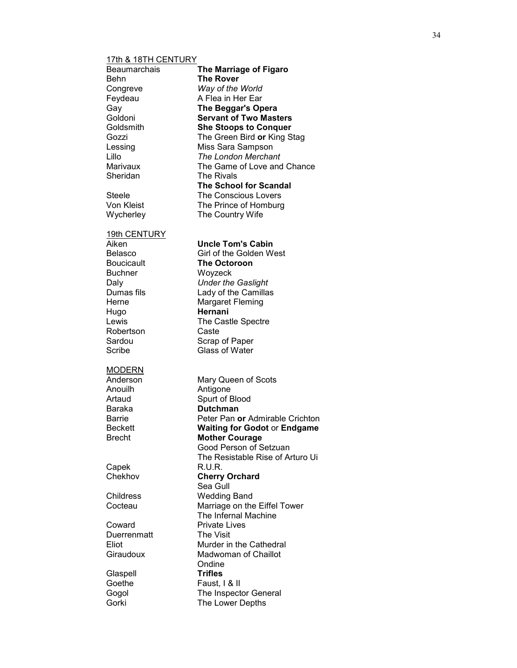# 17th & 18TH CENTURY

| Beaumarchais<br>Behn<br>Congreve<br>Feydeau<br>Gay<br>Goldoni<br>Goldsmith<br>Gozzi<br>Lessing<br>Lillo                                                  | The Marriage of Figaro<br><b>The Rover</b><br>Way of the World<br>A Flea in Her Ear<br>The Beggar's Opera<br><b>Servant of Two Masters</b><br><b>She Stoops to Conquer</b><br>The Green Bird or King Stag<br>Miss Sara Sampson<br><b>The London Merchant</b> |
|----------------------------------------------------------------------------------------------------------------------------------------------------------|--------------------------------------------------------------------------------------------------------------------------------------------------------------------------------------------------------------------------------------------------------------|
| Marivaux<br>Sheridan                                                                                                                                     | The Game of Love and Chance<br><b>The Rivals</b><br><b>The School for Scandal</b>                                                                                                                                                                            |
| Steele<br>Von Kleist<br>Wycherley                                                                                                                        | The Conscious Lovers<br>The Prince of Homburg<br>The Country Wife                                                                                                                                                                                            |
| 19th CENTURY<br>Aiken<br>Belasco<br><b>Boucicault</b><br><b>Buchner</b><br>Daly<br>Dumas fils<br>Herne<br>Hugo<br>Lewis<br>Robertson<br>Sardou<br>Scribe | Uncle Tom's Cabin<br>Girl of the Golden West<br><b>The Octoroon</b><br>Woyzeck<br><b>Under the Gaslight</b><br>Lady of the Camillas<br>Margaret Fleming<br>Hernani<br>The Castle Spectre<br>Caste<br>Scrap of Paper<br><b>Glass of Water</b>                 |
| <b>MODERN</b><br>Anderson<br>Anouilh<br>Artaud<br>Baraka<br><b>Barrie</b><br>Beckett<br>Brecht                                                           | Mary Queen of Scots<br>Antigone<br>Spurt of Blood<br><b>Dutchman</b><br>Peter Pan or Admirable Crichton<br><b>Waiting for Godot or Endgame</b><br><b>Mother Courage</b><br>Good Person of Setzuan<br>The Resistable Rise of Arturo Ui                        |
| Capek<br>Chekhov                                                                                                                                         | R.U.R.<br><b>Cherry Orchard</b><br>Sea Gull                                                                                                                                                                                                                  |
| Childress<br>Cocteau                                                                                                                                     | <b>Wedding Band</b><br>Marriage on the Eiffel Tower<br>The Infernal Machine                                                                                                                                                                                  |
| Coward<br>Duerrenmatt<br>Eliot<br>Giraudoux                                                                                                              | <b>Private Lives</b><br>The Visit<br>Murder in the Cathedral<br><b>Madwoman of Chaillot</b><br>Ondine                                                                                                                                                        |
| Glaspell<br>Goethe<br>Gogol<br>Gorki                                                                                                                     | <b>Trifles</b><br>Faust, I & II<br>The Inspector General<br>The Lower Depths                                                                                                                                                                                 |
|                                                                                                                                                          |                                                                                                                                                                                                                                                              |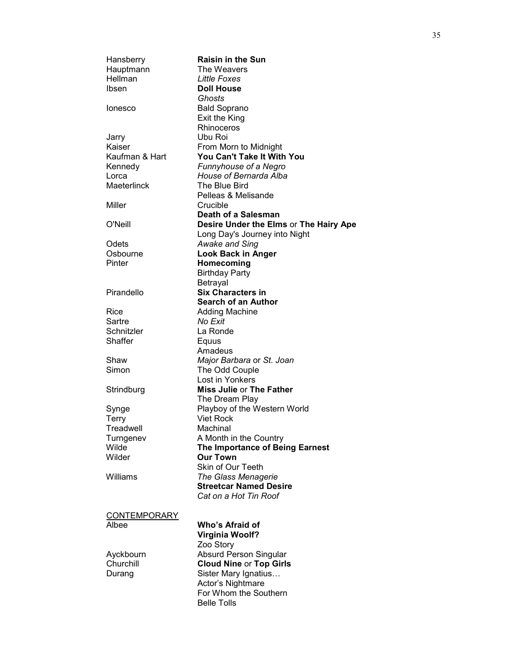| Hansberry           | <b>Raisin in the Sun</b>               |
|---------------------|----------------------------------------|
| Hauptmann           | The Weavers                            |
| Hellman             | Little Foxes                           |
| Ibsen               | <b>Doll House</b>                      |
|                     | Ghosts                                 |
| lonesco             | <b>Bald Soprano</b>                    |
|                     | Exit the King                          |
|                     | Rhinoceros                             |
| Jarry               | Ubu Roi                                |
| Kaiser              | From Morn to Midnight                  |
| Kaufman & Hart      | You Can't Take It With You             |
| Kennedy             | Funnyhouse of a Negro                  |
| Lorca               | House of Bernarda Alba                 |
| Maeterlinck         | The Blue Bird                          |
|                     | Pelleas & Melisande                    |
| Miller              | Crucible                               |
|                     | Death of a Salesman                    |
| O'Neill             | Desire Under the Elms or The Hairy Ape |
|                     | Long Day's Journey into Night          |
| Odets               |                                        |
| Osbourne            | <b>Awake and Sing</b>                  |
|                     | <b>Look Back in Anger</b>              |
| Pinter              | Homecoming                             |
|                     | <b>Birthday Party</b>                  |
| Pirandello          | Betrayal                               |
|                     | <b>Six Characters in</b>               |
|                     | <b>Search of an Author</b>             |
| Rice                | <b>Adding Machine</b>                  |
| Sartre              | No Exit                                |
| Schnitzler          | La Ronde                               |
| Shaffer             | Equus                                  |
|                     | Amadeus                                |
| Shaw                | Major Barbara or St. Joan              |
| Simon               | The Odd Couple                         |
|                     | Lost in Yonkers                        |
| Strindburg          | <b>Miss Julie or The Father</b>        |
|                     | The Dream Play                         |
| Synge               | Playboy of the Western World           |
| <b>Terry</b>        | <b>Viet Rock</b>                       |
| Treadwell           | Machinal                               |
| Turngenev           | A Month in the Country                 |
| Wilde               | The Importance of Being Earnest        |
| Wilder              | <b>Our Town</b>                        |
|                     | Skin of Our Teeth                      |
| Williams            | The Glass Menagerie                    |
|                     | <b>Streetcar Named Desire</b>          |
|                     | Cat on a Hot Tin Roof                  |
|                     |                                        |
| <b>CONTEMPORARY</b> |                                        |
| Albee               | Who's Afraid of                        |
|                     | <b>Virginia Woolf?</b>                 |
|                     | Zoo Story                              |
| Ayckbourn           | <b>Absurd Person Singular</b>          |
| Churchill           | <b>Cloud Nine or Top Girls</b>         |
| Durang              | Sister Mary Ignatius                   |
|                     | Actor's Nightmare                      |
|                     | For Whom the Southern                  |
|                     | <b>Belle Tolls</b>                     |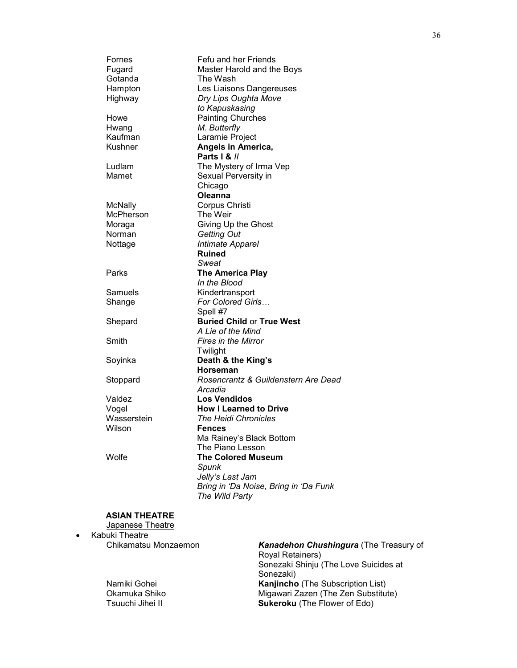| Fefu and her Friends                  |
|---------------------------------------|
| Master Harold and the Boys            |
| The Wash                              |
| Les Liaisons Dangereuses              |
| Dry Lips Oughta Move                  |
| to Kapuskasing                        |
| <b>Painting Churches</b>              |
| M. Butterfly                          |
| Laramie Project                       |
| Angels in America,                    |
| Parts I & //                          |
| The Mystery of Irma Vep               |
| Sexual Perversity in                  |
| Chicago                               |
| Oleanna                               |
| Corpus Christi                        |
| The Weir                              |
| Giving Up the Ghost                   |
| <b>Getting Out</b>                    |
| Intimate Apparel                      |
| <b>Ruined</b>                         |
| Sweat                                 |
| <b>The America Play</b>               |
| In the Blood                          |
| Kindertransport                       |
| For Colored Girls                     |
| Spell #7                              |
| <b>Buried Child or True West</b>      |
| A Lie of the Mind                     |
| <b>Fires in the Mirror</b>            |
| Twilight                              |
| Death & the King's                    |
| Horseman                              |
| Rosencrantz & Guildenstern Are Dead   |
| Arcadia                               |
| <b>Los Vendidos</b>                   |
| <b>How I Learned to Drive</b>         |
| <b>The Heidi Chronicles</b>           |
| <b>Fences</b>                         |
| Ma Rainey's Black Bottom              |
| The Piano Lesson                      |
| <b>The Colored Museum</b>             |
| Spunk                                 |
| Jelly's Last Jam                      |
| Bring in 'Da Noise, Bring in 'Da Funk |
| The Wild Party                        |
|                                       |
|                                       |

#### **ASIAN THEATRE** Japanese Theatre

• Kabuki Theatre Chikamatsu Monzaemon *Kanadehon Chushingura* (The Treasury of Royal Retainers) Sonezaki Shinju (The Love Suicides at Sonezaki) Namiki Gohei **Kanjincho** (The Subscription List) Okamuka Shiko Migawari Zazen (The Zen Substitute) Tsuuchi Jihei II **Sukeroku** (The Flower of Edo)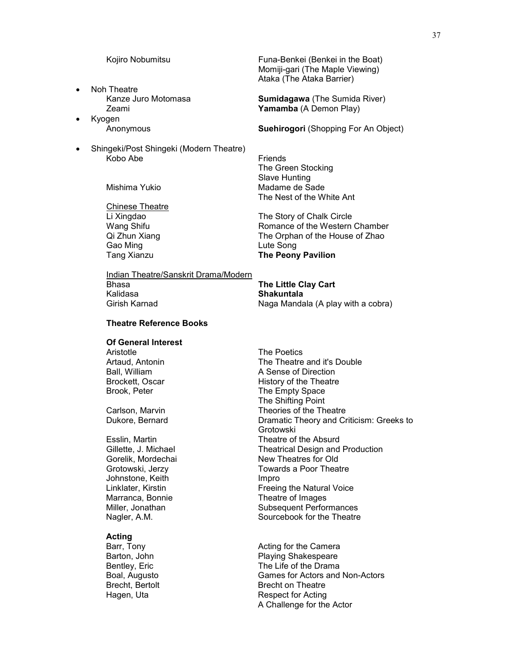- Noh Theatre<br>Kanze Juro Motomasa
- Kyogen
- Shingeki/Post Shingeki (Modern Theatre) Kobo Abe **Friends**

Chinese Theatre Gao Ming **Community** Cao Ming **Community** Case Community Lute Song

Kojiro Nobumitsu **Funa-Benkei** (Benkei in the Boat) Momiji-gari (The Maple Viewing) Ataka (The Ataka Barrier)

**Sumidagawa** (The Sumida River) Zeami **Yamamba** (A Demon Play)

Anonymous **Suehirogori** (Shopping For An Object)

The Green Stocking Slave Hunting Mishima Yukio Madame de Sade The Nest of the White Ant

Li Xingdao The Story of Chalk Circle Wang Shifu **Mang Shifu Romance of the Western Chamber**<br>
Qi Zhun Xiang **Romance of the House of Zhao** The Orphan of the House of Zhao Tang Xianzu **The Peony Pavilion**

Indian Theatre/Sanskrit Drama/Modern Bhasa **The Little Clay Cart** Girish Karnad **Naga Mandala (A play with a cobra)** 

Kalidasa **Shakuntala**

#### **Theatre Reference Books**

# **Of General Interest**

Aristotle The Poetics<br>Artaud, Antonin The Theatre

Johnstone, Keith Impro Marranca, Bonnie **Theatre of Images** 

**Acting**<br>Barr, Tony

The Theatre and it's Double Ball, William **A Sense of Direction** Brockett, Oscar **History of the Theatre** Brook, Peter The Empty Space The Shifting Point Carlson, Marvin **Theories** of the Theatre Dukore, Bernard Dramatic Theory and Criticism: Greeks to Grotowski Esslin, Martin **Theatre of the Absurd** Gillette, J. Michael Theatrical Design and Production<br>Gorelik, Mordechai Theatres for Old New Theatres for Old Grotowski, Jerzy **Towards a Poor Theatre** Freeing the Natural Voice Miller, Jonathan Subsequent Performances Sourcebook for the Theatre

Barr, Tony Acting for the Camera Playing Shakespeare Bentley, Eric **Bentley, Eric Election Control** The Life of the Drama<br>Boal, Augusto **Control Control Cames** for Actors and Games for Actors and Non-Actors Brecht, Bertolt **Brecht**, Bertolt **Brecht** on Theatre Hagen, Uta **Respect for Acting** A Challenge for the Actor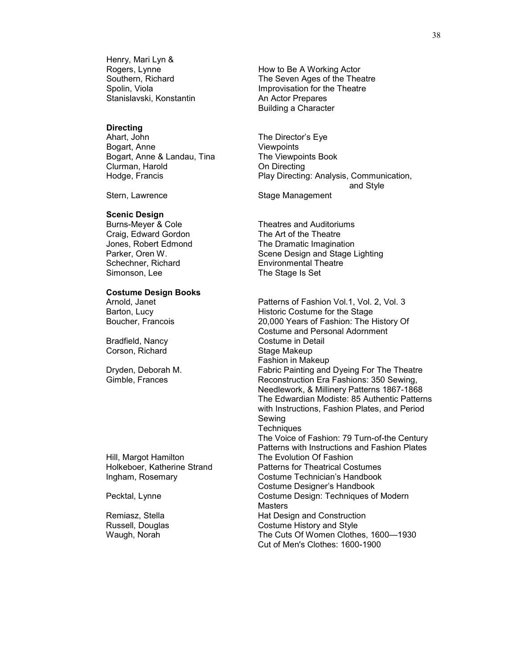Henry, Mari Lyn &<br>Rogers, Lynne Stanislavski, Konstantin An Actor Prepares

# **Directing**<br>Ahart, John

Bogart, Anne Viewpoints Bogart, Anne & Landau, Tina Clurman, Harold **Clurman**, Harold **Clurman**, **Harold** 

#### **Scenic Design**

Craig, Edward Gordon The Art of the Theatre<br>
Jones, Robert Edmond The Dramatic Imagina

# **Costume Design Books**

Corson, Richard Stage Makeup

Rogers, Lynne Moscotter How to Be A Working Actor<br>Southern, Richard Moscotter House The Seven Ages of the The The Seven Ages of the Theatre Spolin, Viola **Improvisation** for the Theatre Building a Character

The Director's Eye Hodge, Francis **Play Directing: Analysis, Communication,** and Style

Stern, Lawrence Stage Management

Burns-Meyer & Cole Theatres and Auditoriums The Dramatic Imagination Parker, Oren W. Scene Design and Stage Lighting Schechner, Richard Environmental Theatre<br>Simonson, Lee Environmental The Stage Is Set The Stage Is Set

Patterns of Fashion Vol.1, Vol. 2, Vol. 3 Barton, Lucy **Example 20** Historic Costume for the Stage Boucher, Francois 20,000 Years of Fashion: The History Of Costume and Personal Adornment Bradfield, Nancy Costume in Detail Fashion in Makeup Dryden, Deborah M. Fabric Painting and Dyeing For The Theatre Gimble, Frances Reconstruction Era Fashions: 350 Sewing, Needlework, & Millinery Patterns 1867-1868 The Edwardian Modiste: 85 Authentic Patterns with Instructions, Fashion Plates, and Period Sewing **Techniques** The Voice of Fashion: 79 Turn-of-the Century Patterns with Instructions and Fashion Plates Hill, Margot Hamilton The Evolution Of Fashion [Holkeboer,](http://www.amazon.com/exec/obidos/search-handle-url/index=books&field-author=Holkeboer%2C%20Katherine%20Strand/002-8250521-8588854) Katherine Strand Patterns for Theatrical Costumes Ingham, Rosemary Costume Technician's Handbook Costume Designer's Handbook Pecktal, Lynne **Costume Design: Techniques of Modern Masters** Remiasz, Stella **Hat Design and Construction** Russell, Douglas and Style Costume History and Style Waugh, Norah Burge Costume History and Style Waugh, New York The Cuts Of Women Clothes, 1600—1930 Cut of Men's Clothes: 1600-1900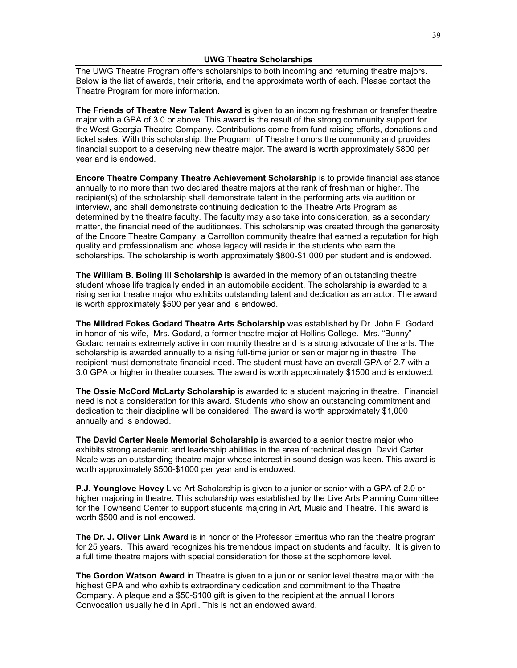The UWG Theatre Program offers scholarships to both incoming and returning theatre majors. Below is the list of awards, their criteria, and the approximate worth of each. Please contact the Theatre Program for more information.

**The Friends of Theatre New Talent Award** is given to an incoming freshman or transfer theatre major with a GPA of 3.0 or above. This award is the result of the strong community support for the West Georgia Theatre Company. Contributions come from fund raising efforts, donations and ticket sales. With this scholarship, the Program of Theatre honors the community and provides financial support to a deserving new theatre major. The award is worth approximately \$800 per year and is endowed.

**Encore Theatre Company Theatre Achievement Scholarship** is to provide financial assistance annually to no more than two declared theatre majors at the rank of freshman or higher. The recipient(s) of the scholarship shall demonstrate talent in the performing arts via audition or interview, and shall demonstrate continuing dedication to the Theatre Arts Program as determined by the theatre faculty. The faculty may also take into consideration, as a secondary matter, the financial need of the auditionees. This scholarship was created through the generosity of the Encore Theatre Company, a Carrollton community theatre that earned a reputation for high quality and professionalism and whose legacy will reside in the students who earn the scholarships. The scholarship is worth approximately \$800-\$1,000 per student and is endowed.

**The William B. Boling III Scholarship** is awarded in the memory of an outstanding theatre student whose life tragically ended in an automobile accident. The scholarship is awarded to a rising senior theatre major who exhibits outstanding talent and dedication as an actor. The award is worth approximately \$500 per year and is endowed.

**The Mildred Fokes Godard Theatre Arts Scholarship** was established by Dr. John E. Godard in honor of his wife, Mrs. Godard, a former theatre major at Hollins College. Mrs. "Bunny" Godard remains extremely active in community theatre and is a strong advocate of the arts. The scholarship is awarded annually to a rising full-time junior or senior majoring in theatre. The recipient must demonstrate financial need. The student must have an overall GPA of 2.7 with a 3.0 GPA or higher in theatre courses. The award is worth approximately \$1500 and is endowed.

**The Ossie McCord McLarty Scholarship** is awarded to a student majoring in theatre. Financial need is not a consideration for this award. Students who show an outstanding commitment and dedication to their discipline will be considered. The award is worth approximately \$1,000 annually and is endowed.

**The David Carter Neale Memorial Scholarship** is awarded to a senior theatre major who exhibits strong academic and leadership abilities in the area of technical design. David Carter Neale was an outstanding theatre major whose interest in sound design was keen. This award is worth approximately \$500-\$1000 per year and is endowed.

**P.J. Younglove Hovey** Live Art Scholarship is given to a junior or senior with a GPA of 2.0 or higher majoring in theatre. This scholarship was established by the Live Arts Planning Committee for the Townsend Center to support students majoring in Art, Music and Theatre. This award is worth \$500 and is not endowed.

**The Dr. J. Oliver Link Award** is in honor of the Professor Emeritus who ran the theatre program for 25 years. This award recognizes his tremendous impact on students and faculty. It is given to a full time theatre majors with special consideration for those at the sophomore level.

**The Gordon Watson Award** in Theatre is given to a junior or senior level theatre major with the highest GPA and who exhibits extraordinary dedication and commitment to the Theatre Company. A plaque and a \$50-\$100 gift is given to the recipient at the annual Honors Convocation usually held in April. This is not an endowed award.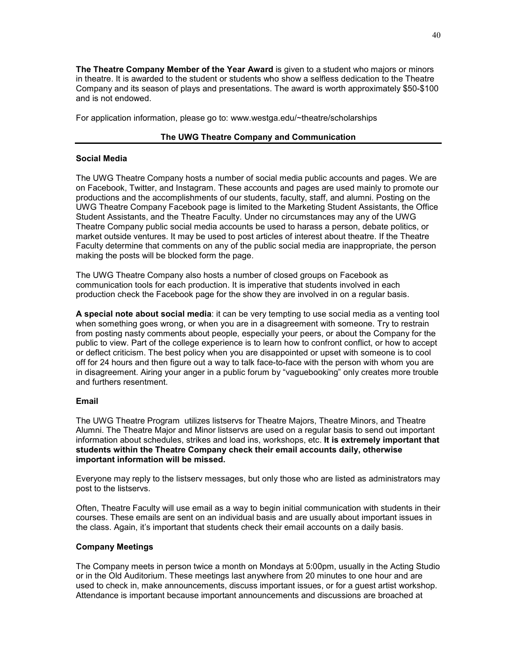**The Theatre Company Member of the Year Award** is given to a student who majors or minors in theatre. It is awarded to the student or students who show a selfless dedication to the Theatre Company and its season of plays and presentations. The award is worth approximately \$50-\$100 and is not endowed.

For application information, please go to: www.westga.edu/~theatre/scholarships

#### **The UWG Theatre Company and Communication**

#### **Social Media**

The UWG Theatre Company hosts a number of social media public accounts and pages. We are on Facebook, Twitter, and Instagram. These accounts and pages are used mainly to promote our productions and the accomplishments of our students, faculty, staff, and alumni. Posting on the UWG Theatre Company Facebook page is limited to the Marketing Student Assistants, the Office Student Assistants, and the Theatre Faculty. Under no circumstances may any of the UWG Theatre Company public social media accounts be used to harass a person, debate politics, or market outside ventures. It may be used to post articles of interest about theatre. If the Theatre Faculty determine that comments on any of the public social media are inappropriate, the person making the posts will be blocked form the page.

The UWG Theatre Company also hosts a number of closed groups on Facebook as communication tools for each production. It is imperative that students involved in each production check the Facebook page for the show they are involved in on a regular basis.

**A special note about social media**: it can be very tempting to use social media as a venting tool when something goes wrong, or when you are in a disagreement with someone. Try to restrain from posting nasty comments about people, especially your peers, or about the Company for the public to view. Part of the college experience is to learn how to confront conflict, or how to accept or deflect criticism. The best policy when you are disappointed or upset with someone is to cool off for 24 hours and then figure out a way to talk face-to-face with the person with whom you are in disagreement. Airing your anger in a public forum by "vaguebooking" only creates more trouble and furthers resentment.

#### **Email**

The UWG Theatre Program utilizes listservs for Theatre Majors, Theatre Minors, and Theatre Alumni. The Theatre Major and Minor listservs are used on a regular basis to send out important information about schedules, strikes and load ins, workshops, etc. **It is extremely important that students within the Theatre Company check their email accounts daily, otherwise important information will be missed.**

Everyone may reply to the listserv messages, but only those who are listed as administrators may post to the listservs.

Often, Theatre Faculty will use email as a way to begin initial communication with students in their courses. These emails are sent on an individual basis and are usually about important issues in the class. Again, it's important that students check their email accounts on a daily basis.

#### **Company Meetings**

The Company meets in person twice a month on Mondays at 5:00pm, usually in the Acting Studio or in the Old Auditorium. These meetings last anywhere from 20 minutes to one hour and are used to check in, make announcements, discuss important issues, or for a guest artist workshop. Attendance is important because important announcements and discussions are broached at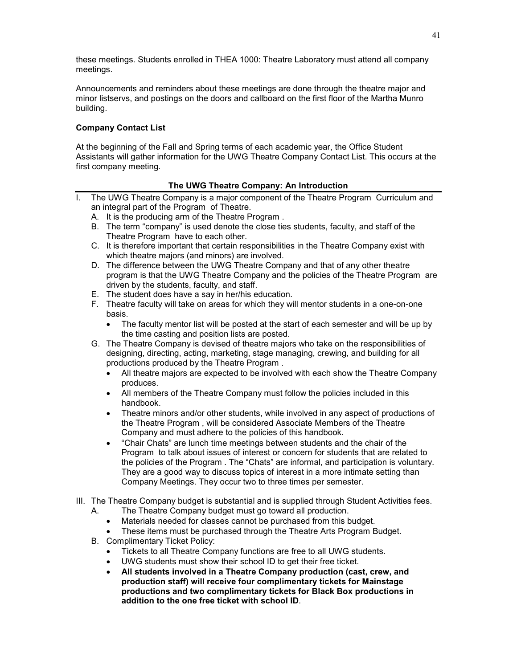these meetings. Students enrolled in THEA 1000: Theatre Laboratory must attend all company meetings.

Announcements and reminders about these meetings are done through the theatre major and minor listservs, and postings on the doors and callboard on the first floor of the Martha Munro building.

#### **Company Contact List**

At the beginning of the Fall and Spring terms of each academic year, the Office Student Assistants will gather information for the UWG Theatre Company Contact List. This occurs at the first company meeting.

#### **The UWG Theatre Company: An Introduction**

- I. The UWG Theatre Company is a major component of the Theatre Program Curriculum and an integral part of the Program of Theatre.
	- A. It is the producing arm of the Theatre Program .
	- B. The term "company" is used denote the close ties students, faculty, and staff of the Theatre Program have to each other.
	- C. It is therefore important that certain responsibilities in the Theatre Company exist with which theatre majors (and minors) are involved.
	- D. The difference between the UWG Theatre Company and that of any other theatre program is that the UWG Theatre Company and the policies of the Theatre Program are driven by the students, faculty, and staff.
	- E. The student does have a say in her/his education.
	- F. Theatre faculty will take on areas for which they will mentor students in a one-on-one basis.
		- The faculty mentor list will be posted at the start of each semester and will be up by the time casting and position lists are posted.
	- G. The Theatre Company is devised of theatre majors who take on the responsibilities of designing, directing, acting, marketing, stage managing, crewing, and building for all productions produced by the Theatre Program .
		- All theatre majors are expected to be involved with each show the Theatre Company produces.
		- All members of the Theatre Company must follow the policies included in this handbook.
		- Theatre minors and/or other students, while involved in any aspect of productions of the Theatre Program , will be considered Associate Members of the Theatre Company and must adhere to the policies of this handbook.
		- "Chair Chats" are lunch time meetings between students and the chair of the Program to talk about issues of interest or concern for students that are related to the policies of the Program . The "Chats" are informal, and participation is voluntary. They are a good way to discuss topics of interest in a more intimate setting than Company Meetings. They occur two to three times per semester.
- III. The Theatre Company budget is substantial and is supplied through Student Activities fees.
	- A. The Theatre Company budget must go toward all production.
		- Materials needed for classes cannot be purchased from this budget.
		- These items must be purchased through the Theatre Arts Program Budget.
	- B. Complimentary Ticket Policy:
		- Tickets to all Theatre Company functions are free to all UWG students.
		- UWG students must show their school ID to get their free ticket.
		- **All students involved in a Theatre Company production (cast, crew, and production staff) will receive four complimentary tickets for Mainstage productions and two complimentary tickets for Black Box productions in addition to the one free ticket with school ID**.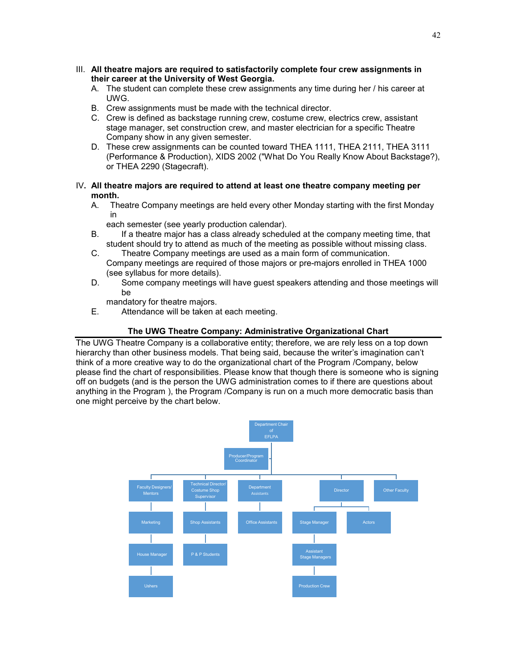- III. **All theatre majors are required to satisfactorily complete four crew assignments in their career at the University of West Georgia.**
	- A. The student can complete these crew assignments any time during her / his career at UWG.
	- B. Crew assignments must be made with the technical director.
	- C. Crew is defined as backstage running crew, costume crew, electrics crew, assistant stage manager, set construction crew, and master electrician for a specific Theatre Company show in any given semester.
	- D. These crew assignments can be counted toward THEA 1111, THEA 2111, THEA 3111 (Performance & Production), XIDS 2002 ("What Do You Really Know About Backstage?), or THEA 2290 (Stagecraft).
- IV**. All theatre majors are required to attend at least one theatre company meeting per month.**
	- A. Theatre Company meetings are held every other Monday starting with the first Monday in

each semester (see yearly production calendar).

- B. If a theatre major has a class already scheduled at the company meeting time, that student should try to attend as much of the meeting as possible without missing class.
- C. Theatre Company meetings are used as a main form of communication. Company meetings are required of those majors or pre-majors enrolled in THEA 1000 (see syllabus for more details).
- D. Some company meetings will have guest speakers attending and those meetings will be

mandatory for theatre majors.

E. Attendance will be taken at each meeting.

### **The UWG Theatre Company: Administrative Organizational Chart**

The UWG Theatre Company is a collaborative entity; therefore, we are rely less on a top down hierarchy than other business models. That being said, because the writer's imagination can't think of a more creative way to do the organizational chart of the Program /Company, below please find the chart of responsibilities. Please know that though there is someone who is signing off on budgets (and is the person the UWG administration comes to if there are questions about anything in the Program ), the Program /Company is run on a much more democratic basis than one might perceive by the chart below.

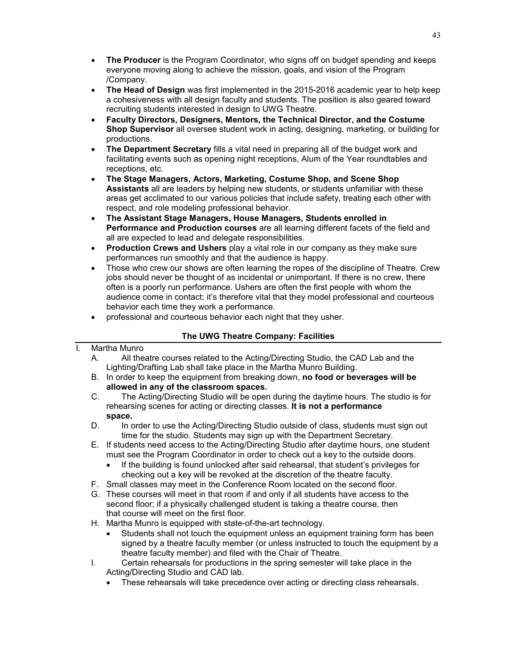- **The Producer** is the Program Coordinator, who signs off on budget spending and keeps everyone moving along to achieve the mission, goals, and vision of the Program /Company.
- **The Head of Design** was first implemented in the 2015-2016 academic year to help keep a cohesiveness with all design faculty and students. The position is also geared toward recruiting students interested in design to UWG Theatre.
- **Faculty Directors, Designers, Mentors, the Technical Director, and the Costume Shop Supervisor** all oversee student work in acting, designing, marketing, or building for productions.
- **The Department Secretary** fills a vital need in preparing all of the budget work and facilitating events such as opening night receptions, Alum of the Year roundtables and receptions, etc.
- **The Stage Managers, Actors, Marketing, Costume Shop, and Scene Shop Assistants** all are leaders by helping new students, or students unfamiliar with these areas get acclimated to our various policies that include safety, treating each other with respect, and role modeling professional behavior.
- **The Assistant Stage Managers, House Managers, Students enrolled in Performance and Production courses** are all learning different facets of the field and all are expected to lead and delegate responsibilities.
- **Production Crews and Ushers** play a vital role in our company as they make sure performances run smoothly and that the audience is happy.
- Those who crew our shows are often learning the ropes of the discipline of Theatre. Crew jobs should never be thought of as incidental or unimportant. If there is no crew, there often is a poorly run performance. Ushers are often the first people with whom the audience come in contact; it's therefore vital that they model professional and courteous behavior each time they work a performance.
- professional and courteous behavior each night that they usher.

## **The UWG Theatre Company: Facilities**

### I. Martha Munro

- A. All theatre courses related to the Acting/Directing Studio, the CAD Lab and the Lighting/Drafting Lab shall take place in the Martha Munro Building.
- B. In order to keep the equipment from breaking down, **no food or beverages will be allowed in any of the classroom spaces.**
- C. The Acting/Directing Studio will be open during the daytime hours. The studio is for rehearsing scenes for acting or directing classes. **It is not a performance space.**
- D. In order to use the Acting/Directing Studio outside of class, students must sign out time for the studio. Students may sign up with the Department Secretary.
- E. If students need access to the Acting/Directing Studio after daytime hours, one student must see the Program Coordinator in order to check out a key to the outside doors.
	- If the building is found unlocked after said rehearsal, that student's privileges for checking out a key will be revoked at the discretion of the theatre faculty.
- F. Small classes may meet in the Conference Room located on the second floor.
- G. These courses will meet in that room if and only if all students have access to the second floor; if a physically challenged student is taking a theatre course, then that course will meet on the first floor.
- H. Martha Munro is equipped with state-of-the-art technology.
	- Students shall not touch the equipment unless an equipment training form has been signed by a theatre faculty member (or unless instructed to touch the equipment by a theatre faculty member) and filed with the Chair of Theatre.
- I. Certain rehearsals for productions in the spring semester will take place in the Acting/Directing Studio and CAD lab.
	- These rehearsals will take precedence over acting or directing class rehearsals.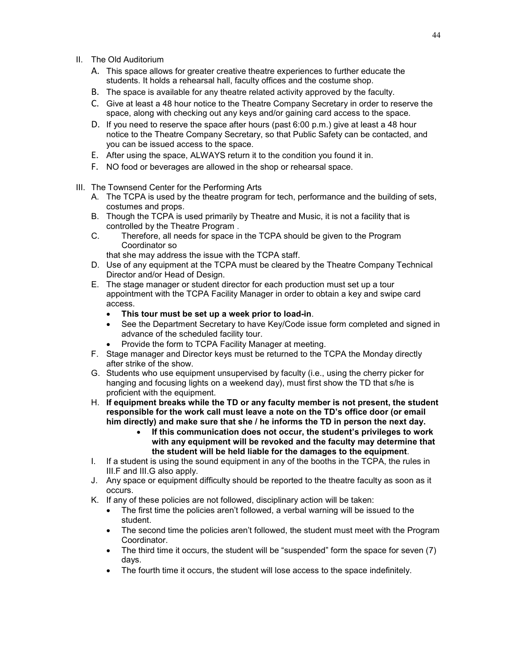- II. The Old Auditorium
	- A. This space allows for greater creative theatre experiences to further educate the students. It holds a rehearsal hall, faculty offices and the costume shop.
	- B. The space is available for any theatre related activity approved by the faculty.
	- C. Give at least a 48 hour notice to the Theatre Company Secretary in order to reserve the space, along with checking out any keys and/or gaining card access to the space.
	- D. If you need to reserve the space after hours (past 6:00 p.m.) give at least a 48 hour notice to the Theatre Company Secretary, so that Public Safety can be contacted, and you can be issued access to the space.
	- E. After using the space, ALWAYS return it to the condition you found it in.
	- F. NO food or beverages are allowed in the shop or rehearsal space.
- III. The Townsend Center for the Performing Arts
	- A. The TCPA is used by the theatre program for tech, performance and the building of sets, costumes and props.
	- B. Though the TCPA is used primarily by Theatre and Music, it is not a facility that is controlled by the Theatre Program .
	- C. Therefore, all needs for space in the TCPA should be given to the Program Coordinator so
		- that she may address the issue with the TCPA staff.
	- D. Use of any equipment at the TCPA must be cleared by the Theatre Company Technical Director and/or Head of Design.
	- E. The stage manager or student director for each production must set up a tour appointment with the TCPA Facility Manager in order to obtain a key and swipe card access.
		- **This tour must be set up a week prior to load-in**.
		- See the Department Secretary to have Key/Code issue form completed and signed in advance of the scheduled facility tour.
		- Provide the form to TCPA Facility Manager at meeting.
	- F. Stage manager and Director keys must be returned to the TCPA the Monday directly after strike of the show.
	- G. Students who use equipment unsupervised by faculty (i.e., using the cherry picker for hanging and focusing lights on a weekend day), must first show the TD that s/he is proficient with the equipment.
	- H. **If equipment breaks while the TD or any faculty member is not present, the student responsible for the work call must leave a note on the TD's office door (or email him directly) and make sure that she / he informs the TD in person the next day.** 
		- **If this communication does not occur, the student's privileges to work with any equipment will be revoked and the faculty may determine that the student will be held liable for the damages to the equipment**.
	- I. If a student is using the sound equipment in any of the booths in the TCPA, the rules in III.F and III.G also apply.
	- J. Any space or equipment difficulty should be reported to the theatre faculty as soon as it occurs.
	- K. If any of these policies are not followed, disciplinary action will be taken:
		- The first time the policies aren't followed, a verbal warning will be issued to the student.
		- The second time the policies aren't followed, the student must meet with the Program Coordinator.
		- The third time it occurs, the student will be "suspended" form the space for seven (7) days.
		- The fourth time it occurs, the student will lose access to the space indefinitely.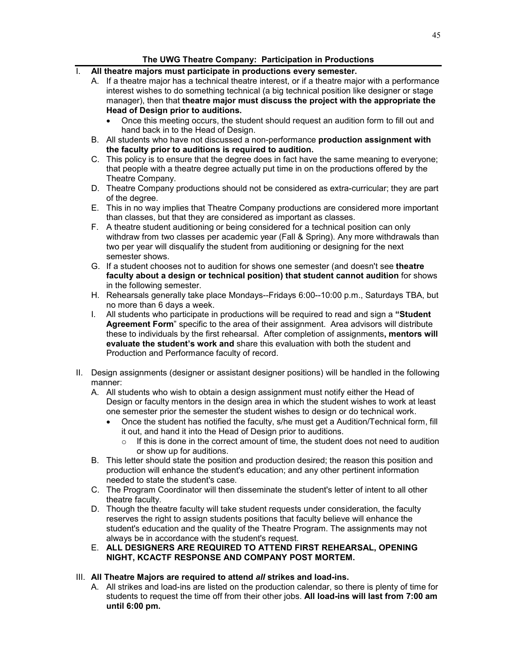### **The UWG Theatre Company: Participation in Productions**

- I. **All theatre majors must participate in productions every semester.**
	- A. If a theatre major has a technical theatre interest, or if a theatre major with a performance interest wishes to do something technical (a big technical position like designer or stage manager), then that **theatre major must discuss the project with the appropriate the Head of Design prior to auditions.**
		- Once this meeting occurs, the student should request an audition form to fill out and hand back in to the Head of Design.
	- B. All students who have not discussed a non-performance **production assignment with the faculty prior to auditions is required to audition.**
	- C. This policy is to ensure that the degree does in fact have the same meaning to everyone; that people with a theatre degree actually put time in on the productions offered by the Theatre Company.
	- D. Theatre Company productions should not be considered as extra-curricular; they are part of the degree.
	- E. This in no way implies that Theatre Company productions are considered more important than classes, but that they are considered as important as classes.
	- F. A theatre student auditioning or being considered for a technical position can only withdraw from two classes per academic year (Fall & Spring). Any more withdrawals than two per year will disqualify the student from auditioning or designing for the next semester shows.
	- G. If a student chooses not to audition for shows one semester (and doesn't see **theatre faculty about a design or technical position) that student cannot audition** for shows in the following semester.
	- H. Rehearsals generally take place Mondays--Fridays 6:00--10:00 p.m., Saturdays TBA, but no more than 6 days a week.
	- I. All students who participate in productions will be required to read and sign a **"Student Agreement Form**" specific to the area of their assignment. Area advisors will distribute these to individuals by the first rehearsal. After completion of assignments**, mentors will evaluate the student's work and** share this evaluation with both the student and Production and Performance faculty of record.
- II. Design assignments (designer or assistant designer positions) will be handled in the following manner:
	- A. All students who wish to obtain a design assignment must notify either the Head of Design or faculty mentors in the design area in which the student wishes to work at least one semester prior the semester the student wishes to design or do technical work.
		- Once the student has notified the faculty, s/he must get a Audition/Technical form, fill it out, and hand it into the Head of Design prior to auditions.
			- $\circ$  If this is done in the correct amount of time, the student does not need to audition or show up for auditions.
	- B. This letter should state the position and production desired; the reason this position and production will enhance the student's education; and any other pertinent information needed to state the student's case.
	- C. The Program Coordinator will then disseminate the student's letter of intent to all other theatre faculty.
	- D. Though the theatre faculty will take student requests under consideration, the faculty reserves the right to assign students positions that faculty believe will enhance the student's education and the quality of the Theatre Program. The assignments may not always be in accordance with the student's request.
	- E. **ALL DESIGNERS ARE REQUIRED TO ATTEND FIRST REHEARSAL, OPENING NIGHT, KCACTF RESPONSE AND COMPANY POST MORTEM.**
- III. **All Theatre Majors are required to attend** *all* **strikes and load-ins.**
	- A. All strikes and load-ins are listed on the production calendar, so there is plenty of time for students to request the time off from their other jobs. **All load-ins will last from 7:00 am until 6:00 pm.**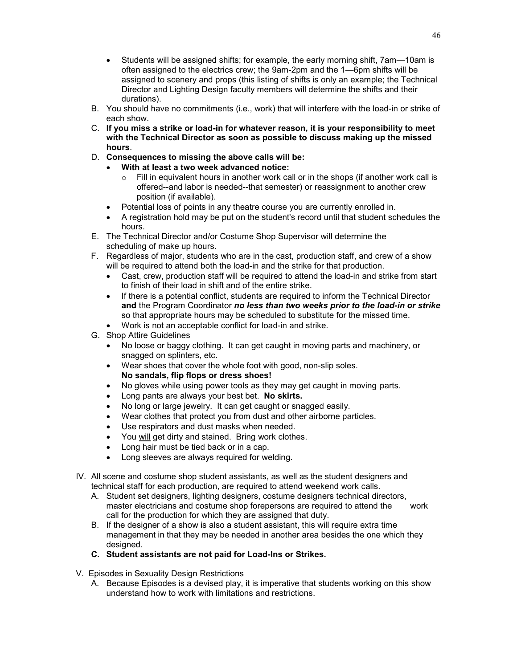- Students will be assigned shifts; for example, the early morning shift, 7am—10am is often assigned to the electrics crew; the 9am-2pm and the 1—6pm shifts will be assigned to scenery and props (this listing of shifts is only an example; the Technical Director and Lighting Design faculty members will determine the shifts and their durations).
- B. You should have no commitments (i.e., work) that will interfere with the load-in or strike of each show.
- C. **If you miss a strike or load-in for whatever reason, it is your responsibility to meet with the Technical Director as soon as possible to discuss making up the missed hours**.
- D. **Consequences to missing the above calls will be:**
	- **With at least a two week advanced notice:** 
		- $\circ$  Fill in equivalent hours in another work call or in the shops (if another work call is offered--and labor is needed--that semester) or reassignment to another crew position (if available).
	- Potential loss of points in any theatre course you are currently enrolled in.
	- A registration hold may be put on the student's record until that student schedules the hours.
- E. The Technical Director and/or Costume Shop Supervisor will determine the scheduling of make up hours.
- F. Regardless of major, students who are in the cast, production staff, and crew of a show will be required to attend both the load-in and the strike for that production.
	- Cast, crew, production staff will be required to attend the load-in and strike from start to finish of their load in shift and of the entire strike.
	- If there is a potential conflict, students are required to inform the Technical Director **and** the Program Coordinator *no less than two weeks prior to the load-in or strike* so that appropriate hours may be scheduled to substitute for the missed time.
	- Work is not an acceptable conflict for load-in and strike.
- G. Shop Attire Guidelines
	- No loose or baggy clothing. It can get caught in moving parts and machinery, or snagged on splinters, etc.
	- Wear shoes that cover the whole foot with good, non-slip soles. **No sandals, flip flops or dress shoes!**
	- No gloves while using power tools as they may get caught in moving parts.
	- Long pants are always your best bet. **No skirts.**
	- No long or large jewelry. It can get caught or snagged easily.
	- Wear clothes that protect you from dust and other airborne particles.
	- Use respirators and dust masks when needed.
	- You will get dirty and stained. Bring work clothes.
	- Long hair must be tied back or in a cap.
	- Long sleeves are always required for welding.
- IV. All scene and costume shop student assistants, as well as the student designers and technical staff for each production, are required to attend weekend work calls.
	- A. Student set designers, lighting designers, costume designers technical directors, master electricians and costume shop forepersons are required to attend the work call for the production for which they are assigned that duty.
	- B. If the designer of a show is also a student assistant, this will require extra time management in that they may be needed in another area besides the one which they designed.
	- **C. Student assistants are not paid for Load-Ins or Strikes.**
- V. Episodes in Sexuality Design Restrictions
	- A. Because Episodes is a devised play, it is imperative that students working on this show understand how to work with limitations and restrictions.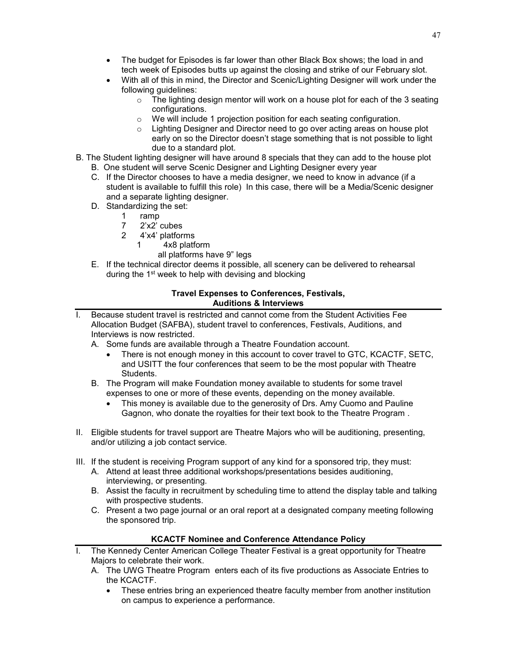- The budget for Episodes is far lower than other Black Box shows; the load in and tech week of Episodes butts up against the closing and strike of our February slot.
- With all of this in mind, the Director and Scenic/Lighting Designer will work under the following guidelines:
	- $\circ$  The lighting design mentor will work on a house plot for each of the 3 seating configurations.
	- We will include 1 projection position for each seating configuration.
	- $\circ$  Lighting Designer and Director need to go over acting areas on house plot early on so the Director doesn't stage something that is not possible to light due to a standard plot.
- B. The Student lighting designer will have around 8 specials that they can add to the house plot
	- B. One student will serve Scenic Designer and Lighting Designer every year
	- C. If the Director chooses to have a media designer, we need to know in advance (if a student is available to fulfill this role) In this case, there will be a Media/Scenic designer and a separate lighting designer.
	- D. Standardizing the set:
		- 1 ramp<br> $\frac{1}{7}$   $\frac{2}{x^2}$
		- 2'x2' cubes
		- 2 4'x4' platforms
			- 1 4x8 platform
				- all platforms have 9" legs
	- E. If the technical director deems it possible, all scenery can be delivered to rehearsal during the 1<sup>st</sup> week to help with devising and blocking

#### **Travel Expenses to Conferences, Festivals, Auditions & Interviews**

- I. Because student travel is restricted and cannot come from the Student Activities Fee Allocation Budget (SAFBA), student travel to conferences, Festivals, Auditions, and Interviews is now restricted.
	- A. Some funds are available through a Theatre Foundation account.
		- There is not enough money in this account to cover travel to GTC, KCACTF, SETC, and USITT the four conferences that seem to be the most popular with Theatre Students.
	- B. The Program will make Foundation money available to students for some travel expenses to one or more of these events, depending on the money available.
		- This money is available due to the generosity of Drs. Amy Cuomo and Pauline Gagnon, who donate the royalties for their text book to the Theatre Program .
- II. Eligible students for travel support are Theatre Majors who will be auditioning, presenting, and/or utilizing a job contact service.
- III. If the student is receiving Program support of any kind for a sponsored trip, they must:
	- A. Attend at least three additional workshops/presentations besides auditioning, interviewing, or presenting.
	- B. Assist the faculty in recruitment by scheduling time to attend the display table and talking with prospective students.
	- C. Present a two page journal or an oral report at a designated company meeting following the sponsored trip.

### **KCACTF Nominee and Conference Attendance Policy**

- I. The Kennedy Center American College Theater Festival is a great opportunity for Theatre Majors to celebrate their work.
	- A. The UWG Theatre Program enters each of its five productions as Associate Entries to the KCACTF.
		- These entries bring an experienced theatre faculty member from another institution on campus to experience a performance.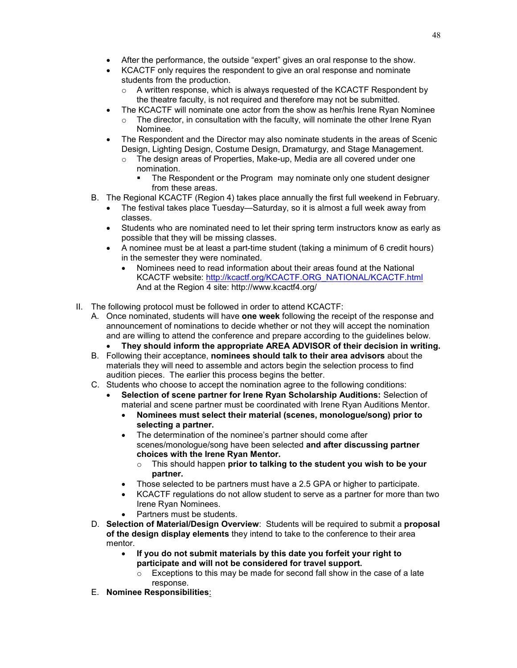- After the performance, the outside "expert" gives an oral response to the show.
- KCACTF only requires the respondent to give an oral response and nominate students from the production.
	- o A written response, which is always requested of the KCACTF Respondent by the theatre faculty, is not required and therefore may not be submitted.
- The KCACTF will nominate one actor from the show as her/his Irene Ryan Nominee
	- $\circ$  The director, in consultation with the faculty, will nominate the other Irene Ryan Nominee.
- The Respondent and the Director may also nominate students in the areas of Scenic Design, Lighting Design, Costume Design, Dramaturgy, and Stage Management.
	- $\circ$  The design areas of Properties, Make-up, Media are all covered under one nomination.
		- The Respondent or the Program may nominate only one student designer from these areas.
- B. The Regional KCACTF (Region 4) takes place annually the first full weekend in February.
	- The festival takes place Tuesday—Saturday, so it is almost a full week away from classes.
	- Students who are nominated need to let their spring term instructors know as early as possible that they will be missing classes.
	- A nominee must be at least a part-time student (taking a minimum of 6 credit hours) in the semester they were nominated.
		- Nominees need to read information about their areas found at the National KCACTF website: [http://kcactf.org/KCACTF.ORG\\_NATIONAL/KCACTF.html](http://kcactf.org/KCACTF.ORG_NATIONAL/KCACTF.html) And at the Region 4 site: http://www.kcactf4.org/
- II. The following protocol must be followed in order to attend KCACTF:
	- A. Once nominated, students will have **one week** following the receipt of the response and announcement of nominations to decide whether or not they will accept the nomination and are willing to attend the conference and prepare according to the guidelines below.
		- **They should inform the appropriate AREA ADVISOR of their decision in writing.**
	- B. Following their acceptance, **nominees should talk to their area advisors** about the materials they will need to assemble and actors begin the selection process to find audition pieces. The earlier this process begins the better.
	- C. Students who choose to accept the nomination agree to the following conditions:
		- **Selection of scene partner for Irene Ryan Scholarship Auditions:** Selection of material and scene partner must be coordinated with Irene Ryan Auditions Mentor.
			- **Nominees must select their material (scenes, monologue/song) prior to selecting a partner.**
			- The determination of the nominee's partner should come after scenes/monologue/song have been selected **and after discussing partner choices with the Irene Ryan Mentor.**
				- o This should happen **prior to talking to the student you wish to be your partner.**
			- Those selected to be partners must have a 2.5 GPA or higher to participate.
			- KCACTF regulations do not allow student to serve as a partner for more than two Irene Ryan Nominees.
			- Partners must be students.
	- D. **Selection of Material/Design Overview**: Students will be required to submit a **proposal of the design display elements** they intend to take to the conference to their area mentor.
		- **If you do not submit materials by this date you forfeit your right to participate and will not be considered for travel support.** 
			- o Exceptions to this may be made for second fall show in the case of a late response.
	- E. **Nominee Responsibilities**: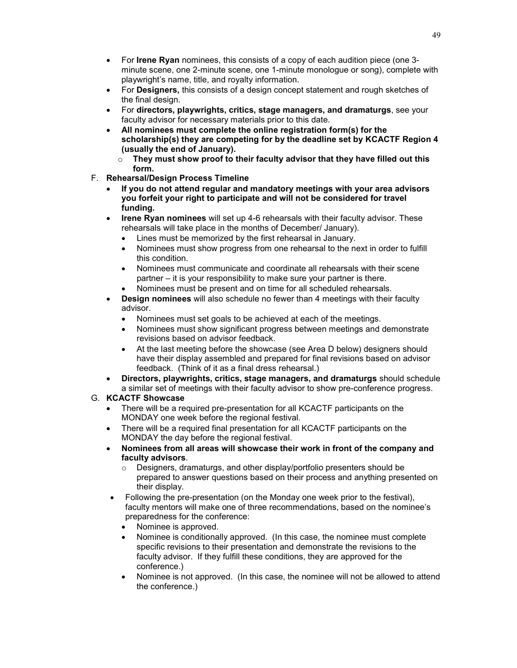- For **Irene Ryan** nominees, this consists of a copy of each audition piece (one 3 minute scene, one 2-minute scene, one 1-minute monologue or song), complete with playwright's name, title, and royalty information.
- For **Designers,** this consists of a design concept statement and rough sketches of the final design.
- For **directors, playwrights, critics, stage managers, and dramaturgs**, see your faculty advisor for necessary materials prior to this date.
- **All nominees must complete the online registration form(s) for the scholarship(s) they are competing for by the deadline set by KCACTF Region 4 (usually the end of January).**

o **They must show proof to their faculty advisor that they have filled out this form.**

- F. **Rehearsal/Design Process Timeline** 
	- **If you do not attend regular and mandatory meetings with your area advisors you forfeit your right to participate and will not be considered for travel funding.**
	- **Irene Ryan nominees** will set up 4-6 rehearsals with their faculty advisor. These rehearsals will take place in the months of December/ January).
		- Lines must be memorized by the first rehearsal in January.
		- Nominees must show progress from one rehearsal to the next in order to fulfill this condition.
		- Nominees must communicate and coordinate all rehearsals with their scene partner – it is your responsibility to make sure your partner is there.
		- Nominees must be present and on time for all scheduled rehearsals.
	- **Design nominees** will also schedule no fewer than 4 meetings with their faculty advisor.
		- Nominees must set goals to be achieved at each of the meetings.
		- Nominees must show significant progress between meetings and demonstrate revisions based on advisor feedback.
		- At the last meeting before the showcase (see Area D below) designers should have their display assembled and prepared for final revisions based on advisor feedback. (Think of it as a final dress rehearsal.)
	- **Directors, playwrights, critics, stage managers, and dramaturgs** should schedule a similar set of meetings with their faculty advisor to show pre-conference progress.
- G. **KCACTF Showcase**
	- There will be a required pre-presentation for all KCACTF participants on the MONDAY one week before the regional festival.
	- There will be a required final presentation for all KCACTF participants on the MONDAY the day before the regional festival.
	- **Nominees from all areas will showcase their work in front of the company and faculty advisors**.
		- o Designers, dramaturgs, and other display/portfolio presenters should be prepared to answer questions based on their process and anything presented on their display.
	- Following the pre-presentation (on the Monday one week prior to the festival), faculty mentors will make one of three recommendations, based on the nominee's preparedness for the conference:
		- Nominee is approved.
		- Nominee is conditionally approved. (In this case, the nominee must complete specific revisions to their presentation and demonstrate the revisions to the faculty advisor. If they fulfill these conditions, they are approved for the conference.)
		- Nominee is not approved. (In this case, the nominee will not be allowed to attend the conference.)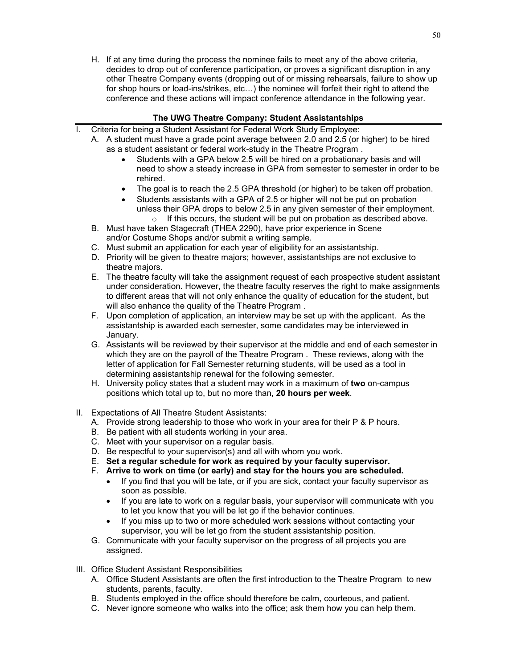H. If at any time during the process the nominee fails to meet any of the above criteria, decides to drop out of conference participation, or proves a significant disruption in any other Theatre Company events (dropping out of or missing rehearsals, failure to show up for shop hours or load-ins/strikes, etc…) the nominee will forfeit their right to attend the conference and these actions will impact conference attendance in the following year.

# **The UWG Theatre Company: Student Assistantships**

- I. Criteria for being a Student Assistant for Federal Work Study Employee:
	- A. A student must have a grade point average between 2.0 and 2.5 (or higher) to be hired as a student assistant or federal work-study in the Theatre Program .
		- Students with a GPA below 2.5 will be hired on a probationary basis and will need to show a steady increase in GPA from semester to semester in order to be rehired.
		- The goal is to reach the 2.5 GPA threshold (or higher) to be taken off probation.
		- Students assistants with a GPA of 2.5 or higher will not be put on probation unless their GPA drops to below 2.5 in any given semester of their employment.
	- o If this occurs, the student will be put on probation as described above. B. Must have taken Stagecraft (THEA 2290), have prior experience in Scene
		- and/or Costume Shops and/or submit a writing sample.
	- C. Must submit an application for each year of eligibility for an assistantship.
	- D. Priority will be given to theatre majors; however, assistantships are not exclusive to theatre majors.
	- E. The theatre faculty will take the assignment request of each prospective student assistant under consideration. However, the theatre faculty reserves the right to make assignments to different areas that will not only enhance the quality of education for the student, but will also enhance the quality of the Theatre Program .
	- F. Upon completion of application, an interview may be set up with the applicant. As the assistantship is awarded each semester, some candidates may be interviewed in January.
	- G. Assistants will be reviewed by their supervisor at the middle and end of each semester in which they are on the payroll of the Theatre Program . These reviews, along with the letter of application for Fall Semester returning students, will be used as a tool in determining assistantship renewal for the following semester.
	- H. University policy states that a student may work in a maximum of **two** on-campus positions which total up to, but no more than, **20 hours per week**.
- II. Expectations of All Theatre Student Assistants:
	- A. Provide strong leadership to those who work in your area for their P & P hours.
	- B. Be patient with all students working in your area.
	- C. Meet with your supervisor on a regular basis.
	- D. Be respectful to your supervisor(s) and all with whom you work.
	- E. **Set a regular schedule for work as required by your faculty supervisor.**
	- F. **Arrive to work on time (or early) and stay for the hours you are scheduled.**
		- If you find that you will be late, or if you are sick, contact your faculty supervisor as soon as possible.
		- If you are late to work on a regular basis, your supervisor will communicate with you to let you know that you will be let go if the behavior continues.
		- If you miss up to two or more scheduled work sessions without contacting your supervisor, you will be let go from the student assistantship position.
	- G. Communicate with your faculty supervisor on the progress of all projects you are assigned.
- III. Office Student Assistant Responsibilities
	- A. Office Student Assistants are often the first introduction to the Theatre Program to new students, parents, faculty.
	- B. Students employed in the office should therefore be calm, courteous, and patient.
	- C. Never ignore someone who walks into the office; ask them how you can help them.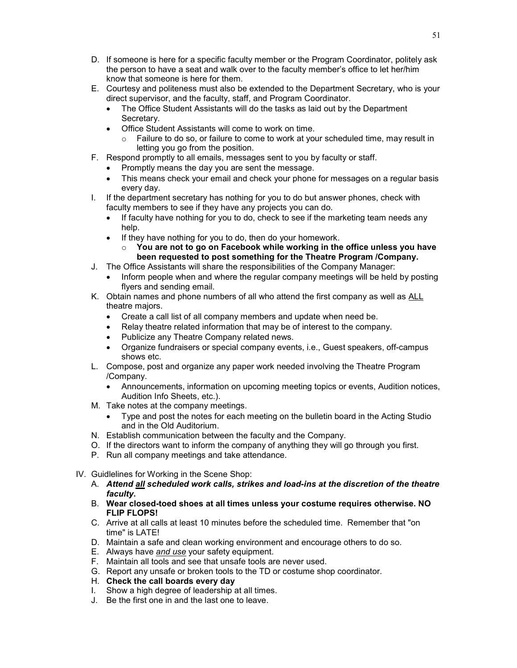- D. If someone is here for a specific faculty member or the Program Coordinator, politely ask the person to have a seat and walk over to the faculty member's office to let her/him know that someone is here for them.
- E. Courtesy and politeness must also be extended to the Department Secretary, who is your direct supervisor, and the faculty, staff, and Program Coordinator.
	- The Office Student Assistants will do the tasks as laid out by the Department Secretary.
	- Office Student Assistants will come to work on time.
		- $\circ$  Failure to do so, or failure to come to work at your scheduled time, may result in letting you go from the position.
- F. Respond promptly to all emails, messages sent to you by faculty or staff.
	- Promptly means the day you are sent the message.
	- This means check your email and check your phone for messages on a regular basis every day.
- I. If the department secretary has nothing for you to do but answer phones, check with faculty members to see if they have any projects you can do.
	- If faculty have nothing for you to do, check to see if the marketing team needs any help.
	- If they have nothing for you to do, then do your homework.
		- o **You are not to go on Facebook while working in the office unless you have been requested to post something for the Theatre Program /Company.**
- J. The Office Assistants will share the responsibilities of the Company Manager:
	- Inform people when and where the regular company meetings will be held by posting flyers and sending email.
- K. Obtain names and phone numbers of all who attend the first company as well as ALL theatre majors.
	- Create a call list of all company members and update when need be.
	- Relay theatre related information that may be of interest to the company.
	- Publicize any Theatre Company related news.
	- Organize fundraisers or special company events, i.e., Guest speakers, off-campus shows etc.
- L. Compose, post and organize any paper work needed involving the Theatre Program /Company.
	- Announcements, information on upcoming meeting topics or events, Audition notices, Audition Info Sheets, etc.).
- M. Take notes at the company meetings.
	- Type and post the notes for each meeting on the bulletin board in the Acting Studio and in the Old Auditorium.
- N. Establish communication between the faculty and the Company.
- O. If the directors want to inform the company of anything they will go through you first.
- P. Run all company meetings and take attendance.
- IV. Guidlelines for Working in the Scene Shop:
	- A. *Attend all scheduled work calls, strikes and load-ins at the discretion of the theatre faculty***.**
	- B. **Wear closed-toed shoes at all times unless your costume requires otherwise. NO FLIP FLOPS!**
	- C. Arrive at all calls at least 10 minutes before the scheduled time. Remember that "on time" is LATE!
	- D. Maintain a safe and clean working environment and encourage others to do so.
	- E. Always have *and use* your safety equipment.
	- F. Maintain all tools and see that unsafe tools are never used.
	- G. Report any unsafe or broken tools to the TD or costume shop coordinator.
	- H. **Check the call boards every day**
	- I. Show a high degree of leadership at all times.
	- J. Be the first one in and the last one to leave.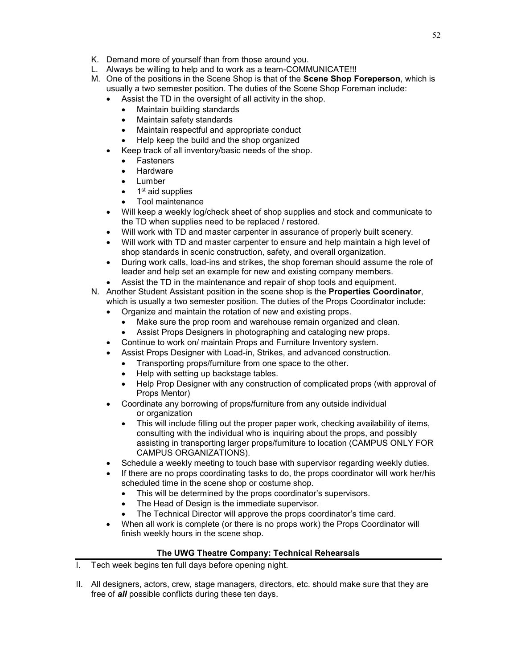- K. Demand more of yourself than from those around you.
- L. Always be willing to help and to work as a team-COMMUNICATE!!!
- M. One of the positions in the Scene Shop is that of the **Scene Shop Foreperson**, which is usually a two semester position. The duties of the Scene Shop Foreman include:
	- Assist the TD in the oversight of all activity in the shop.
		- Maintain building standards
		- Maintain safety standards
		- Maintain respectful and appropriate conduct
		- Help keep the build and the shop organized
		- Keep track of all inventory/basic needs of the shop.
		- Fasteners
		- **Hardware**
		- Lumber
		- 1<sup>st</sup> aid supplies
		- Tool maintenance
	- Will keep a weekly log/check sheet of shop supplies and stock and communicate to the TD when supplies need to be replaced / restored.
	- Will work with TD and master carpenter in assurance of properly built scenery.
	- Will work with TD and master carpenter to ensure and help maintain a high level of shop standards in scenic construction, safety, and overall organization.
	- During work calls, load-ins and strikes, the shop foreman should assume the role of leader and help set an example for new and existing company members.
	- Assist the TD in the maintenance and repair of shop tools and equipment.
- N. Another Student Assistant position in the scene shop is the **Properties Coordinator**, which is usually a two semester position. The duties of the Props Coordinator include:
	- Organize and maintain the rotation of new and existing props.
		- Make sure the prop room and warehouse remain organized and clean.
		- Assist Props Designers in photographing and cataloging new props.
	- Continue to work on/ maintain Props and Furniture Inventory system.
	- Assist Props Designer with Load-in, Strikes, and advanced construction.
		- Transporting props/furniture from one space to the other.
		- Help with setting up backstage tables.
		- Help Prop Designer with any construction of complicated props (with approval of Props Mentor)
	- Coordinate any borrowing of props/furniture from any outside individual or organization
		- This will include filling out the proper paper work, checking availability of items, consulting with the individual who is inquiring about the props, and possibly assisting in transporting larger props/furniture to location (CAMPUS ONLY FOR CAMPUS ORGANIZATIONS).
	- Schedule a weekly meeting to touch base with supervisor regarding weekly duties.
	- If there are no props coordinating tasks to do, the props coordinator will work her/his scheduled time in the scene shop or costume shop.
		- This will be determined by the props coordinator's supervisors.
		- The Head of Design is the immediate supervisor.
		- The Technical Director will approve the props coordinator's time card.
	- When all work is complete (or there is no props work) the Props Coordinator will finish weekly hours in the scene shop.

#### **The UWG Theatre Company: Technical Rehearsals**

- I. Tech week begins ten full days before opening night.
- II. All designers, actors, crew, stage managers, directors, etc. should make sure that they are free of *all* possible conflicts during these ten days.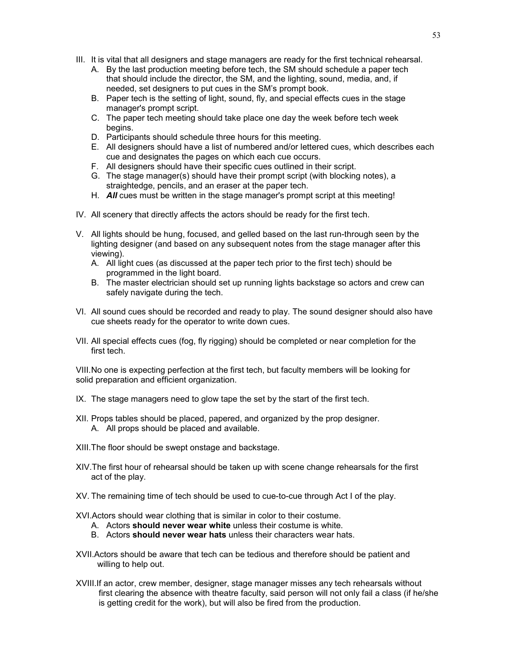- III. It is vital that all designers and stage managers are ready for the first technical rehearsal.
	- A. By the last production meeting before tech, the SM should schedule a paper tech that should include the director, the SM, and the lighting, sound, media, and, if needed, set designers to put cues in the SM's prompt book.
	- B. Paper tech is the setting of light, sound, fly, and special effects cues in the stage manager's prompt script.
	- C. The paper tech meeting should take place one day the week before tech week begins.
	- D. Participants should schedule three hours for this meeting.
	- E. All designers should have a list of numbered and/or lettered cues, which describes each cue and designates the pages on which each cue occurs.
	- F. All designers should have their specific cues outlined in their script.
	- G. The stage manager(s) should have their prompt script (with blocking notes), a straightedge, pencils, and an eraser at the paper tech.
	- H. *All* cues must be written in the stage manager's prompt script at this meeting!
- IV. All scenery that directly affects the actors should be ready for the first tech.
- V. All lights should be hung, focused, and gelled based on the last run-through seen by the lighting designer (and based on any subsequent notes from the stage manager after this viewing).
	- A. All light cues (as discussed at the paper tech prior to the first tech) should be programmed in the light board.
	- B. The master electrician should set up running lights backstage so actors and crew can safely navigate during the tech.
- VI. All sound cues should be recorded and ready to play. The sound designer should also have cue sheets ready for the operator to write down cues.
- VII. All special effects cues (fog, fly rigging) should be completed or near completion for the first tech.

VIII.No one is expecting perfection at the first tech, but faculty members will be looking for solid preparation and efficient organization.

- IX. The stage managers need to glow tape the set by the start of the first tech.
- XII. Props tables should be placed, papered, and organized by the prop designer. A. All props should be placed and available.
- XIII.The floor should be swept onstage and backstage.
- XIV.The first hour of rehearsal should be taken up with scene change rehearsals for the first act of the play.
- XV. The remaining time of tech should be used to cue-to-cue through Act I of the play.
- XVI.Actors should wear clothing that is similar in color to their costume.
	- A. Actors **should never wear white** unless their costume is white.
	- B. Actors **should never wear hats** unless their characters wear hats.
- XVII.Actors should be aware that tech can be tedious and therefore should be patient and willing to help out.
- XVIII.If an actor, crew member, designer, stage manager misses any tech rehearsals without first clearing the absence with theatre faculty, said person will not only fail a class (if he/she is getting credit for the work), but will also be fired from the production.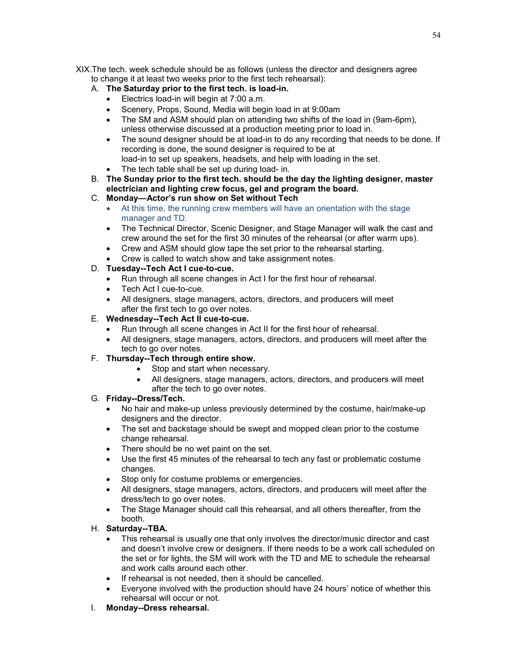XIX.The tech. week schedule should be as follows (unless the director and designers agree to change it at least two weeks prior to the first tech rehearsal):

## A. **The Saturday prior to the first tech. is load-in.**

- Electrics load-in will begin at 7:00 a.m.
- Scenery, Props, Sound, Media will begin load in at 9:00am
- The SM and ASM should plan on attending two shifts of the load in (9am-6pm), unless otherwise discussed at a production meeting prior to load in.
- The sound designer should be at load-in to do any recording that needs to be done. If recording is done, the sound designer is required to be at load-in to set up speakers, headsets, and help with loading in the set.
- The tech table shall be set up during load- in.
- B. **The Sunday prior to the first tech. should be the day the lighting designer, master electrician and lighting crew focus, gel and program the board.**
- C. **Monday—Actor's run show on Set without Tech**
	- At this time, the running crew members will have an orientation with the stage manager and TD.
	- The Technical Director, Scenic Designer, and Stage Manager will walk the cast and crew around the set for the first 30 minutes of the rehearsal (or after warm ups).
	- Crew and ASM should glow tape the set prior to the rehearsal starting.
	- Crew is called to watch show and take assignment notes.
- D. **Tuesday--Tech Act I cue-to-cue.** 
	- Run through all scene changes in Act I for the first hour of rehearsal.
	- Tech Act I cue-to-cue.
	- All designers, stage managers, actors, directors, and producers will meet after the first tech to go over notes.
- E. **Wednesday--Tech Act II cue-to-cue.**
	- Run through all scene changes in Act II for the first hour of rehearsal.
	- All designers, stage managers, actors, directors, and producers will meet after the tech to go over notes.
- F. **Thursday--Tech through entire show.**
	- Stop and start when necessary.
	- All designers, stage managers, actors, directors, and producers will meet after the tech to go over notes.

### G. **Friday--Dress/Tech.**

- No hair and make-up unless previously determined by the costume, hair/make-up designers and the director.
- The set and backstage should be swept and mopped clean prior to the costume change rehearsal.
- There should be no wet paint on the set.
- Use the first 45 minutes of the rehearsal to tech any fast or problematic costume changes.
- Stop only for costume problems or emergencies.
- All designers, stage managers, actors, directors, and producers will meet after the dress/tech to go over notes.
- The Stage Manager should call this rehearsal, and all others thereafter, from the booth.

# H. **Saturday--TBA.**

- This rehearsal is usually one that only involves the director/music director and cast and doesn't involve crew or designers. If there needs to be a work call scheduled on the set or for lights, the SM will work with the TD and ME to schedule the rehearsal and work calls around each other.
- If rehearsal is not needed, then it should be cancelled.
- Everyone involved with the production should have 24 hours' notice of whether this rehearsal will occur or not.
- I. **Monday--Dress rehearsal.**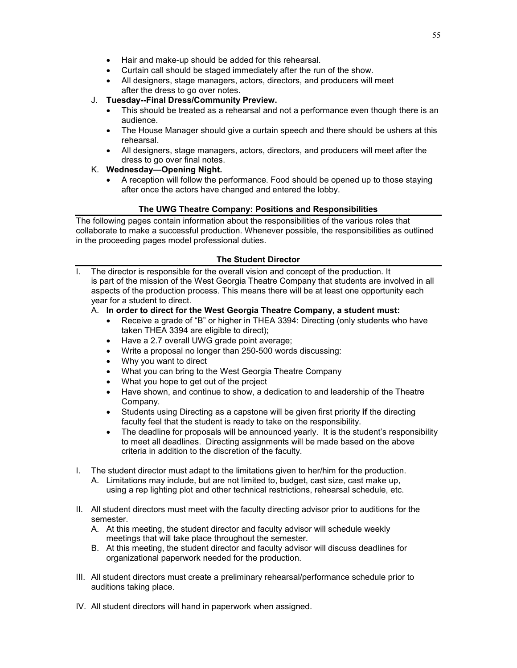- Hair and make-up should be added for this rehearsal.
- Curtain call should be staged immediately after the run of the show.
- All designers, stage managers, actors, directors, and producers will meet after the dress to go over notes.
- J. **Tuesday--Final Dress/Community Preview.**
	- This should be treated as a rehearsal and not a performance even though there is an audience.
	- The House Manager should give a curtain speech and there should be ushers at this rehearsal.
	- All designers, stage managers, actors, directors, and producers will meet after the dress to go over final notes.
- K. **Wednesday—Opening Night.**
	- A reception will follow the performance. Food should be opened up to those staying after once the actors have changed and entered the lobby.

#### **The UWG Theatre Company: Positions and Responsibilities**

The following pages contain information about the responsibilities of the various roles that collaborate to make a successful production. Whenever possible, the responsibilities as outlined in the proceeding pages model professional duties.

#### **The Student Director**

I. The director is responsible for the overall vision and concept of the production. It is part of the mission of the West Georgia Theatre Company that students are involved in all aspects of the production process. This means there will be at least one opportunity each year for a student to direct.

#### A. **In order to direct for the West Georgia Theatre Company, a student must:**

- Receive a grade of "B" or higher in THEA 3394: Directing (only students who have taken THEA 3394 are eligible to direct);
- Have a 2.7 overall UWG grade point average;
- Write a proposal no longer than 250-500 words discussing:
- Why you want to direct
- What you can bring to the West Georgia Theatre Company
- What you hope to get out of the project
- Have shown, and continue to show, a dedication to and leadership of the Theatre Company.
- Students using Directing as a capstone will be given first priority **if** the directing faculty feel that the student is ready to take on the responsibility.
- The deadline for proposals will be announced yearly. It is the student's responsibility to meet all deadlines. Directing assignments will be made based on the above criteria in addition to the discretion of the faculty.
- I. The student director must adapt to the limitations given to her/him for the production.
	- A. Limitations may include, but are not limited to, budget, cast size, cast make up, using a rep lighting plot and other technical restrictions, rehearsal schedule, etc.
- II. All student directors must meet with the faculty directing advisor prior to auditions for the semester.
	- A. At this meeting, the student director and faculty advisor will schedule weekly meetings that will take place throughout the semester.
	- B. At this meeting, the student director and faculty advisor will discuss deadlines for organizational paperwork needed for the production.
- III. All student directors must create a preliminary rehearsal/performance schedule prior to auditions taking place.
- IV. All student directors will hand in paperwork when assigned.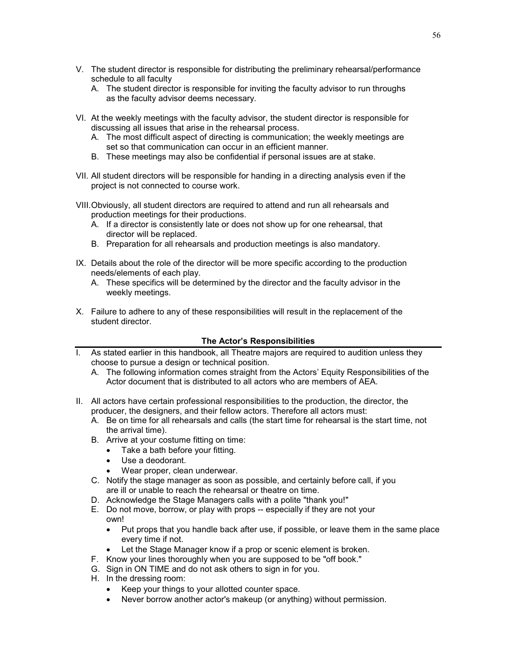- V. The student director is responsible for distributing the preliminary rehearsal/performance schedule to all faculty
	- A. The student director is responsible for inviting the faculty advisor to run throughs as the faculty advisor deems necessary.
- VI. At the weekly meetings with the faculty advisor, the student director is responsible for discussing all issues that arise in the rehearsal process.
	- A. The most difficult aspect of directing is communication; the weekly meetings are set so that communication can occur in an efficient manner.
	- B. These meetings may also be confidential if personal issues are at stake.
- VII. All student directors will be responsible for handing in a directing analysis even if the project is not connected to course work.
- VIII.Obviously, all student directors are required to attend and run all rehearsals and production meetings for their productions.
	- A. If a director is consistently late or does not show up for one rehearsal, that director will be replaced.
	- B. Preparation for all rehearsals and production meetings is also mandatory.
- IX. Details about the role of the director will be more specific according to the production needs/elements of each play.
	- A. These specifics will be determined by the director and the faculty advisor in the weekly meetings.
- X. Failure to adhere to any of these responsibilities will result in the replacement of the student director.

#### **The Actor's Responsibilities**

- As stated earlier in this handbook, all Theatre majors are required to audition unless they choose to pursue a design or technical position.
	- A. The following information comes straight from the Actors' Equity Responsibilities of the Actor document that is distributed to all actors who are members of AEA.
- II. All actors have certain professional responsibilities to the production, the director, the producer, the designers, and their fellow actors. Therefore all actors must:
	- A. Be on time for all rehearsals and calls (the start time for rehearsal is the start time, not the arrival time).
	- B. Arrive at your costume fitting on time:
		- Take a bath before your fitting.
		- Use a deodorant.
		- Wear proper, clean underwear.
	- C. Notify the stage manager as soon as possible, and certainly before call, if you are ill or unable to reach the rehearsal or theatre on time.
	- D. Acknowledge the Stage Managers calls with a polite "thank you!"
	- E. Do not move, borrow, or play with props -- especially if they are not your own!
		- Put props that you handle back after use, if possible, or leave them in the same place every time if not.
		- Let the Stage Manager know if a prop or scenic element is broken.
	- F. Know your lines thoroughly when you are supposed to be "off book."
	- G. Sign in ON TIME and do not ask others to sign in for you.
	- H. In the dressing room:
		- Keep your things to your allotted counter space.
		- Never borrow another actor's makeup (or anything) without permission.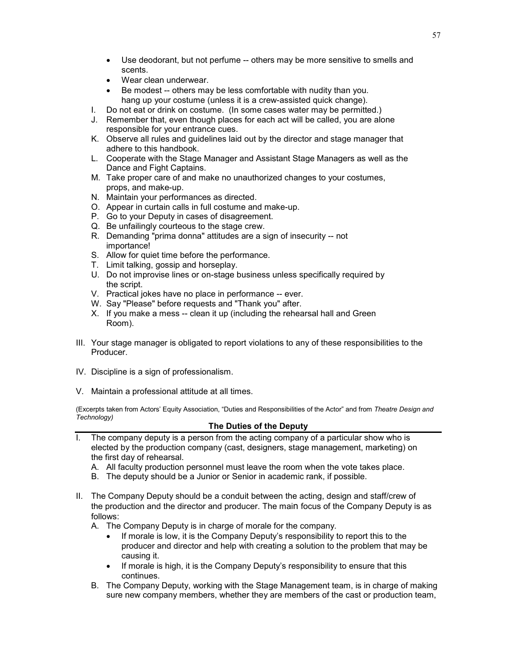- Use deodorant, but not perfume -- others may be more sensitive to smells and
- Wear clean underwear.

scents.

- Be modest -- others may be less comfortable with nudity than you. hang up your costume (unless it is a crew-assisted quick change).
- I. Do not eat or drink on costume. (In some cases water may be permitted.)
- J. Remember that, even though places for each act will be called, you are alone responsible for your entrance cues.
- K. Observe all rules and guidelines laid out by the director and stage manager that adhere to this handbook.
- L. Cooperate with the Stage Manager and Assistant Stage Managers as well as the Dance and Fight Captains.
- M. Take proper care of and make no unauthorized changes to your costumes, props, and make-up.
- N. Maintain your performances as directed.
- O. Appear in curtain calls in full costume and make-up.
- P. Go to your Deputy in cases of disagreement.
- Q. Be unfailingly courteous to the stage crew.
- R. Demanding "prima donna" attitudes are a sign of insecurity -- not importance!
- S. Allow for quiet time before the performance.
- T. Limit talking, gossip and horseplay.
- U. Do not improvise lines or on-stage business unless specifically required by the script.
- V. Practical jokes have no place in performance -- ever.
- W. Say "Please" before requests and "Thank you" after.
- X. If you make a mess -- clean it up (including the rehearsal hall and Green Room).
- III. Your stage manager is obligated to report violations to any of these responsibilities to the Producer.
- IV. Discipline is a sign of professionalism.
- V. Maintain a professional attitude at all times.

(Excerpts taken from Actors' Equity Association, "Duties and Responsibilities of the Actor" and from *Theatre Design and Technology)*

#### **The Duties of the Deputy**

- I. The company deputy is a person from the acting company of a particular show who is elected by the production company (cast, designers, stage management, marketing) on the first day of rehearsal.
	- A. All faculty production personnel must leave the room when the vote takes place.
	- B. The deputy should be a Junior or Senior in academic rank, if possible.
- II. The Company Deputy should be a conduit between the acting, design and staff/crew of the production and the director and producer. The main focus of the Company Deputy is as follows:
	- A. The Company Deputy is in charge of morale for the company.
		- If morale is low, it is the Company Deputy's responsibility to report this to the producer and director and help with creating a solution to the problem that may be causing it.
		- If morale is high, it is the Company Deputy's responsibility to ensure that this continues.
	- B. The Company Deputy, working with the Stage Management team, is in charge of making sure new company members, whether they are members of the cast or production team,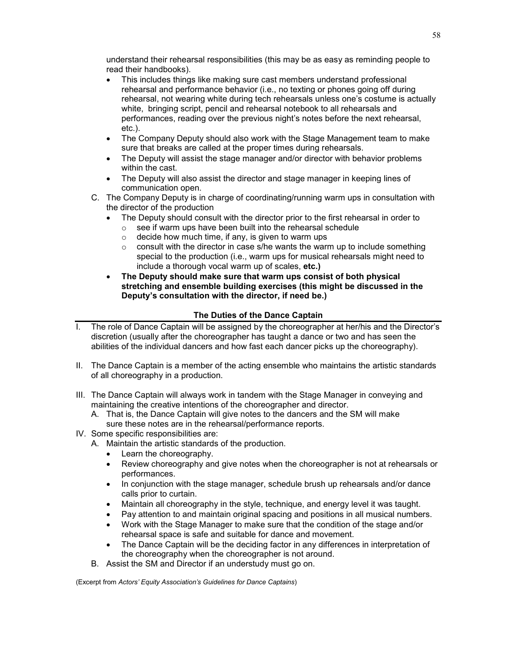understand their rehearsal responsibilities (this may be as easy as reminding people to read their handbooks).

- This includes things like making sure cast members understand professional rehearsal and performance behavior (i.e., no texting or phones going off during rehearsal, not wearing white during tech rehearsals unless one's costume is actually white, bringing script, pencil and rehearsal notebook to all rehearsals and performances, reading over the previous night's notes before the next rehearsal, etc.).
- The Company Deputy should also work with the Stage Management team to make sure that breaks are called at the proper times during rehearsals.
- The Deputy will assist the stage manager and/or director with behavior problems within the cast.
- The Deputy will also assist the director and stage manager in keeping lines of communication open.
- C. The Company Deputy is in charge of coordinating/running warm ups in consultation with the director of the production
	- The Deputy should consult with the director prior to the first rehearsal in order to
		- $\circ$  see if warm ups have been built into the rehearsal schedule  $\circ$  decide how much time, if any, is given to warm ups
			- decide how much time, if any, is given to warm ups
			- $\circ$  consult with the director in case s/he wants the warm up to include something special to the production (i.e., warm ups for musical rehearsals might need to include a thorough vocal warm up of scales, **etc.)**
	- **The Deputy should make sure that warm ups consist of both physical stretching and ensemble building exercises (this might be discussed in the Deputy's consultation with the director, if need be.)**

### **The Duties of the Dance Captain**

- I. The role of Dance Captain will be assigned by the choreographer at her/his and the Director's discretion (usually after the choreographer has taught a dance or two and has seen the abilities of the individual dancers and how fast each dancer picks up the choreography).
- II. The Dance Captain is a member of the acting ensemble who maintains the artistic standards of all choreography in a production.
- III. The Dance Captain will always work in tandem with the Stage Manager in conveying and maintaining the creative intentions of the choreographer and director.
	- A. That is, the Dance Captain will give notes to the dancers and the SM will make sure these notes are in the rehearsal/performance reports.
- IV. Some specific responsibilities are:
	- A. Maintain the artistic standards of the production.
		- Learn the choreography.
		- Review choreography and give notes when the choreographer is not at rehearsals or performances.
		- In conjunction with the stage manager, schedule brush up rehearsals and/or dance calls prior to curtain.
		- Maintain all choreography in the style, technique, and energy level it was taught.
		- Pay attention to and maintain original spacing and positions in all musical numbers.
		- Work with the Stage Manager to make sure that the condition of the stage and/or rehearsal space is safe and suitable for dance and movement.
		- The Dance Captain will be the deciding factor in any differences in interpretation of the choreography when the choreographer is not around.
	- B. Assist the SM and Director if an understudy must go on.

(Excerpt from *Actors' Equity Association's Guidelines for Dance Captains*)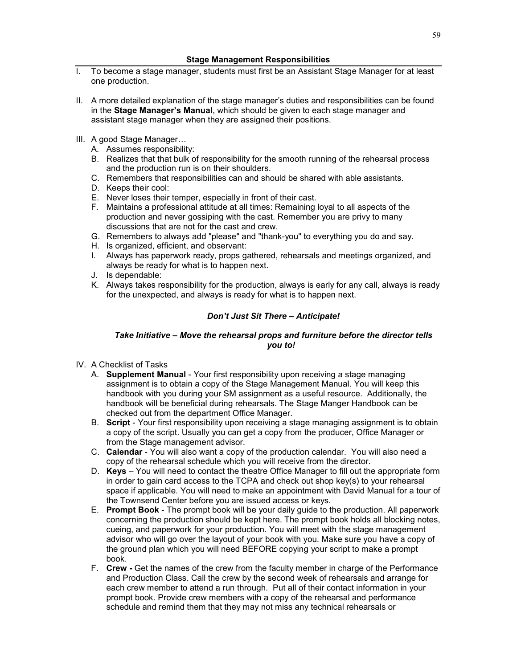- I. To become a stage manager, students must first be an Assistant Stage Manager for at least one production.
- II. A more detailed explanation of the stage manager's duties and responsibilities can be found in the **Stage Manager's Manual**, which should be given to each stage manager and assistant stage manager when they are assigned their positions.
- III. A good Stage Manager…
	- A. Assumes responsibility:
	- B. Realizes that that bulk of responsibility for the smooth running of the rehearsal process and the production run is on their shoulders.
	- C. Remembers that responsibilities can and should be shared with able assistants.
	- D. Keeps their cool:
	- E. Never loses their temper, especially in front of their cast.
	- F. Maintains a professional attitude at all times: Remaining loyal to all aspects of the production and never gossiping with the cast. Remember you are privy to many discussions that are not for the cast and crew.
	- G. Remembers to always add "please" and "thank-you" to everything you do and say.
	- H. Is organized, efficient, and observant:
	- I. Always has paperwork ready, props gathered, rehearsals and meetings organized, and always be ready for what is to happen next.
	- J. Is dependable:
	- K. Always takes responsibility for the production, always is early for any call, always is ready for the unexpected, and always is ready for what is to happen next.

# *Don't Just Sit There – Anticipate!*

#### *Take Initiative – Move the rehearsal props and furniture before the director tells you to!*

- IV. A Checklist of Tasks
	- A. **Supplement Manual** Your first responsibility upon receiving a stage managing assignment is to obtain a copy of the Stage Management Manual. You will keep this handbook with you during your SM assignment as a useful resource. Additionally, the handbook will be beneficial during rehearsals. The Stage Manger Handbook can be checked out from the department Office Manager.
	- B. **Script**  Your first responsibility upon receiving a stage managing assignment is to obtain a copy of the script. Usually you can get a copy from the producer, Office Manager or from the Stage management advisor.
	- C. **Calendar** You will also want a copy of the production calendar. You will also need a copy of the rehearsal schedule which you will receive from the director.
	- D. **Keys** You will need to contact the theatre Office Manager to fill out the appropriate form in order to gain card access to the TCPA and check out shop key(s) to your rehearsal space if applicable. You will need to make an appointment with David Manual for a tour of the Townsend Center before you are issued access or keys.
	- E. **Prompt Book** The prompt book will be your daily guide to the production. All paperwork concerning the production should be kept here. The prompt book holds all blocking notes, cueing, and paperwork for your production. You will meet with the stage management advisor who will go over the layout of your book with you. Make sure you have a copy of the ground plan which you will need BEFORE copying your script to make a prompt book.
	- F. **Crew -** Get the names of the crew from the faculty member in charge of the Performance and Production Class. Call the crew by the second week of rehearsals and arrange for each crew member to attend a run through. Put all of their contact information in your prompt book. Provide crew members with a copy of the rehearsal and performance schedule and remind them that they may not miss any technical rehearsals or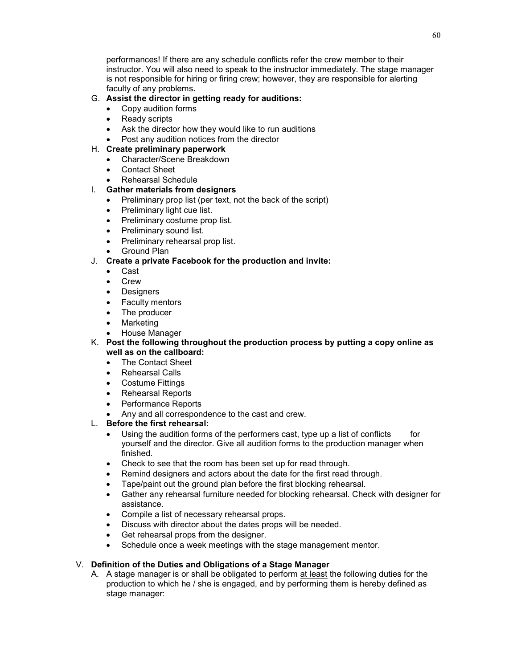performances! If there are any schedule conflicts refer the crew member to their instructor. You will also need to speak to the instructor immediately. The stage manager is not responsible for hiring or firing crew; however, they are responsible for alerting faculty of any problems**.**

### G. **Assist the director in getting ready for auditions:**

- Copy audition forms
- Ready scripts
- Ask the director how they would like to run auditions
- Post any audition notices from the director

### H. **Create preliminary paperwork**

- Character/Scene Breakdown
- Contact Sheet
- Rehearsal Schedule

# I. **Gather materials from designers**

- Preliminary prop list (per text, not the back of the script)
- Preliminary light cue list.
- Preliminary costume prop list.
- Preliminary sound list.
- Preliminary rehearsal prop list.
- Ground Plan

# J. **Create a private Facebook for the production and invite:**

- Cast
- Crew
- Designers
- Faculty mentors
- The producer
- **Marketing**
- House Manager
- K. **Post the following throughout the production process by putting a copy online as well as on the callboard:**
	- The Contact Sheet
	- Rehearsal Calls
	- Costume Fittings
	- Rehearsal Reports
	- Performance Reports
	- Any and all correspondence to the cast and crew.

# L. **Before the first rehearsal:**

- Using the audition forms of the performers cast, type up a list of conflicts for yourself and the director. Give all audition forms to the production manager when finished.
- Check to see that the room has been set up for read through.
- Remind designers and actors about the date for the first read through.
- Tape/paint out the ground plan before the first blocking rehearsal.
- Gather any rehearsal furniture needed for blocking rehearsal. Check with designer for assistance.
- Compile a list of necessary rehearsal props.
- Discuss with director about the dates props will be needed.
- Get rehearsal props from the designer.
- Schedule once a week meetings with the stage management mentor.

# V. **Definition of the Duties and Obligations of a Stage Manager**

A. A stage manager is or shall be obligated to perform at least the following duties for the production to which he / she is engaged, and by performing them is hereby defined as stage manager: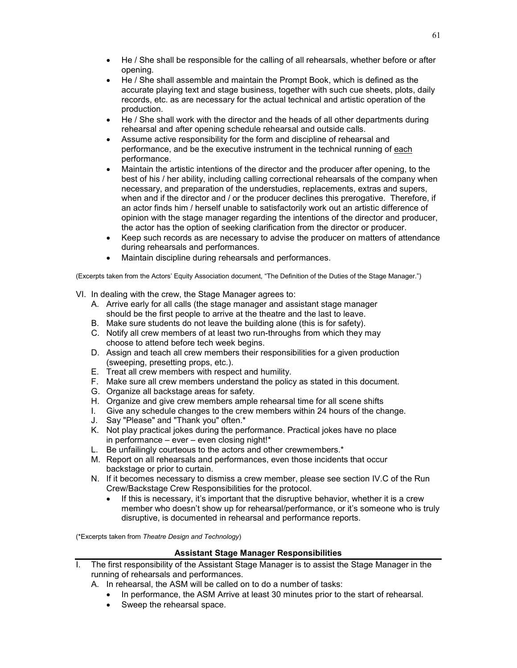- He / She shall be responsible for the calling of all rehearsals, whether before or after opening.
- He / She shall assemble and maintain the Prompt Book, which is defined as the accurate playing text and stage business, together with such cue sheets, plots, daily records, etc. as are necessary for the actual technical and artistic operation of the production.
- He / She shall work with the director and the heads of all other departments during rehearsal and after opening schedule rehearsal and outside calls.
- Assume active responsibility for the form and discipline of rehearsal and performance, and be the executive instrument in the technical running of each performance.
- Maintain the artistic intentions of the director and the producer after opening, to the best of his / her ability, including calling correctional rehearsals of the company when necessary, and preparation of the understudies, replacements, extras and supers, when and if the director and / or the producer declines this prerogative. Therefore, if an actor finds him / herself unable to satisfactorily work out an artistic difference of opinion with the stage manager regarding the intentions of the director and producer, the actor has the option of seeking clarification from the director or producer.
- Keep such records as are necessary to advise the producer on matters of attendance during rehearsals and performances.
- Maintain discipline during rehearsals and performances.

(Excerpts taken from the Actors' Equity Association document, "The Definition of the Duties of the Stage Manager.")

- VI. In dealing with the crew, the Stage Manager agrees to:
	- A. Arrive early for all calls (the stage manager and assistant stage manager should be the first people to arrive at the theatre and the last to leave.
	- B. Make sure students do not leave the building alone (this is for safety).
	- C. Notify all crew members of at least two run-throughs from which they may choose to attend before tech week begins.
	- D. Assign and teach all crew members their responsibilities for a given production (sweeping, presetting props, etc.).
	- E. Treat all crew members with respect and humility.
	- F. Make sure all crew members understand the policy as stated in this document.
	- G. Organize all backstage areas for safety.
	- H. Organize and give crew members ample rehearsal time for all scene shifts
	- I. Give any schedule changes to the crew members within 24 hours of the change.
	- J. Say "Please" and "Thank you" often.\*
	- K. Not play practical jokes during the performance. Practical jokes have no place in performance – ever – even closing night!\*
	- L. Be unfailingly courteous to the actors and other crewmembers.\*
	- M. Report on all rehearsals and performances, even those incidents that occur backstage or prior to curtain.
	- N. If it becomes necessary to dismiss a crew member, please see section IV.C of the Run Crew/Backstage Crew Responsibilities for the protocol.
		- If this is necessary, it's important that the disruptive behavior, whether it is a crew member who doesn't show up for rehearsal/performance, or it's someone who is truly disruptive, is documented in rehearsal and performance reports.

(\*Excerpts taken from *Theatre Design and Technology*)

### **Assistant Stage Manager Responsibilities**

- I. The first responsibility of the Assistant Stage Manager is to assist the Stage Manager in the running of rehearsals and performances.
	- A. In rehearsal, the ASM will be called on to do a number of tasks:
		- In performance, the ASM Arrive at least 30 minutes prior to the start of rehearsal.
		- Sweep the rehearsal space.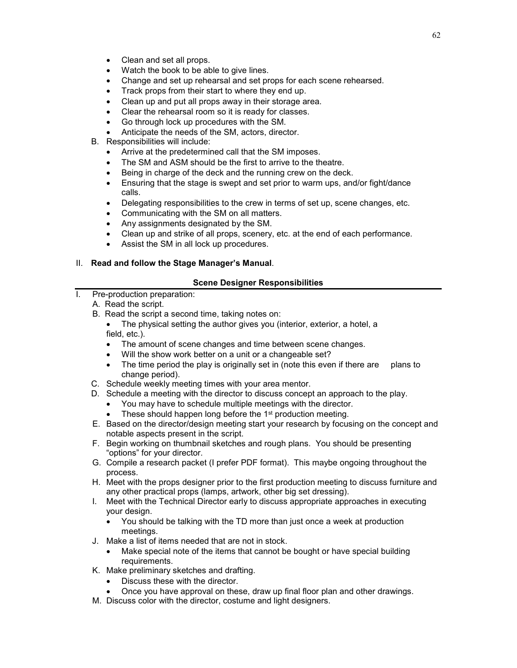- Clean and set all props.
- Watch the book to be able to give lines.
- Change and set up rehearsal and set props for each scene rehearsed.
- Track props from their start to where they end up.
- Clean up and put all props away in their storage area.
- Clear the rehearsal room so it is ready for classes.
- Go through lock up procedures with the SM.
- Anticipate the needs of the SM, actors, director.
- B. Responsibilities will include:
	- Arrive at the predetermined call that the SM imposes.
	- The SM and ASM should be the first to arrive to the theatre.
	- Being in charge of the deck and the running crew on the deck.
	- Ensuring that the stage is swept and set prior to warm ups, and/or fight/dance calls.
	- Delegating responsibilities to the crew in terms of set up, scene changes, etc.
	- Communicating with the SM on all matters.
	- Any assignments designated by the SM.
	- Clean up and strike of all props, scenery, etc. at the end of each performance.
	- Assist the SM in all lock up procedures.

# II. **Read and follow the Stage Manager's Manual**.

# **Scene Designer Responsibilities**

- I. Pre-production preparation:
	- A. Read the script.
	- B. Read the script a second time, taking notes on:
		- The physical setting the author gives you (interior, exterior, a hotel, a field, etc.).
		- The amount of scene changes and time between scene changes.
		- Will the show work better on a unit or a changeable set?
		- The time period the play is originally set in (note this even if there are plans to change period).
	- C. Schedule weekly meeting times with your area mentor.
	- D. Schedule a meeting with the director to discuss concept an approach to the play.
		- You may have to schedule multiple meetings with the director.
		- These should happen long before the 1<sup>st</sup> production meeting.
	- E. Based on the director/design meeting start your research by focusing on the concept and notable aspects present in the script.
	- F. Begin working on thumbnail sketches and rough plans. You should be presenting "options" for your director.
	- G. Compile a research packet (I prefer PDF format). This maybe ongoing throughout the process.
	- H. Meet with the props designer prior to the first production meeting to discuss furniture and any other practical props (lamps, artwork, other big set dressing).
	- I. Meet with the Technical Director early to discuss appropriate approaches in executing your design.
		- You should be talking with the TD more than just once a week at production meetings.
	- J. Make a list of items needed that are not in stock.
		- Make special note of the items that cannot be bought or have special building requirements.
	- K. Make preliminary sketches and drafting.
		- Discuss these with the director.
		- Once you have approval on these, draw up final floor plan and other drawings.
	- M. Discuss color with the director, costume and light designers.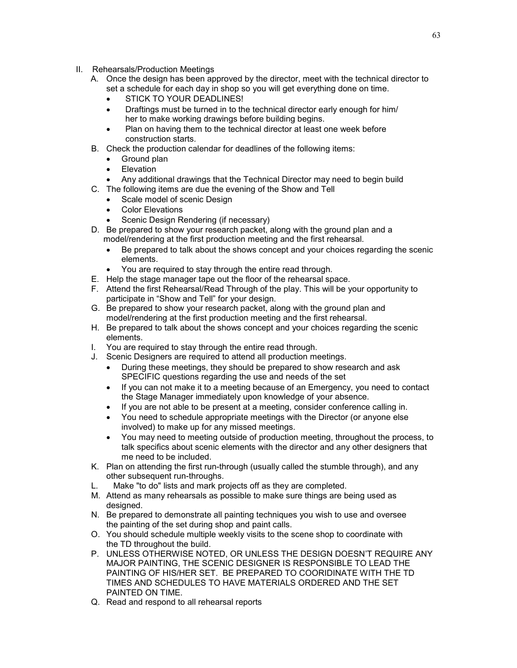- II. Rehearsals/Production Meetings
	- A. Once the design has been approved by the director, meet with the technical director to set a schedule for each day in shop so you will get everything done on time.
		- **STICK TO YOUR DEADLINES!**
		- Draftings must be turned in to the technical director early enough for him/ her to make working drawings before building begins.
		- Plan on having them to the technical director at least one week before construction starts.
	- B. Check the production calendar for deadlines of the following items:
		- Ground plan
		- **Elevation**
		- Any additional drawings that the Technical Director may need to begin build
	- C. The following items are due the evening of the Show and Tell
		- Scale model of scenic Design
		- **Color Elevations**
		- Scenic Design Rendering (if necessary)
	- D. Be prepared to show your research packet, along with the ground plan and a model/rendering at the first production meeting and the first rehearsal.
		- Be prepared to talk about the shows concept and your choices regarding the scenic elements.
		- You are required to stay through the entire read through.
	- E. Help the stage manager tape out the floor of the rehearsal space.
	- F. Attend the first Rehearsal/Read Through of the play. This will be your opportunity to participate in "Show and Tell" for your design.
	- G. Be prepared to show your research packet, along with the ground plan and model/rendering at the first production meeting and the first rehearsal.
	- H. Be prepared to talk about the shows concept and your choices regarding the scenic elements.
	- I. You are required to stay through the entire read through.
	- J. Scenic Designers are required to attend all production meetings.
		- During these meetings, they should be prepared to show research and ask SPECIFIC questions regarding the use and needs of the set
		- If you can not make it to a meeting because of an Emergency, you need to contact the Stage Manager immediately upon knowledge of your absence.
		- If you are not able to be present at a meeting, consider conference calling in.
		- You need to schedule appropriate meetings with the Director (or anyone else involved) to make up for any missed meetings.
		- You may need to meeting outside of production meeting, throughout the process, to talk specifics about scenic elements with the director and any other designers that me need to be included.
	- K. Plan on attending the first run-through (usually called the stumble through), and any other subsequent run-throughs.
	- L. Make "to do" lists and mark projects off as they are completed.
	- M. Attend as many rehearsals as possible to make sure things are being used as designed.
	- N. Be prepared to demonstrate all painting techniques you wish to use and oversee the painting of the set during shop and paint calls.
	- O. You should schedule multiple weekly visits to the scene shop to coordinate with the TD throughout the build.
	- P. UNLESS OTHERWISE NOTED, OR UNLESS THE DESIGN DOESN'T REQUIRE ANY MAJOR PAINTING, THE SCENIC DESIGNER IS RESPONSIBLE TO LEAD THE PAINTING OF HIS/HER SET. BE PREPARED TO COORIDINATE WITH THE TD TIMES AND SCHEDULES TO HAVE MATERIALS ORDERED AND THE SET PAINTED ON TIME.
	- Q. Read and respond to all rehearsal reports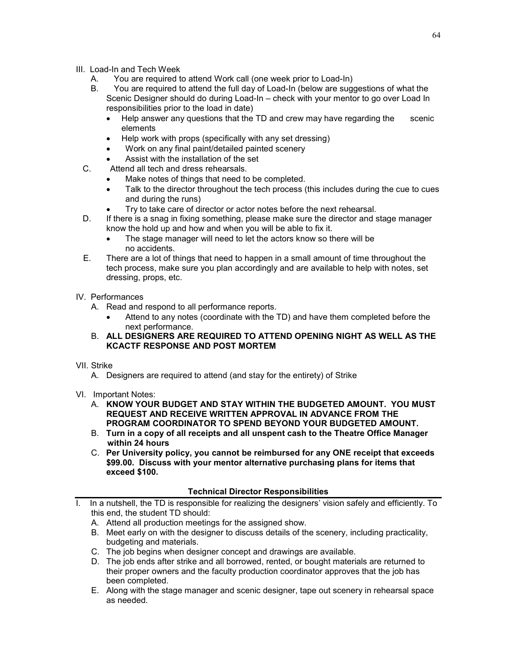- III. Load-In and Tech Week
	- A. You are required to attend Work call (one week prior to Load-In)
	- B. You are required to attend the full day of Load-In (below are suggestions of what the Scenic Designer should do during Load-In – check with your mentor to go over Load In responsibilities prior to the load in date)
		- Help answer any questions that the TD and crew may have regarding the scenic elements
		- Help work with props (specifically with any set dressing)
		- Work on any final paint/detailed painted scenery
		- Assist with the installation of the set
	- C. Attend all tech and dress rehearsals.
		- Make notes of things that need to be completed.
		- Talk to the director throughout the tech process (this includes during the cue to cues and during the runs)
		- Try to take care of director or actor notes before the next rehearsal.
	- D. If there is a snag in fixing something, please make sure the director and stage manager know the hold up and how and when you will be able to fix it.
		- The stage manager will need to let the actors know so there will be no accidents.
	- E. There are a lot of things that need to happen in a small amount of time throughout the tech process, make sure you plan accordingly and are available to help with notes, set dressing, props, etc.
- IV. Performances
	- A. Read and respond to all performance reports.
		- Attend to any notes (coordinate with the TD) and have them completed before the next performance.
	- B. **ALL DESIGNERS ARE REQUIRED TO ATTEND OPENING NIGHT AS WELL AS THE KCACTF RESPONSE AND POST MORTEM**
- VII. Strike
	- A. Designers are required to attend (and stay for the entirety) of Strike
- VI. Important Notes:
	- A. **KNOW YOUR BUDGET AND STAY WITHIN THE BUDGETED AMOUNT. YOU MUST REQUEST AND RECEIVE WRITTEN APPROVAL IN ADVANCE FROM THE PROGRAM COORDINATOR TO SPEND BEYOND YOUR BUDGETED AMOUNT.**
	- B. **Turn in a copy of all receipts and all unspent cash to the Theatre Office Manager within 24 hours**
	- C. **Per University policy, you cannot be reimbursed for any ONE receipt that exceeds \$99.00. Discuss with your mentor alternative purchasing plans for items that exceed \$100.**

### **Technical Director Responsibilities**

- I. In a nutshell, the TD is responsible for realizing the designers' vision safely and efficiently. To this end, the student TD should:
	- A. Attend all production meetings for the assigned show.
	- B. Meet early on with the designer to discuss details of the scenery, including practicality, budgeting and materials.
	- C. The job begins when designer concept and drawings are available.
	- D. The job ends after strike and all borrowed, rented, or bought materials are returned to their proper owners and the faculty production coordinator approves that the job has been completed.
	- E. Along with the stage manager and scenic designer, tape out scenery in rehearsal space as needed.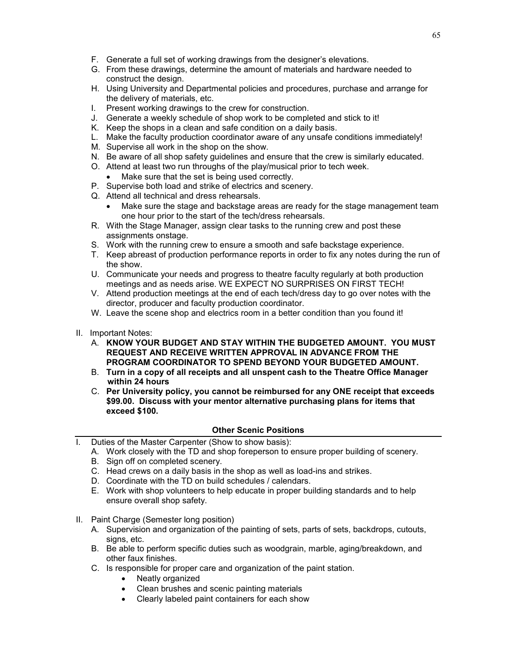- F. Generate a full set of working drawings from the designer's elevations.
- G. From these drawings, determine the amount of materials and hardware needed to construct the design.
- H. Using University and Departmental policies and procedures, purchase and arrange for the delivery of materials, etc.
- I. Present working drawings to the crew for construction.
- J. Generate a weekly schedule of shop work to be completed and stick to it!
- K. Keep the shops in a clean and safe condition on a daily basis.
- L. Make the faculty production coordinator aware of any unsafe conditions immediately!
- M. Supervise all work in the shop on the show.
- N. Be aware of all shop safety guidelines and ensure that the crew is similarly educated.
- O. Attend at least two run throughs of the play/musical prior to tech week.
	- Make sure that the set is being used correctly.
- P. Supervise both load and strike of electrics and scenery.
- Q. Attend all technical and dress rehearsals.
	- Make sure the stage and backstage areas are ready for the stage management team one hour prior to the start of the tech/dress rehearsals.
- R. With the Stage Manager, assign clear tasks to the running crew and post these assignments onstage.
- S. Work with the running crew to ensure a smooth and safe backstage experience.
- T. Keep abreast of production performance reports in order to fix any notes during the run of the show.
- U. Communicate your needs and progress to theatre faculty regularly at both production meetings and as needs arise. WE EXPECT NO SURPRISES ON FIRST TECH!
- V. Attend production meetings at the end of each tech/dress day to go over notes with the director, producer and faculty production coordinator.
- W. Leave the scene shop and electrics room in a better condition than you found it!
- II. Important Notes:
	- A. **KNOW YOUR BUDGET AND STAY WITHIN THE BUDGETED AMOUNT. YOU MUST REQUEST AND RECEIVE WRITTEN APPROVAL IN ADVANCE FROM THE PROGRAM COORDINATOR TO SPEND BEYOND YOUR BUDGETED AMOUNT.**
	- B. **Turn in a copy of all receipts and all unspent cash to the Theatre Office Manager within 24 hours**
	- C. **Per University policy, you cannot be reimbursed for any ONE receipt that exceeds \$99.00. Discuss with your mentor alternative purchasing plans for items that exceed \$100.**

#### **Other Scenic Positions**

- I. Duties of the Master Carpenter (Show to show basis):
	- A. Work closely with the TD and shop foreperson to ensure proper building of scenery.
	- B. Sign off on completed scenery.
	- C. Head crews on a daily basis in the shop as well as load-ins and strikes.
	- D. Coordinate with the TD on build schedules / calendars.
	- E. Work with shop volunteers to help educate in proper building standards and to help ensure overall shop safety.
- II. Paint Charge (Semester long position)
	- A. Supervision and organization of the painting of sets, parts of sets, backdrops, cutouts, signs, etc.
	- B. Be able to perform specific duties such as woodgrain, marble, aging/breakdown, and other faux finishes.
	- C. Is responsible for proper care and organization of the paint station.
		- Neatly organized
		- Clean brushes and scenic painting materials
		- Clearly labeled paint containers for each show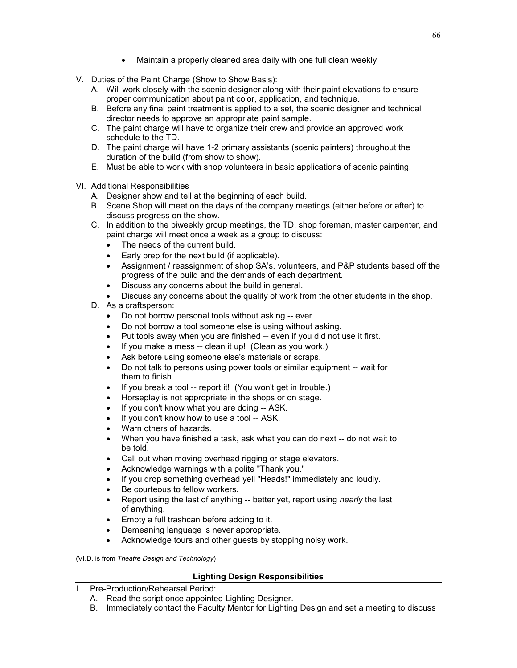- Maintain a properly cleaned area daily with one full clean weekly
- V. Duties of the Paint Charge (Show to Show Basis):
	- A. Will work closely with the scenic designer along with their paint elevations to ensure proper communication about paint color, application, and technique.
	- B. Before any final paint treatment is applied to a set, the scenic designer and technical director needs to approve an appropriate paint sample.
	- C. The paint charge will have to organize their crew and provide an approved work schedule to the TD.
	- D. The paint charge will have 1-2 primary assistants (scenic painters) throughout the duration of the build (from show to show).
	- E. Must be able to work with shop volunteers in basic applications of scenic painting.
- VI. Additional Responsibilities
	- A. Designer show and tell at the beginning of each build.
	- B. Scene Shop will meet on the days of the company meetings (either before or after) to discuss progress on the show.
	- C. In addition to the biweekly group meetings, the TD, shop foreman, master carpenter, and paint charge will meet once a week as a group to discuss:
		- The needs of the current build.
		- Early prep for the next build (if applicable).
		- Assignment / reassignment of shop SA's, volunteers, and P&P students based off the progress of the build and the demands of each department.
		- Discuss any concerns about the build in general.
		- Discuss any concerns about the quality of work from the other students in the shop.
	- D. As a craftsperson:
		- Do not borrow personal tools without asking -- ever.
		- Do not borrow a tool someone else is using without asking.
		- Put tools away when you are finished -- even if you did not use it first.
		- If you make a mess -- clean it up! (Clean as you work.)
		- Ask before using someone else's materials or scraps.
		- Do not talk to persons using power tools or similar equipment -- wait for them to finish.
		- If you break a tool -- report it! (You won't get in trouble.)
		- Horseplay is not appropriate in the shops or on stage.
		- If you don't know what you are doing -- ASK.
		- If you don't know how to use a tool -- ASK.
		- Warn others of hazards.
		- When you have finished a task, ask what you can do next -- do not wait to be told.
		- Call out when moving overhead rigging or stage elevators.
		- Acknowledge warnings with a polite "Thank you."
		- If you drop something overhead yell "Heads!" immediately and loudly.
		- Be courteous to fellow workers.
		- Report using the last of anything -- better yet, report using *nearly* the last of anything.
		- Empty a full trashcan before adding to it.
		- Demeaning language is never appropriate.
		- Acknowledge tours and other guests by stopping noisy work.

(VI.D. is from *Theatre Design and Technology*)

#### **Lighting Design Responsibilities**

- I. Pre-Production/Rehearsal Period:
	- A. Read the script once appointed Lighting Designer.
	- B. Immediately contact the Faculty Mentor for Lighting Design and set a meeting to discuss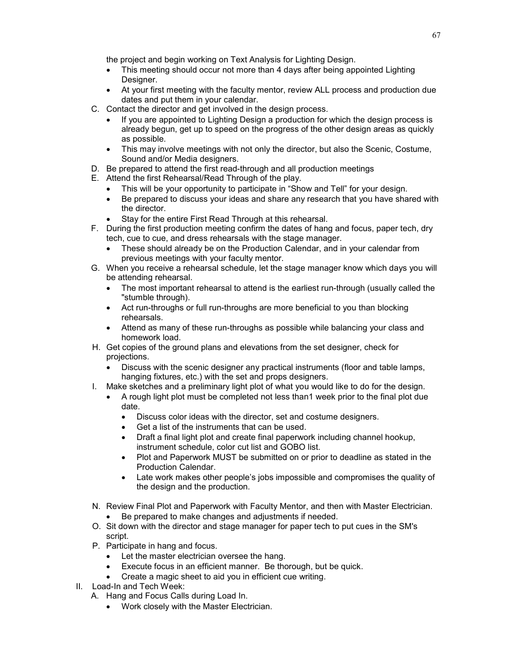the project and begin working on Text Analysis for Lighting Design.

- This meeting should occur not more than 4 days after being appointed Lighting Designer.
- At your first meeting with the faculty mentor, review ALL process and production due dates and put them in your calendar.
- C. Contact the director and get involved in the design process.
	- If you are appointed to Lighting Design a production for which the design process is already begun, get up to speed on the progress of the other design areas as quickly as possible.
	- This may involve meetings with not only the director, but also the Scenic, Costume, Sound and/or Media designers.
- D. Be prepared to attend the first read-through and all production meetings
- E. Attend the first Rehearsal/Read Through of the play.
	- This will be your opportunity to participate in "Show and Tell" for your design.
	- Be prepared to discuss your ideas and share any research that you have shared with the director.
	- Stay for the entire First Read Through at this rehearsal.
- F. During the first production meeting confirm the dates of hang and focus, paper tech, dry tech, cue to cue, and dress rehearsals with the stage manager.
	- These should already be on the Production Calendar, and in your calendar from previous meetings with your faculty mentor.
- G. When you receive a rehearsal schedule, let the stage manager know which days you will be attending rehearsal.
	- The most important rehearsal to attend is the earliest run-through (usually called the "stumble through).
	- Act run-throughs or full run-throughs are more beneficial to you than blocking rehearsals.
	- Attend as many of these run-throughs as possible while balancing your class and homework load.
- H. Get copies of the ground plans and elevations from the set designer, check for projections.
	- Discuss with the scenic designer any practical instruments (floor and table lamps, hanging fixtures, etc.) with the set and props designers.
- I. Make sketches and a preliminary light plot of what you would like to do for the design.
	- A rough light plot must be completed not less than1 week prior to the final plot due date.
		- Discuss color ideas with the director, set and costume designers.
		- Get a list of the instruments that can be used.
		- Draft a final light plot and create final paperwork including channel hookup, instrument schedule, color cut list and GOBO list.
		- Plot and Paperwork MUST be submitted on or prior to deadline as stated in the Production Calendar.
		- Late work makes other people's jobs impossible and compromises the quality of the design and the production.
- N. Review Final Plot and Paperwork with Faculty Mentor, and then with Master Electrician.
	- Be prepared to make changes and adjustments if needed.
- O. Sit down with the director and stage manager for paper tech to put cues in the SM's script.
- P. Participate in hang and focus.
	- Let the master electrician oversee the hang.
	- Execute focus in an efficient manner. Be thorough, but be quick.
	- Create a magic sheet to aid you in efficient cue writing.
- II. Load-In and Tech Week:
	- A. Hang and Focus Calls during Load In.
		- Work closely with the Master Electrician.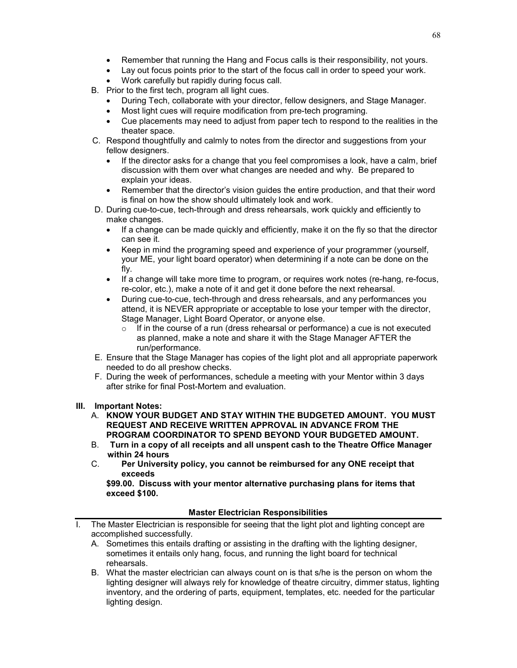- Remember that running the Hang and Focus calls is their responsibility, not yours.
- Lay out focus points prior to the start of the focus call in order to speed your work.
- Work carefully but rapidly during focus call.
- B. Prior to the first tech, program all light cues.
	- During Tech, collaborate with your director, fellow designers, and Stage Manager.
	- Most light cues will require modification from pre-tech programing.
	- Cue placements may need to adjust from paper tech to respond to the realities in the theater space.
- C. Respond thoughtfully and calmly to notes from the director and suggestions from your fellow designers.
	- If the director asks for a change that you feel compromises a look, have a calm, brief discussion with them over what changes are needed and why. Be prepared to explain your ideas.
	- Remember that the director's vision guides the entire production, and that their word is final on how the show should ultimately look and work.
- D. During cue-to-cue, tech-through and dress rehearsals, work quickly and efficiently to make changes.
	- If a change can be made quickly and efficiently, make it on the fly so that the director can see it.
	- Keep in mind the programing speed and experience of your programmer (yourself, your ME, your light board operator) when determining if a note can be done on the fly.
	- If a change will take more time to program, or requires work notes (re-hang, re-focus, re-color, etc.), make a note of it and get it done before the next rehearsal.
	- During cue-to-cue, tech-through and dress rehearsals, and any performances you attend, it is NEVER appropriate or acceptable to lose your temper with the director, Stage Manager, Light Board Operator, or anyone else.
		- $\circ$  If in the course of a run (dress rehearsal or performance) a cue is not executed as planned, make a note and share it with the Stage Manager AFTER the run/performance.
- E. Ensure that the Stage Manager has copies of the light plot and all appropriate paperwork needed to do all preshow checks.
- F. During the week of performances, schedule a meeting with your Mentor within 3 days after strike for final Post-Mortem and evaluation.

#### **III. Important Notes:**

- A. **KNOW YOUR BUDGET AND STAY WITHIN THE BUDGETED AMOUNT. YOU MUST REQUEST AND RECEIVE WRITTEN APPROVAL IN ADVANCE FROM THE PROGRAM COORDINATOR TO SPEND BEYOND YOUR BUDGETED AMOUNT.**
- B. **Turn in a copy of all receipts and all unspent cash to the Theatre Office Manager within 24 hours**
- Per University policy, you cannot be reimbursed for any ONE receipt that **exceeds**

**\$99.00. Discuss with your mentor alternative purchasing plans for items that exceed \$100.**

#### **Master Electrician Responsibilities**

- The Master Electrician is responsible for seeing that the light plot and lighting concept are accomplished successfully.
	- A. Sometimes this entails drafting or assisting in the drafting with the lighting designer, sometimes it entails only hang, focus, and running the light board for technical rehearsals.
	- B. What the master electrician can always count on is that s/he is the person on whom the lighting designer will always rely for knowledge of theatre circuitry, dimmer status, lighting inventory, and the ordering of parts, equipment, templates, etc. needed for the particular lighting design.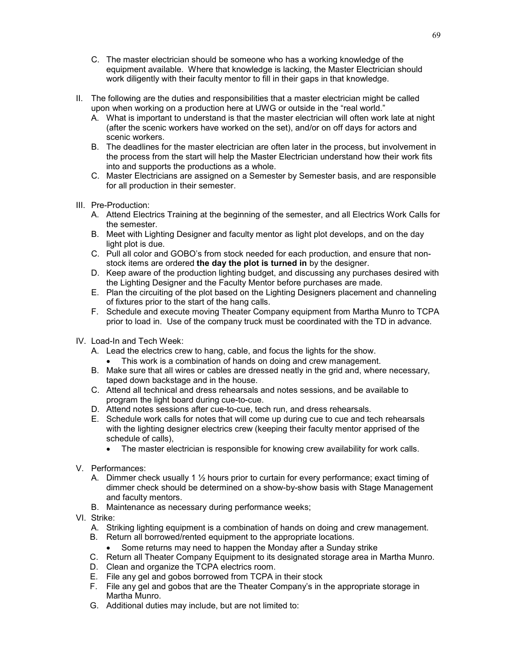- C. The master electrician should be someone who has a working knowledge of the equipment available. Where that knowledge is lacking, the Master Electrician should work diligently with their faculty mentor to fill in their gaps in that knowledge.
- II. The following are the duties and responsibilities that a master electrician might be called upon when working on a production here at UWG or outside in the "real world."
	- A. What is important to understand is that the master electrician will often work late at night (after the scenic workers have worked on the set), and/or on off days for actors and scenic workers.
	- B. The deadlines for the master electrician are often later in the process, but involvement in the process from the start will help the Master Electrician understand how their work fits into and supports the productions as a whole.
	- C. Master Electricians are assigned on a Semester by Semester basis, and are responsible for all production in their semester.
- III. Pre-Production:
	- A. Attend Electrics Training at the beginning of the semester, and all Electrics Work Calls for the semester.
	- B. Meet with Lighting Designer and faculty mentor as light plot develops, and on the day light plot is due.
	- C. Pull all color and GOBO's from stock needed for each production, and ensure that nonstock items are ordered **the day the plot is turned in** by the designer.
	- D. Keep aware of the production lighting budget, and discussing any purchases desired with the Lighting Designer and the Faculty Mentor before purchases are made.
	- E. Plan the circuiting of the plot based on the Lighting Designers placement and channeling of fixtures prior to the start of the hang calls.
	- F. Schedule and execute moving Theater Company equipment from Martha Munro to TCPA prior to load in. Use of the company truck must be coordinated with the TD in advance.
- IV. Load-In and Tech Week:
	- A. Lead the electrics crew to hang, cable, and focus the lights for the show.
		- This work is a combination of hands on doing and crew management.
	- B. Make sure that all wires or cables are dressed neatly in the grid and, where necessary, taped down backstage and in the house.
	- C. Attend all technical and dress rehearsals and notes sessions, and be available to program the light board during cue-to-cue.
	- D. Attend notes sessions after cue-to-cue, tech run, and dress rehearsals.
	- E. Schedule work calls for notes that will come up during cue to cue and tech rehearsals with the lighting designer electrics crew (keeping their faculty mentor apprised of the schedule of calls),
		- The master electrician is responsible for knowing crew availability for work calls.
- V. Performances:
	- A. Dimmer check usually 1  $\frac{1}{2}$  hours prior to curtain for every performance; exact timing of dimmer check should be determined on a show-by-show basis with Stage Management and faculty mentors.
	- B. Maintenance as necessary during performance weeks;
- VI. Strike:
	- A. Striking lighting equipment is a combination of hands on doing and crew management.
	- B. Return all borrowed/rented equipment to the appropriate locations.
		- Some returns may need to happen the Monday after a Sunday strike
	- C. Return all Theater Company Equipment to its designated storage area in Martha Munro.
	- D. Clean and organize the TCPA electrics room.
	- E. File any gel and gobos borrowed from TCPA in their stock
	- F. File any gel and gobos that are the Theater Company's in the appropriate storage in Martha Munro.
	- G. Additional duties may include, but are not limited to: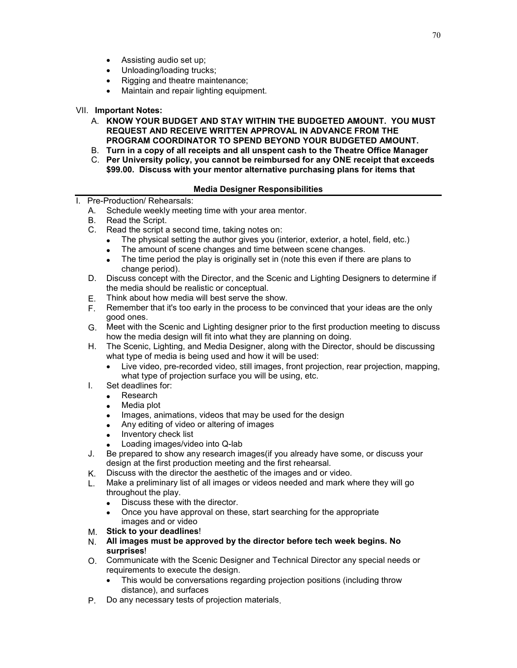- Assisting audio set up;
- Unloading/loading trucks;
- Rigging and theatre maintenance:
- Maintain and repair lighting equipment.

### VII. **Important Notes:**

- A. **KNOW YOUR BUDGET AND STAY WITHIN THE BUDGETED AMOUNT. YOU MUST REQUEST AND RECEIVE WRITTEN APPROVAL IN ADVANCE FROM THE PROGRAM COORDINATOR TO SPEND BEYOND YOUR BUDGETED AMOUNT.**
- B. **Turn in a copy of all receipts and all unspent cash to the Theatre Office Manager**
- C. **Per University policy, you cannot be reimbursed for any ONE receipt that exceeds \$99.00. Discuss with your mentor alternative purchasing plans for items that**

### **Media Designer Responsibilities**

I. Pre-Production/ Rehearsals:

- A. Schedule weekly meeting time with your area mentor.
- B. Read the Script.
- C. Read the script a second time, taking notes on:
	- The physical setting the author gives you (interior, exterior, a hotel, field, etc.)
	- The amount of scene changes and time between scene changes.
	- The time period the play is originally set in (note this even if there are plans to change period).
- D. Discuss concept with the Director, and the Scenic and Lighting Designers to determine if the media should be realistic or conceptual.
- E. Think about how media will best serve the show.
- F. Remember that it's too early in the process to be convinced that your ideas are the only good ones.
- G. Meet with the Scenic and Lighting designer prior to the first production meeting to discuss how the media design will fit into what they are planning on doing.
- H. The Scenic, Lighting, and Media Designer, along with the Director, should be discussing what type of media is being used and how it will be used:
	- Live video, pre-recorded video, still images, front projection, rear projection, mapping, what type of projection surface you will be using, etc.
- I. Set deadlines for:
	- Research
	- Media plot
	- Images, animations, videos that may be used for the design
	- Any editing of video or altering of images
	- Inventory check list
	- Loading images/video into Q-lab
- J. Be prepared to show any research images(if you already have some, or discuss your design at the first production meeting and the first rehearsal.
- K. Discuss with the director the aesthetic of the images and or video.
- L. Make a preliminary list of all images or videos needed and mark where they will go throughout the play.
	- Discuss these with the director.
	- Once you have approval on these, start searching for the appropriate images and or video
- M. **Stick to your deadlines**!
- N. **All images must be approved by the director before tech week begins. No surprises**!
- O. Communicate with the Scenic Designer and Technical Director any special needs or requirements to execute the design.
	- This would be conversations regarding projection positions (including throw distance), and surfaces
- P. Do any necessary tests of projection materials.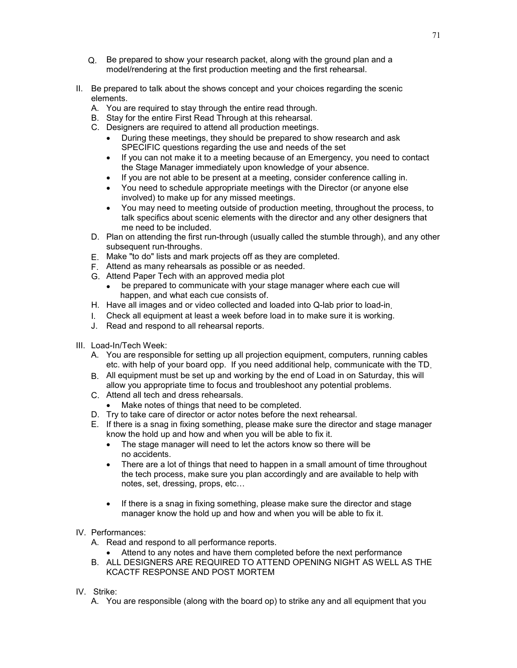- Q. Be prepared to show your research packet, along with the ground plan and a model/rendering at the first production meeting and the first rehearsal.
- II. Be prepared to talk about the shows concept and your choices regarding the scenic elements.
	- A. You are required to stay through the entire read through.
	- B. Stay for the entire First Read Through at this rehearsal.
	- C. Designers are required to attend all production meetings.
		- During these meetings, they should be prepared to show research and ask SPECIFIC questions regarding the use and needs of the set
		- If you can not make it to a meeting because of an Emergency, you need to contact the Stage Manager immediately upon knowledge of your absence.
		- If you are not able to be present at a meeting, consider conference calling in.
		- You need to schedule appropriate meetings with the Director (or anyone else involved) to make up for any missed meetings.
		- You may need to meeting outside of production meeting, throughout the process, to talk specifics about scenic elements with the director and any other designers that me need to be included.
	- D. Plan on attending the first run-through (usually called the stumble through), and any other subsequent run-throughs.
	- E. Make "to do" lists and mark projects off as they are completed.
	- F. Attend as many rehearsals as possible or as needed.
	- G. Attend Paper Tech with an approved media plot
		- be prepared to communicate with your stage manager where each cue will happen, and what each cue consists of.
	- H. Have all images and or video collected and loaded into Q-lab prior to load-in.
	- I. Check all equipment at least a week before load in to make sure it is working.
	- J. Read and respond to all rehearsal reports.
- III. Load-In/Tech Week:
	- A. You are responsible for setting up all projection equipment, computers, running cables etc. with help of your board opp. If you need additional help, communicate with the TD.
	- B. All equipment must be set up and working by the end of Load in on Saturday, this will allow you appropriate time to focus and troubleshoot any potential problems.
	- C. Attend all tech and dress rehearsals.
		- Make notes of things that need to be completed.
	- D. Try to take care of director or actor notes before the next rehearsal.
	- E. If there is a snag in fixing something, please make sure the director and stage manager know the hold up and how and when you will be able to fix it.
		- The stage manager will need to let the actors know so there will be no accidents.
		- There are a lot of things that need to happen in a small amount of time throughout the tech process, make sure you plan accordingly and are available to help with notes, set, dressing, props, etc…
		- If there is a snag in fixing something, please make sure the director and stage manager know the hold up and how and when you will be able to fix it.
- IV. Performances:
	- A. Read and respond to all performance reports.
		- Attend to any notes and have them completed before the next performance
	- B. ALL DESIGNERS ARE REQUIRED TO ATTEND OPENING NIGHT AS WELL AS THE KCACTF RESPONSE AND POST MORTEM
- IV. Strike:
	- A. You are responsible (along with the board op) to strike any and all equipment that you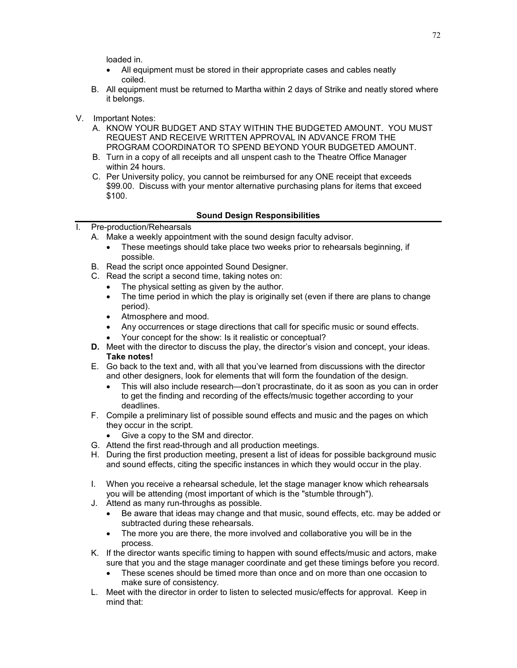loaded in.

- All equipment must be stored in their appropriate cases and cables neatly coiled.
- B. All equipment must be returned to Martha within 2 days of Strike and neatly stored where it belongs.
- V. Important Notes:
	- A. KNOW YOUR BUDGET AND STAY WITHIN THE BUDGETED AMOUNT. YOU MUST REQUEST AND RECEIVE WRITTEN APPROVAL IN ADVANCE FROM THE PROGRAM COORDINATOR TO SPEND BEYOND YOUR BUDGETED AMOUNT.
	- B. Turn in a copy of all receipts and all unspent cash to the Theatre Office Manager within 24 hours.
	- C. Per University policy, you cannot be reimbursed for any ONE receipt that exceeds \$99.00. Discuss with your mentor alternative purchasing plans for items that exceed \$100.

### **Sound Design Responsibilities**

- I. Pre-production/Rehearsals
	- A. Make a weekly appointment with the sound design faculty advisor.
		- These meetings should take place two weeks prior to rehearsals beginning, if possible.
	- B. Read the script once appointed Sound Designer.
	- C. Read the script a second time, taking notes on:
		- The physical setting as given by the author.
		- The time period in which the play is originally set (even if there are plans to change period).
		- Atmosphere and mood.
		- Any occurrences or stage directions that call for specific music or sound effects.
		- Your concept for the show: Is it realistic or conceptual?
	- **D.** Meet with the director to discuss the play, the director's vision and concept, your ideas. **Take notes!**
	- E. Go back to the text and, with all that you've learned from discussions with the director and other designers, look for elements that will form the foundation of the design.
		- This will also include research—don't procrastinate, do it as soon as you can in order to get the finding and recording of the effects/music together according to your deadlines.
	- F. Compile a preliminary list of possible sound effects and music and the pages on which they occur in the script.
		- Give a copy to the SM and director.
	- G. Attend the first read-through and all production meetings.
	- H. During the first production meeting, present a list of ideas for possible background music and sound effects, citing the specific instances in which they would occur in the play.
	- I. When you receive a rehearsal schedule, let the stage manager know which rehearsals you will be attending (most important of which is the "stumble through").
	- J. Attend as many run-throughs as possible.
		- Be aware that ideas may change and that music, sound effects, etc. may be added or subtracted during these rehearsals.
		- The more you are there, the more involved and collaborative you will be in the process.
	- K. If the director wants specific timing to happen with sound effects/music and actors, make sure that you and the stage manager coordinate and get these timings before you record.
		- These scenes should be timed more than once and on more than one occasion to make sure of consistency.
	- L. Meet with the director in order to listen to selected music/effects for approval. Keep in mind that: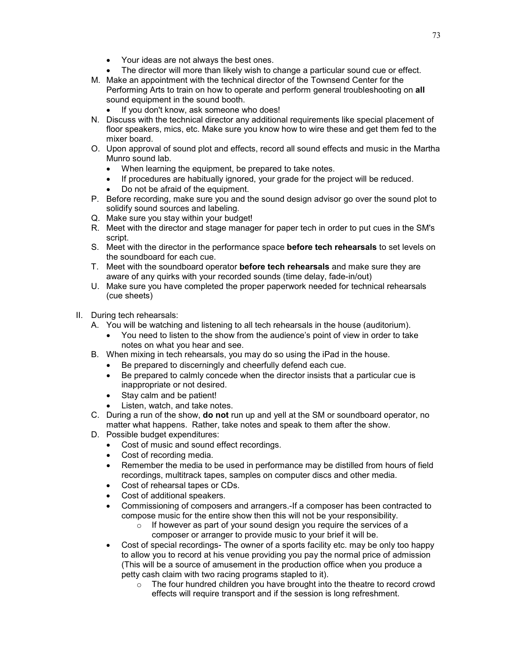- Your ideas are not always the best ones.
- The director will more than likely wish to change a particular sound cue or effect.
- M. Make an appointment with the technical director of the Townsend Center for the Performing Arts to train on how to operate and perform general troubleshooting on **all** sound equipment in the sound booth.
	- If you don't know, ask someone who does!
- N. Discuss with the technical director any additional requirements like special placement of floor speakers, mics, etc. Make sure you know how to wire these and get them fed to the mixer board.
- O. Upon approval of sound plot and effects, record all sound effects and music in the Martha Munro sound lab.
	- When learning the equipment, be prepared to take notes.
	- If procedures are habitually ignored, your grade for the project will be reduced.
	- Do not be afraid of the equipment.
- P. Before recording, make sure you and the sound design advisor go over the sound plot to solidify sound sources and labeling.
- Q. Make sure you stay within your budget!
- R. Meet with the director and stage manager for paper tech in order to put cues in the SM's script.
- S. Meet with the director in the performance space **before tech rehearsals** to set levels on the soundboard for each cue.
- T. Meet with the soundboard operator **before tech rehearsals** and make sure they are aware of any quirks with your recorded sounds (time delay, fade-in/out)
- U. Make sure you have completed the proper paperwork needed for technical rehearsals (cue sheets)
- II. During tech rehearsals:
	- A. You will be watching and listening to all tech rehearsals in the house (auditorium).
		- You need to listen to the show from the audience's point of view in order to take notes on what you hear and see.
	- B. When mixing in tech rehearsals, you may do so using the iPad in the house.
		- Be prepared to discerningly and cheerfully defend each cue.
		- Be prepared to calmly concede when the director insists that a particular cue is inappropriate or not desired.
		- Stay calm and be patient!
		- Listen, watch, and take notes.
	- C. During a run of the show, **do not** run up and yell at the SM or soundboard operator, no matter what happens. Rather, take notes and speak to them after the show.
	- D. Possible budget expenditures:
		- Cost of music and sound effect recordings.
		- Cost of recording media.
		- Remember the media to be used in performance may be distilled from hours of field recordings, multitrack tapes, samples on computer discs and other media.
		- Cost of rehearsal tapes or CDs.
		- Cost of additional speakers.
		- Commissioning of composers and arrangers.-If a composer has been contracted to compose music for the entire show then this will not be your responsibility.
			- $\circ$  If however as part of your sound design you require the services of a composer or arranger to provide music to your brief it will be.
		- Cost of special recordings- The owner of a sports facility etc. may be only too happy to allow you to record at his venue providing you pay the normal price of admission (This will be a source of amusement in the production office when you produce a petty cash claim with two racing programs stapled to it).
			- o The four hundred children you have brought into the theatre to record crowd effects will require transport and if the session is long refreshment.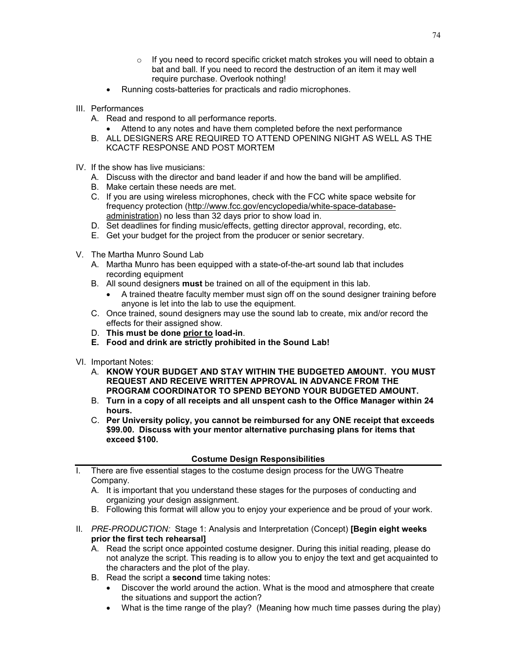- $\circ$  If you need to record specific cricket match strokes you will need to obtain a bat and ball. If you need to record the destruction of an item it may well require purchase. Overlook nothing!
- Running costs-batteries for practicals and radio microphones.
- III. Performances
	- A. Read and respond to all performance reports.
		- Attend to any notes and have them completed before the next performance
	- B. ALL DESIGNERS ARE REQUIRED TO ATTEND OPENING NIGHT AS WELL AS THE KCACTF RESPONSE AND POST MORTEM
- IV. If the show has live musicians:
	- A. Discuss with the director and band leader if and how the band will be amplified.
	- B. Make certain these needs are met.
	- C. If you are using wireless microphones, check with the FCC white space website for frequency protection [\(http://www.fcc.gov/encyclopedia/white-space-database](http://www.fcc.gov/encyclopedia/white-space-database-administration)[administration\)](http://www.fcc.gov/encyclopedia/white-space-database-administration) no less than 32 days prior to show load in.
	- D. Set deadlines for finding music/effects, getting director approval, recording, etc.
	- E. Get your budget for the project from the producer or senior secretary.
- V. The Martha Munro Sound Lab
	- A. Martha Munro has been equipped with a state-of-the-art sound lab that includes recording equipment
	- B. All sound designers **must** be trained on all of the equipment in this lab.
		- A trained theatre faculty member must sign off on the sound designer training before anyone is let into the lab to use the equipment.
	- C. Once trained, sound designers may use the sound lab to create, mix and/or record the effects for their assigned show.
	- D. **This must be done prior to load-in**.
	- **E. Food and drink are strictly prohibited in the Sound Lab!**
- VI. Important Notes:
	- A. **KNOW YOUR BUDGET AND STAY WITHIN THE BUDGETED AMOUNT. YOU MUST REQUEST AND RECEIVE WRITTEN APPROVAL IN ADVANCE FROM THE PROGRAM COORDINATOR TO SPEND BEYOND YOUR BUDGETED AMOUNT.**
	- B. **Turn in a copy of all receipts and all unspent cash to the Office Manager within 24 hours.**
	- C. **Per University policy, you cannot be reimbursed for any ONE receipt that exceeds \$99.00. Discuss with your mentor alternative purchasing plans for items that exceed \$100.**

## **Costume Design Responsibilities**

- I. There are five essential stages to the costume design process for the UWG Theatre Company.
	- A. It is important that you understand these stages for the purposes of conducting and organizing your design assignment.
	- B. Following this format will allow you to enjoy your experience and be proud of your work.
- II*. PRE-PRODUCTION:* Stage 1: Analysis and Interpretation (Concept) **[Begin eight weeks prior the first tech rehearsal]**
	- A. Read the script once appointed costume designer. During this initial reading, please do not analyze the script. This reading is to allow you to enjoy the text and get acquainted to the characters and the plot of the play.
	- B. Read the script a **second** time taking notes:
		- Discover the world around the action. What is the mood and atmosphere that create the situations and support the action?
		- What is the time range of the play? (Meaning how much time passes during the play)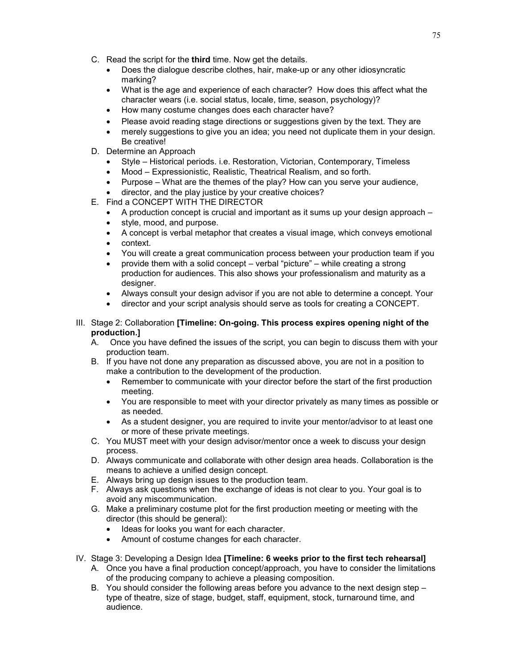- C. Read the script for the **third** time. Now get the details.
	- Does the dialogue describe clothes, hair, make-up or any other idiosyncratic marking?
	- What is the age and experience of each character? How does this affect what the character wears (i.e. social status, locale, time, season, psychology)?
	- How many costume changes does each character have?
	- Please avoid reading stage directions or suggestions given by the text. They are
	- merely suggestions to give you an idea; you need not duplicate them in your design. Be creative!
- D. Determine an Approach
	- Style Historical periods. i.e. Restoration, Victorian, Contemporary, Timeless
	- Mood Expressionistic, Realistic, Theatrical Realism, and so forth.
	- Purpose What are the themes of the play? How can you serve your audience,
	- director, and the play justice by your creative choices?
- E. Find a CONCEPT WITH THE DIRECTOR
	- A production concept is crucial and important as it sums up your design approach –
	- style, mood, and purpose.
	- A concept is verbal metaphor that creates a visual image, which conveys emotional
	- context.
	- You will create a great communication process between your production team if you
	- provide them with a solid concept verbal "picture" while creating a strong production for audiences. This also shows your professionalism and maturity as a designer.
	- Always consult your design advisor if you are not able to determine a concept. Your
	- director and your script analysis should serve as tools for creating a CONCEPT.
- III. Stage 2: Collaboration **[Timeline: On-going. This process expires opening night of the production.]**
	- A. Once you have defined the issues of the script, you can begin to discuss them with your production team.
	- B. If you have not done any preparation as discussed above, you are not in a position to make a contribution to the development of the production.
		- Remember to communicate with your director before the start of the first production meeting.
		- You are responsible to meet with your director privately as many times as possible or as needed.
		- As a student designer, you are required to invite your mentor/advisor to at least one or more of these private meetings.
	- C. You MUST meet with your design advisor/mentor once a week to discuss your design process.
	- D. Always communicate and collaborate with other design area heads. Collaboration is the means to achieve a unified design concept.
	- E. Always bring up design issues to the production team.
	- F. Always ask questions when the exchange of ideas is not clear to you. Your goal is to avoid any miscommunication.
	- G. Make a preliminary costume plot for the first production meeting or meeting with the director (this should be general):
		- Ideas for looks you want for each character.
		- Amount of costume changes for each character.
- IV. Stage 3: Developing a Design Idea **[Timeline: 6 weeks prior to the first tech rehearsal]**
	- A. Once you have a final production concept/approach, you have to consider the limitations of the producing company to achieve a pleasing composition.
	- B. You should consider the following areas before you advance to the next design step type of theatre, size of stage, budget, staff, equipment, stock, turnaround time, and audience.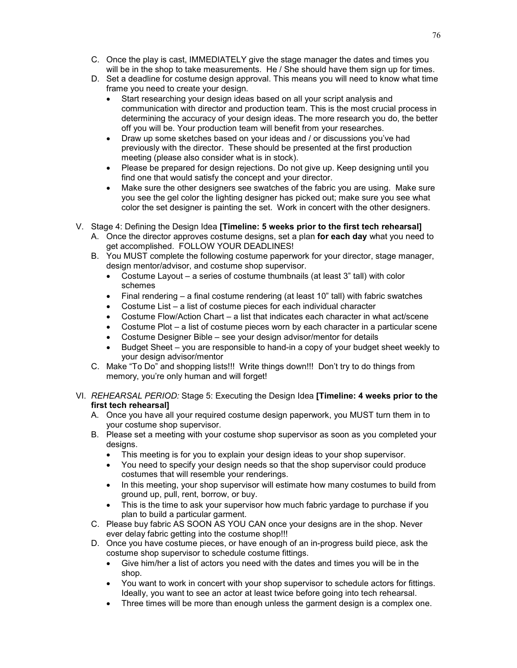- C. Once the play is cast, IMMEDIATELY give the stage manager the dates and times you will be in the shop to take measurements. He / She should have them sign up for times.
- D. Set a deadline for costume design approval. This means you will need to know what time frame you need to create your design.
	- Start researching your design ideas based on all your script analysis and communication with director and production team. This is the most crucial process in determining the accuracy of your design ideas. The more research you do, the better off you will be. Your production team will benefit from your researches.
	- Draw up some sketches based on your ideas and / or discussions you've had previously with the director. These should be presented at the first production meeting (please also consider what is in stock).
	- Please be prepared for design rejections. Do not give up. Keep designing until you find one that would satisfy the concept and your director.
	- Make sure the other designers see swatches of the fabric you are using. Make sure you see the gel color the lighting designer has picked out; make sure you see what color the set designer is painting the set. Work in concert with the other designers.
- V. Stage 4: Defining the Design Idea **[Timeline: 5 weeks prior to the first tech rehearsal]**
	- A. Once the director approves costume designs, set a plan **for each day** what you need to get accomplished. FOLLOW YOUR DEADLINES!
	- B. You MUST complete the following costume paperwork for your director, stage manager, design mentor/advisor, and costume shop supervisor.
		- Costume Layout a series of costume thumbnails (at least 3" tall) with color schemes
		- Final rendering a final costume rendering (at least 10" tall) with fabric swatches
		- Costume List a list of costume pieces for each individual character
		- Costume Flow/Action Chart a list that indicates each character in what act/scene
		- Costume Plot a list of costume pieces worn by each character in a particular scene
		- Costume Designer Bible see your design advisor/mentor for details
		- Budget Sheet you are responsible to hand-in a copy of your budget sheet weekly to your design advisor/mentor
	- C. Make "To Do" and shopping lists!!! Write things down!!! Don't try to do things from memory, you're only human and will forget!
- VI. *REHEARSAL PERIOD:* Stage 5: Executing the Design Idea **[Timeline: 4 weeks prior to the first tech rehearsal]**
	- A. Once you have all your required costume design paperwork, you MUST turn them in to your costume shop supervisor.
	- B. Please set a meeting with your costume shop supervisor as soon as you completed your designs.
		- This meeting is for you to explain your design ideas to your shop supervisor.
		- You need to specify your design needs so that the shop supervisor could produce costumes that will resemble your renderings.
		- In this meeting, your shop supervisor will estimate how many costumes to build from ground up, pull, rent, borrow, or buy.
		- This is the time to ask your supervisor how much fabric yardage to purchase if you plan to build a particular garment.
	- C. Please buy fabric AS SOON AS YOU CAN once your designs are in the shop. Never ever delay fabric getting into the costume shop!!!
	- D. Once you have costume pieces, or have enough of an in-progress build piece, ask the costume shop supervisor to schedule costume fittings.
		- Give him/her a list of actors you need with the dates and times you will be in the shop.
		- You want to work in concert with your shop supervisor to schedule actors for fittings. Ideally, you want to see an actor at least twice before going into tech rehearsal.
		- Three times will be more than enough unless the garment design is a complex one.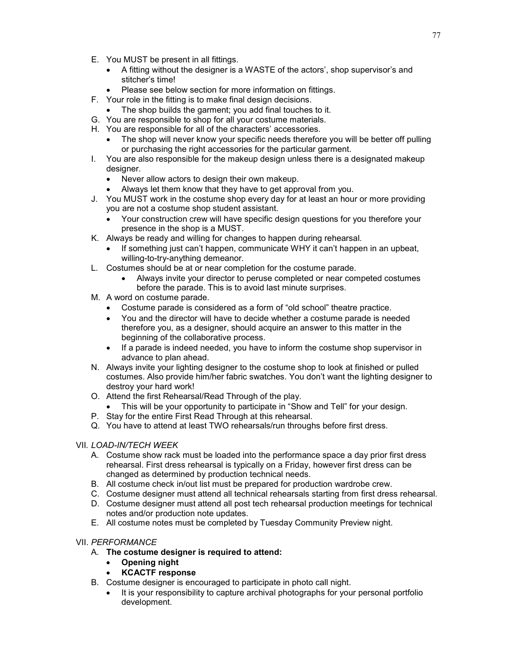- E. You MUST be present in all fittings.
	- A fitting without the designer is a WASTE of the actors', shop supervisor's and stitcher's time!
	- Please see below section for more information on fittings.
- F. Your role in the fitting is to make final design decisions.
	- The shop builds the garment; you add final touches to it.
- G. You are responsible to shop for all your costume materials.
- H. You are responsible for all of the characters' accessories.
	- The shop will never know your specific needs therefore you will be better off pulling or purchasing the right accessories for the particular garment.
- I. You are also responsible for the makeup design unless there is a designated makeup designer.
	- Never allow actors to design their own makeup.
	- Always let them know that they have to get approval from you.
- J. You MUST work in the costume shop every day for at least an hour or more providing you are not a costume shop student assistant.
	- Your construction crew will have specific design questions for you therefore your presence in the shop is a MUST.
- K. Always be ready and willing for changes to happen during rehearsal.
	- If something just can't happen, communicate WHY it can't happen in an upbeat, willing-to-try-anything demeanor.
- L. Costumes should be at or near completion for the costume parade.
	- Always invite your director to peruse completed or near competed costumes before the parade. This is to avoid last minute surprises.
- M. A word on costume parade.
	- Costume parade is considered as a form of "old school" theatre practice.
	- You and the director will have to decide whether a costume parade is needed therefore you, as a designer, should acquire an answer to this matter in the beginning of the collaborative process.
	- If a parade is indeed needed, you have to inform the costume shop supervisor in advance to plan ahead.
- N. Always invite your lighting designer to the costume shop to look at finished or pulled costumes. Also provide him/her fabric swatches. You don't want the lighting designer to destroy your hard work!
- O. Attend the first Rehearsal/Read Through of the play.
	- This will be your opportunity to participate in "Show and Tell" for your design.
- P. Stay for the entire First Read Through at this rehearsal.
- Q. You have to attend at least TWO rehearsals/run throughs before first dress.

## VII*. LOAD-IN/TECH WEEK*

- A. Costume show rack must be loaded into the performance space a day prior first dress rehearsal. First dress rehearsal is typically on a Friday, however first dress can be changed as determined by production technical needs.
- B. All costume check in/out list must be prepared for production wardrobe crew.
- C. Costume designer must attend all technical rehearsals starting from first dress rehearsal.
- D. Costume designer must attend all post tech rehearsal production meetings for technical notes and/or production note updates.
- E. All costume notes must be completed by Tuesday Community Preview night.

# VII. *PERFORMANCE*

- A. **The costume designer is required to attend:**
	- **Opening night**
	- **KCACTF response**
- B. Costume designer is encouraged to participate in photo call night.
	- It is your responsibility to capture archival photographs for your personal portfolio development.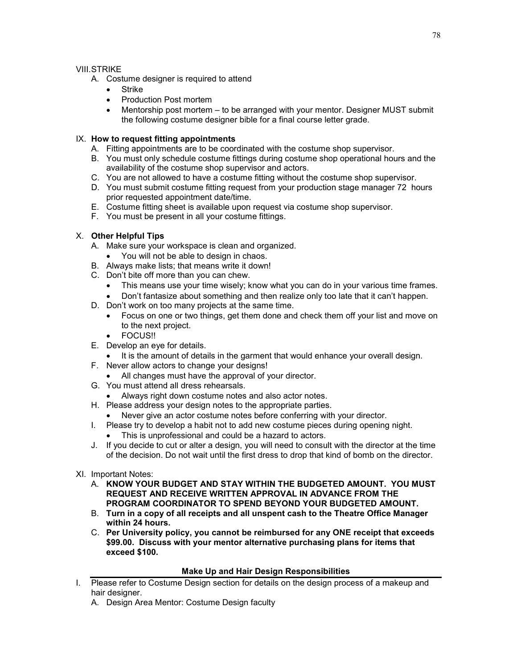## VIII.STRIKE

- A. Costume designer is required to attend
	- Strike
	- Production Post mortem
	- Mentorship post mortem to be arranged with your mentor. Designer MUST submit the following costume designer bible for a final course letter grade.

## IX. **How to request fitting appointments**

- A. Fitting appointments are to be coordinated with the costume shop supervisor.
- B. You must only schedule costume fittings during costume shop operational hours and the availability of the costume shop supervisor and actors.
- C. You are not allowed to have a costume fitting without the costume shop supervisor.
- D. You must submit costume fitting request from your production stage manager 72 hours prior requested appointment date/time.
- E. Costume fitting sheet is available upon request via costume shop supervisor.
- F. You must be present in all your costume fittings.

## X. **Other Helpful Tips**

- A. Make sure your workspace is clean and organized.
	- You will not be able to design in chaos.
- B. Always make lists; that means write it down!
- C. Don't bite off more than you can chew.
	- This means use your time wisely; know what you can do in your various time frames.
	- Don't fantasize about something and then realize only too late that it can't happen.
- D. Don't work on too many projects at the same time.
	- Focus on one or two things, get them done and check them off your list and move on to the next project.
	- FOCUS!!
- E. Develop an eye for details.
	- It is the amount of details in the garment that would enhance your overall design.
- F. Never allow actors to change your designs!
	- All changes must have the approval of your director.
- G. You must attend all dress rehearsals.
	- Always right down costume notes and also actor notes.
- H. Please address your design notes to the appropriate parties.
	- Never give an actor costume notes before conferring with your director.
- I. Please try to develop a habit not to add new costume pieces during opening night.
	- This is unprofessional and could be a hazard to actors.
- J. If you decide to cut or alter a design, you will need to consult with the director at the time of the decision. Do not wait until the first dress to drop that kind of bomb on the director.
- XI. Important Notes:
	- A. **KNOW YOUR BUDGET AND STAY WITHIN THE BUDGETED AMOUNT. YOU MUST REQUEST AND RECEIVE WRITTEN APPROVAL IN ADVANCE FROM THE PROGRAM COORDINATOR TO SPEND BEYOND YOUR BUDGETED AMOUNT.**
	- B. **Turn in a copy of all receipts and all unspent cash to the Theatre Office Manager within 24 hours.**
	- C. **Per University policy, you cannot be reimbursed for any ONE receipt that exceeds \$99.00. Discuss with your mentor alternative purchasing plans for items that exceed \$100.**

### **Make Up and Hair Design Responsibilities**

- I. Please refer to Costume Design section for details on the design process of a makeup and hair designer.
	- A. Design Area Mentor: Costume Design faculty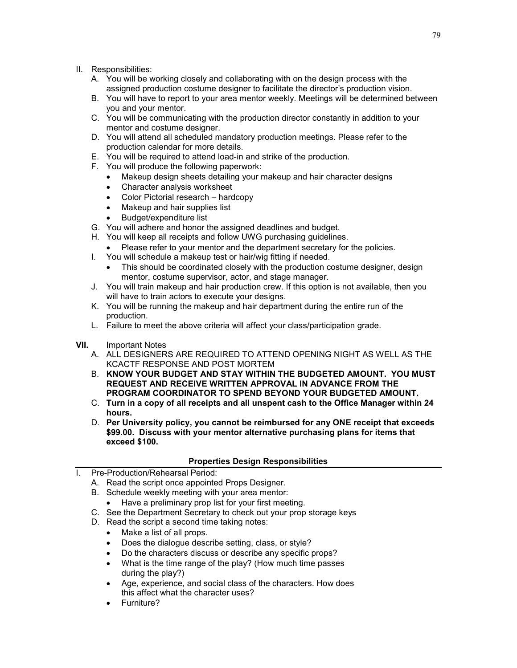- II. Responsibilities:
	- A. You will be working closely and collaborating with on the design process with the assigned production costume designer to facilitate the director's production vision.
	- B. You will have to report to your area mentor weekly. Meetings will be determined between you and your mentor.
	- C. You will be communicating with the production director constantly in addition to your mentor and costume designer.
	- D. You will attend all scheduled mandatory production meetings. Please refer to the production calendar for more details.
	- E. You will be required to attend load-in and strike of the production.
	- F. You will produce the following paperwork:
		- Makeup design sheets detailing your makeup and hair character designs
		- Character analysis worksheet
		- Color Pictorial research hardcopy
		- Makeup and hair supplies list
		- Budget/expenditure list
	- G. You will adhere and honor the assigned deadlines and budget.
	- H. You will keep all receipts and follow UWG purchasing guidelines.
	- Please refer to your mentor and the department secretary for the policies.
	- I. You will schedule a makeup test or hair/wig fitting if needed.
		- This should be coordinated closely with the production costume designer, designer mentor, costume supervisor, actor, and stage manager.
	- J. You will train makeup and hair production crew. If this option is not available, then you will have to train actors to execute your designs.
	- K. You will be running the makeup and hair department during the entire run of the production.
	- L. Failure to meet the above criteria will affect your class/participation grade.
- **VII.** Important Notes
	- A. ALL DESIGNERS ARE REQUIRED TO ATTEND OPENING NIGHT AS WELL AS THE KCACTF RESPONSE AND POST MORTEM
	- B. **KNOW YOUR BUDGET AND STAY WITHIN THE BUDGETED AMOUNT. YOU MUST REQUEST AND RECEIVE WRITTEN APPROVAL IN ADVANCE FROM THE PROGRAM COORDINATOR TO SPEND BEYOND YOUR BUDGETED AMOUNT.**
	- C. **Turn in a copy of all receipts and all unspent cash to the Office Manager within 24 hours.**
	- D. **Per University policy, you cannot be reimbursed for any ONE receipt that exceeds \$99.00. Discuss with your mentor alternative purchasing plans for items that exceed \$100.**

### **Properties Design Responsibilities**

- I. Pre-Production/Rehearsal Period:
	- A. Read the script once appointed Props Designer.
	- B. Schedule weekly meeting with your area mentor:
		- Have a preliminary prop list for your first meeting.
	- C. See the Department Secretary to check out your prop storage keys
	- D. Read the script a second time taking notes:
		- Make a list of all props.
		- Does the dialogue describe setting, class, or style?
		- Do the characters discuss or describe any specific props?
		- What is the time range of the play? (How much time passes during the play?)
		- Age, experience, and social class of the characters. How does this affect what the character uses?
		- Furniture?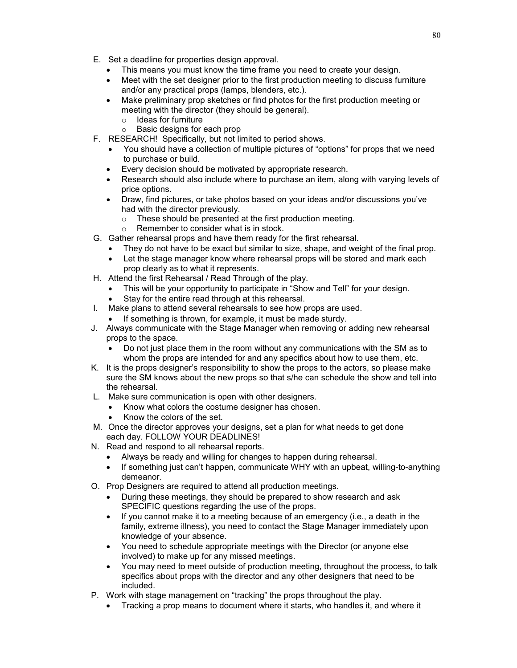- E. Set a deadline for properties design approval.
	- This means you must know the time frame you need to create your design.
	- Meet with the set designer prior to the first production meeting to discuss furniture and/or any practical props (lamps, blenders, etc.).
	- Make preliminary prop sketches or find photos for the first production meeting or meeting with the director (they should be general).
		- $\circ$  Ideas for furniture<br> $\circ$  Basic designs for
		- Basic designs for each prop
- F. RESEARCH! Specifically, but not limited to period shows.
	- You should have a collection of multiple pictures of "options" for props that we need to purchase or build.
	- Every decision should be motivated by appropriate research.
	- Research should also include where to purchase an item, along with varying levels of price options.
	- Draw, find pictures, or take photos based on your ideas and/or discussions you've had with the director previously.
		- o These should be presented at the first production meeting.
		- o Remember to consider what is in stock.
- G. Gather rehearsal props and have them ready for the first rehearsal.
	- They do not have to be exact but similar to size, shape, and weight of the final prop.
	- Let the stage manager know where rehearsal props will be stored and mark each prop clearly as to what it represents.
- H. Attend the first Rehearsal / Read Through of the play.
	- This will be your opportunity to participate in "Show and Tell" for your design.
	- Stay for the entire read through at this rehearsal.
- I. Make plans to attend several rehearsals to see how props are used.
	- If something is thrown, for example, it must be made sturdy.
- J. Always communicate with the Stage Manager when removing or adding new rehearsal props to the space.
	- Do not just place them in the room without any communications with the SM as to whom the props are intended for and any specifics about how to use them, etc.
- K. It is the props designer's responsibility to show the props to the actors, so please make sure the SM knows about the new props so that s/he can schedule the show and tell into the rehearsal.
- L. Make sure communication is open with other designers.
	- Know what colors the costume designer has chosen.
	- Know the colors of the set.
- M. Once the director approves your designs, set a plan for what needs to get done each day. FOLLOW YOUR DEADLINES!
- N. Read and respond to all rehearsal reports.
	- Always be ready and willing for changes to happen during rehearsal.
	- If something just can't happen, communicate WHY with an upbeat, willing-to-anything demeanor.
- O. Prop Designers are required to attend all production meetings.
	- During these meetings, they should be prepared to show research and ask SPECIFIC questions regarding the use of the props.
	- If you cannot make it to a meeting because of an emergency (i.e., a death in the family, extreme illness), you need to contact the Stage Manager immediately upon knowledge of your absence.
	- You need to schedule appropriate meetings with the Director (or anyone else involved) to make up for any missed meetings.
	- You may need to meet outside of production meeting, throughout the process, to talk specifics about props with the director and any other designers that need to be included.
- P. Work with stage management on "tracking" the props throughout the play.
	- Tracking a prop means to document where it starts, who handles it, and where it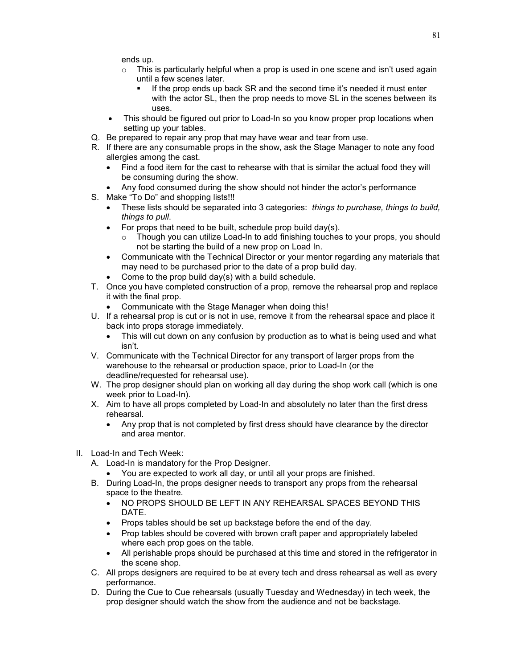ends up.

- $\circ$  This is particularly helpful when a prop is used in one scene and isn't used again until a few scenes later.
	- If the prop ends up back SR and the second time it's needed it must enter with the actor SL, then the prop needs to move SL in the scenes between its uses.
- This should be figured out prior to Load-In so you know proper prop locations when setting up your tables.
- Q. Be prepared to repair any prop that may have wear and tear from use.
- R. If there are any consumable props in the show, ask the Stage Manager to note any food allergies among the cast.
	- Find a food item for the cast to rehearse with that is similar the actual food they will be consuming during the show.
	- Any food consumed during the show should not hinder the actor's performance
- S. Make "To Do" and shopping lists!!!
	- These lists should be separated into 3 categories: *things to purchase, things to build, things to pull*.
	- For props that need to be built, schedule prop build day(s).
		- $\circ$  Though you can utilize Load-In to add finishing touches to your props, you should not be starting the build of a new prop on Load In.
	- Communicate with the Technical Director or your mentor regarding any materials that may need to be purchased prior to the date of a prop build day.
	- Come to the prop build day(s) with a build schedule.
- T. Once you have completed construction of a prop, remove the rehearsal prop and replace it with the final prop.
	- Communicate with the Stage Manager when doing this!
- U. If a rehearsal prop is cut or is not in use, remove it from the rehearsal space and place it back into props storage immediately.
	- This will cut down on any confusion by production as to what is being used and what isn't.
- V. Communicate with the Technical Director for any transport of larger props from the warehouse to the rehearsal or production space, prior to Load-In (or the deadline/requested for rehearsal use).
- W. The prop designer should plan on working all day during the shop work call (which is one week prior to Load-In).
- X. Aim to have all props completed by Load-In and absolutely no later than the first dress rehearsal.
	- Any prop that is not completed by first dress should have clearance by the director and area mentor.
- II. Load-In and Tech Week:
	- A. Load-In is mandatory for the Prop Designer.
		- You are expected to work all day, or until all your props are finished.
	- B. During Load-In, the props designer needs to transport any props from the rehearsal space to the theatre.
		- NO PROPS SHOULD BE LEFT IN ANY REHEARSAL SPACES BEYOND THIS DATE.
		- Props tables should be set up backstage before the end of the day.
		- Prop tables should be covered with brown craft paper and appropriately labeled where each prop goes on the table.
		- All perishable props should be purchased at this time and stored in the refrigerator in the scene shop.
	- C. All props designers are required to be at every tech and dress rehearsal as well as every performance.
	- D. During the Cue to Cue rehearsals (usually Tuesday and Wednesday) in tech week, the prop designer should watch the show from the audience and not be backstage.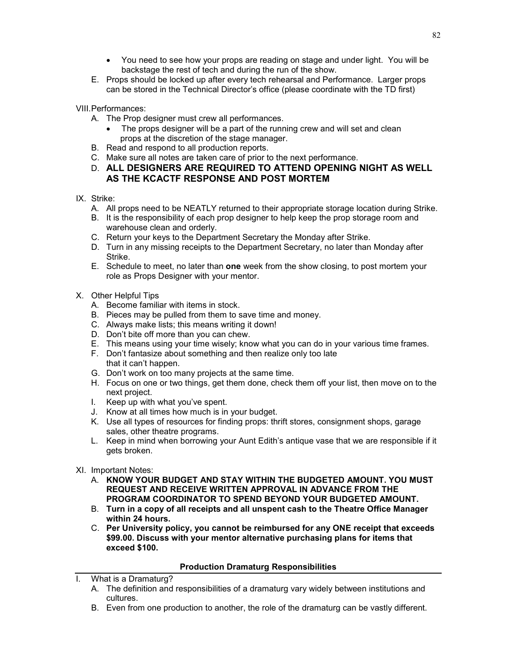- You need to see how your props are reading on stage and under light. You will be backstage the rest of tech and during the run of the show.
- E. Props should be locked up after every tech rehearsal and Performance. Larger props can be stored in the Technical Director's office (please coordinate with the TD first)

VIII.Performances:

- A. The Prop designer must crew all performances.
	- The props designer will be a part of the running crew and will set and clean props at the discretion of the stage manager.
- B. Read and respond to all production reports.
- C. Make sure all notes are taken care of prior to the next performance.
- D. **ALL DESIGNERS ARE REQUIRED TO ATTEND OPENING NIGHT AS WELL AS THE KCACTF RESPONSE AND POST MORTEM**
- IX. Strike:
	- A. All props need to be NEATLY returned to their appropriate storage location during Strike.
	- B. It is the responsibility of each prop designer to help keep the prop storage room and warehouse clean and orderly.
	- C. Return your keys to the Department Secretary the Monday after Strike.
	- D. Turn in any missing receipts to the Department Secretary, no later than Monday after Strike.
	- E. Schedule to meet, no later than **one** week from the show closing, to post mortem your role as Props Designer with your mentor.
- X. Other Helpful Tips
	- A. Become familiar with items in stock.
	- B. Pieces may be pulled from them to save time and money.
	- C. Always make lists; this means writing it down!
	- D. Don't bite off more than you can chew.
	- E. This means using your time wisely; know what you can do in your various time frames.
	- F. Don't fantasize about something and then realize only too late that it can't happen.
	- G. Don't work on too many projects at the same time.
	- H. Focus on one or two things, get them done, check them off your list, then move on to the next project.
	- I. Keep up with what you've spent.
	- J. Know at all times how much is in your budget.
	- K. Use all types of resources for finding props: thrift stores, consignment shops, garage sales, other theatre programs.
	- L. Keep in mind when borrowing your Aunt Edith's antique vase that we are responsible if it gets broken.
- XI. Important Notes:
	- A. **KNOW YOUR BUDGET AND STAY WITHIN THE BUDGETED AMOUNT. YOU MUST REQUEST AND RECEIVE WRITTEN APPROVAL IN ADVANCE FROM THE PROGRAM COORDINATOR TO SPEND BEYOND YOUR BUDGETED AMOUNT.**
	- B. **Turn in a copy of all receipts and all unspent cash to the Theatre Office Manager within 24 hours.**
	- C. **Per University policy, you cannot be reimbursed for any ONE receipt that exceeds \$99.00. Discuss with your mentor alternative purchasing plans for items that exceed \$100.**

### **Production Dramaturg Responsibilities**

- What is a Dramaturg?
	- A. The definition and responsibilities of a dramaturg vary widely between institutions and cultures.
	- B. Even from one production to another, the role of the dramaturg can be vastly different.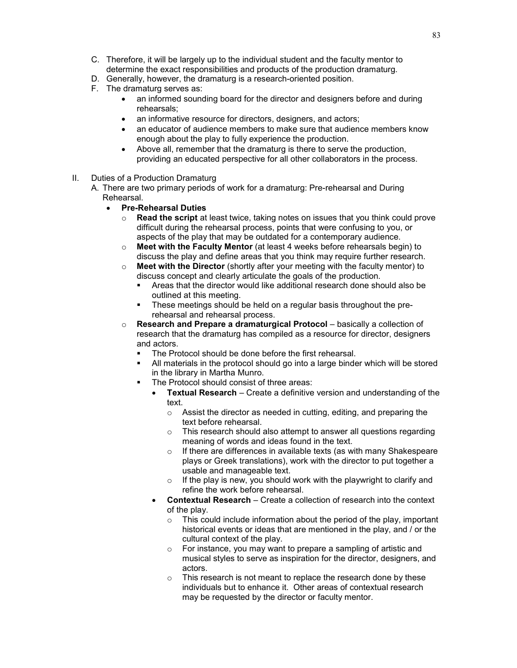- C. Therefore, it will be largely up to the individual student and the faculty mentor to determine the exact responsibilities and products of the production dramaturg.
- D. Generally, however, the dramaturg is a research-oriented position.
- F. The dramaturg serves as:
	- an informed sounding board for the director and designers before and during rehearsals;
	- an informative resource for directors, designers, and actors;
	- an educator of audience members to make sure that audience members know enough about the play to fully experience the production.
	- Above all, remember that the dramaturg is there to serve the production, providing an educated perspective for all other collaborators in the process.
- II. Duties of a Production Dramaturg
	- A. There are two primary periods of work for a dramaturg: Pre-rehearsal and During Rehearsal.
		- **Pre-Rehearsal Duties**
			- o **Read the script** at least twice, taking notes on issues that you think could prove difficult during the rehearsal process, points that were confusing to you, or aspects of the play that may be outdated for a contemporary audience.
			- o **Meet with the Faculty Mentor** (at least 4 weeks before rehearsals begin) to discuss the play and define areas that you think may require further research.
			- o **Meet with the Director** (shortly after your meeting with the faculty mentor) to discuss concept and clearly articulate the goals of the production.
				- Areas that the director would like additional research done should also be outlined at this meeting.
				- These meetings should be held on a regular basis throughout the prerehearsal and rehearsal process.
			- o **Research and Prepare a dramaturgical Protocol** basically a collection of research that the dramaturg has compiled as a resource for director, designers and actors.
				- The Protocol should be done before the first rehearsal.
				- All materials in the protocol should go into a large binder which will be stored in the library in Martha Munro.
				- The Protocol should consist of three areas:
					- **Textual Research** Create a definitive version and understanding of the text.
						- $\circ$  Assist the director as needed in cutting, editing, and preparing the text before rehearsal.
						- o This research should also attempt to answer all questions regarding meaning of words and ideas found in the text.
						- o If there are differences in available texts (as with many Shakespeare plays or Greek translations), work with the director to put together a usable and manageable text.
						- $\circ$  If the play is new, you should work with the playwright to clarify and refine the work before rehearsal.
					- **Contextual Research** Create a collection of research into the context of the play.
						- o This could include information about the period of the play, important historical events or ideas that are mentioned in the play, and / or the cultural context of the play.
						- o For instance, you may want to prepare a sampling of artistic and musical styles to serve as inspiration for the director, designers, and actors.
						- $\circ$  This research is not meant to replace the research done by these individuals but to enhance it. Other areas of contextual research may be requested by the director or faculty mentor.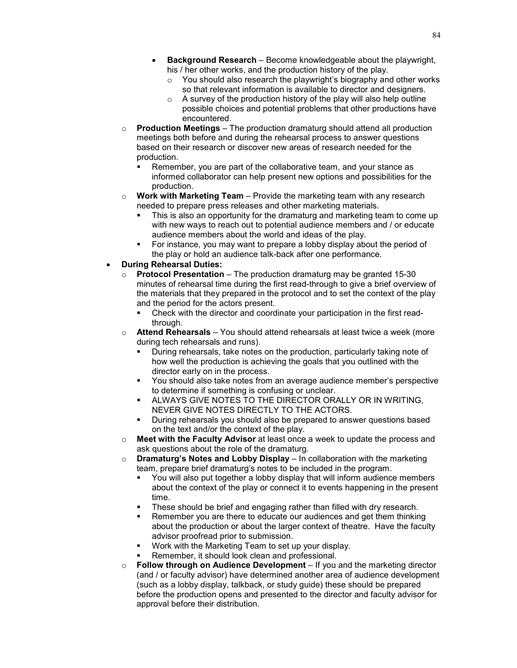- **Background Research** Become knowledgeable about the playwright, his / her other works, and the production history of the play.
	- o You should also research the playwright's biography and other works so that relevant information is available to director and designers.
	- $\circ$  A survey of the production history of the play will also help outline possible choices and potential problems that other productions have encountered.
- o **Production Meetings** The production dramaturg should attend all production meetings both before and during the rehearsal process to answer questions based on their research or discover new areas of research needed for the production.
	- Remember, you are part of the collaborative team, and your stance as informed collaborator can help present new options and possibilities for the production.
- o **Work with Marketing Team** Provide the marketing team with any research needed to prepare press releases and other marketing materials.
	- This is also an opportunity for the dramaturg and marketing team to come up with new ways to reach out to potential audience members and / or educate audience members about the world and ideas of the play.
	- For instance, you may want to prepare a lobby display about the period of the play or hold an audience talk-back after one performance.
- **During Rehearsal Duties:**
	- o **Protocol Presentation** The production dramaturg may be granted 15-30 minutes of rehearsal time during the first read-through to give a brief overview of the materials that they prepared in the protocol and to set the context of the play and the period for the actors present.
		- Check with the director and coordinate your participation in the first readthrough.
	- o **Attend Rehearsals** You should attend rehearsals at least twice a week (more during tech rehearsals and runs).
		- During rehearsals, take notes on the production, particularly taking note of how well the production is achieving the goals that you outlined with the director early on in the process.
		- You should also take notes from an average audience member's perspective to determine if something is confusing or unclear.
		- ALWAYS GIVE NOTES TO THE DIRECTOR ORALLY OR IN WRITING, NEVER GIVE NOTES DIRECTLY TO THE ACTORS.
		- During rehearsals you should also be prepared to answer questions based on the text and/or the context of the play.
	- o **Meet with the Faculty Advisor** at least once a week to update the process and ask questions about the role of the dramaturg.
	- o **Dramaturg's Notes and Lobby Display** In collaboration with the marketing team, prepare brief dramaturg's notes to be included in the program.
		- You will also put together a lobby display that will inform audience members about the context of the play or connect it to events happening in the present time.
		- These should be brief and engaging rather than filled with dry research.
		- Remember you are there to educate our audiences and get them thinking about the production or about the larger context of theatre. Have the faculty advisor proofread prior to submission.
		- Work with the Marketing Team to set up your display.
		- Remember, it should look clean and professional.
	- o **Follow through on Audience Development** If you and the marketing director (and / or faculty advisor) have determined another area of audience development (such as a lobby display, talkback, or study guide) these should be prepared before the production opens and presented to the director and faculty advisor for approval before their distribution.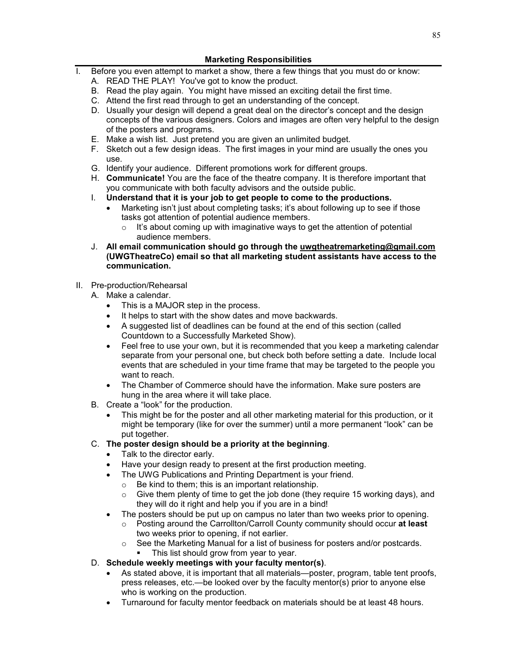## **Marketing Responsibilities**

- I. Before you even attempt to market a show, there a few things that you must do or know:
	- A. READ THE PLAY! You've got to know the product.
	- B. Read the play again. You might have missed an exciting detail the first time.
	- C. Attend the first read through to get an understanding of the concept.
	- D. Usually your design will depend a great deal on the director's concept and the design concepts of the various designers. Colors and images are often very helpful to the design of the posters and programs.
	- E. Make a wish list. Just pretend you are given an unlimited budget.
	- F. Sketch out a few design ideas. The first images in your mind are usually the ones you use.
	- G. Identify your audience. Different promotions work for different groups.
	- H. **Communicate!** You are the face of the theatre company. It is therefore important that you communicate with both faculty advisors and the outside public.
	- I. **Understand that it is your job to get people to come to the productions.**
		- Marketing isn't just about completing tasks; it's about following up to see if those tasks got attention of potential audience members.
			- $\circ$  It's about coming up with imaginative ways to get the attention of potential audience members.
	- J. **All email communication should go through the [uwgtheatremarketing@gmail.com](mailto:uwgtheatremarketing@gmail.com) (UWGTheatreCo) email so that all marketing student assistants have access to the communication.**

### II. Pre-production/Rehearsal

- A. Make a calendar.
	- This is a MAJOR step in the process.
	- It helps to start with the show dates and move backwards.
	- A suggested list of deadlines can be found at the end of this section (called Countdown to a Successfully Marketed Show).
	- Feel free to use your own, but it is recommended that you keep a marketing calendar separate from your personal one, but check both before setting a date. Include local events that are scheduled in your time frame that may be targeted to the people you want to reach.
	- The Chamber of Commerce should have the information. Make sure posters are hung in the area where it will take place.
- B. Create a "look" for the production.
	- This might be for the poster and all other marketing material for this production, or it might be temporary (like for over the summer) until a more permanent "look" can be put together.

### C. **The poster design should be a priority at the beginning**.

- Talk to the director early.
- Have your design ready to present at the first production meeting.
- The UWG Publications and Printing Department is your friend.
	- o Be kind to them; this is an important relationship.
	- $\circ$  Give them plenty of time to get the job done (they require 15 working days), and they will do it right and help you if you are in a bind!
- The posters should be put up on campus no later than two weeks prior to opening.
	- o Posting around the Carrollton/Carroll County community should occur **at least**  two weeks prior to opening, if not earlier.
		- See the Marketing Manual for a list of business for posters and/or postcards. This list should grow from year to year.

## D. **Schedule weekly meetings with your faculty mentor(s)**.

- As stated above, it is important that all materials—poster, program, table tent proofs, press releases, etc.—be looked over by the faculty mentor(s) prior to anyone else who is working on the production.
- Turnaround for faculty mentor feedback on materials should be at least 48 hours.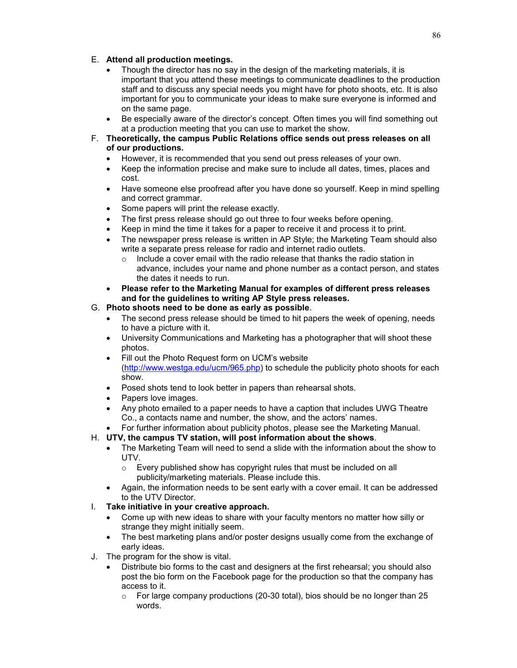## E. **Attend all production meetings.**

- Though the director has no say in the design of the marketing materials, it is important that you attend these meetings to communicate deadlines to the production staff and to discuss any special needs you might have for photo shoots, etc. It is also important for you to communicate your ideas to make sure everyone is informed and on the same page.
- Be especially aware of the director's concept. Often times you will find something out at a production meeting that you can use to market the show.
- F. **Theoretically, the campus Public Relations office sends out press releases on all of our productions.** 
	- However, it is recommended that you send out press releases of your own.
	- Keep the information precise and make sure to include all dates, times, places and cost.
	- Have someone else proofread after you have done so yourself. Keep in mind spelling and correct grammar.
	- Some papers will print the release exactly.
	- The first press release should go out three to four weeks before opening.
	- Keep in mind the time it takes for a paper to receive it and process it to print.
	- The newspaper press release is written in AP Style; the Marketing Team should also write a separate press release for radio and internet radio outlets.
		- o Include a cover email with the radio release that thanks the radio station in advance, includes your name and phone number as a contact person, and states the dates it needs to run.
	- **Please refer to the Marketing Manual for examples of different press releases and for the guidelines to writing AP Style press releases.**

# G. **Photo shoots need to be done as early as possible**.

- The second press release should be timed to hit papers the week of opening, needs to have a picture with it.
- University Communications and Marketing has a photographer that will shoot these photos.
- Fill out the Photo Request form on UCM's website [\(http://www.westga.edu/ucm/965.php\)](http://www.westga.edu/ucm/965.php) to schedule the publicity photo shoots for each show.
- Posed shots tend to look better in papers than rehearsal shots.
- Papers love images.
- Any photo emailed to a paper needs to have a caption that includes UWG Theatre Co., a contacts name and number, the show, and the actors' names.
- For further information about publicity photos, please see the Marketing Manual.
- H. **UTV, the campus TV station, will post information about the shows**.
	- The Marketing Team will need to send a slide with the information about the show to UTV.
		- o Every published show has copyright rules that must be included on all publicity/marketing materials. Please include this.
	- Again, the information needs to be sent early with a cover email. It can be addressed to the UTV Director.
- I. **Take initiative in your creative approach.** 
	- Come up with new ideas to share with your faculty mentors no matter how silly or strange they might initially seem.
	- The best marketing plans and/or poster designs usually come from the exchange of early ideas.
- J. The program for the show is vital.
	- Distribute bio forms to the cast and designers at the first rehearsal; you should also post the bio form on the Facebook page for the production so that the company has access to it.
		- $\circ$  For large company productions (20-30 total), bios should be no longer than 25 words.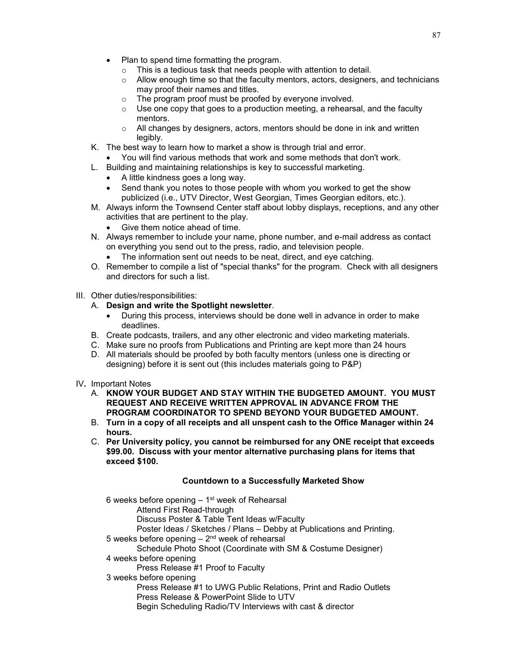- Plan to spend time formatting the program.
	- o This is a tedious task that needs people with attention to detail.
	- o Allow enough time so that the faculty mentors, actors, designers, and technicians may proof their names and titles.
	- o The program proof must be proofed by everyone involved.
	- $\circ$  Use one copy that goes to a production meeting, a rehearsal, and the faculty mentors.
	- $\circ$  All changes by designers, actors, mentors should be done in ink and written legibly.
- K. The best way to learn how to market a show is through trial and error.
	- You will find various methods that work and some methods that don't work.
- L. Building and maintaining relationships is key to successful marketing.
	- A little kindness goes a long way.
	- Send thank you notes to those people with whom you worked to get the show publicized (i.e., UTV Director, West Georgian, Times Georgian editors, etc.).
- M. Always inform the Townsend Center staff about lobby displays, receptions, and any other activities that are pertinent to the play.
	- Give them notice ahead of time.
- N. Always remember to include your name, phone number, and e-mail address as contact on everything you send out to the press, radio, and television people.
	- The information sent out needs to be neat, direct, and eye catching.
- O. Remember to compile a list of "special thanks" for the program. Check with all designers and directors for such a list.

### III. Other duties/responsibilities:

### A. **Design and write the Spotlight newsletter**.

- During this process, interviews should be done well in advance in order to make deadlines.
- B. Create podcasts, trailers, and any other electronic and video marketing materials.
- C. Make sure no proofs from Publications and Printing are kept more than 24 hours
- D. All materials should be proofed by both faculty mentors (unless one is directing or designing) before it is sent out (this includes materials going to P&P)
- IV**.** Important Notes
	- A. **KNOW YOUR BUDGET AND STAY WITHIN THE BUDGETED AMOUNT. YOU MUST REQUEST AND RECEIVE WRITTEN APPROVAL IN ADVANCE FROM THE PROGRAM COORDINATOR TO SPEND BEYOND YOUR BUDGETED AMOUNT.**
	- B. **Turn in a copy of all receipts and all unspent cash to the Office Manager within 24 hours.**
	- C. **Per University policy, you cannot be reimbursed for any ONE receipt that exceeds \$99.00. Discuss with your mentor alternative purchasing plans for items that exceed \$100.**

### **Countdown to a Successfully Marketed Show**

6 weeks before opening  $-1$ <sup>st</sup> week of Rehearsal Attend First Read-through Discuss Poster & Table Tent Ideas w/Faculty Poster Ideas / Sketches / Plans – Debby at Publications and Printing. 5 weeks before opening  $-2<sup>nd</sup>$  week of rehearsal Schedule Photo Shoot (Coordinate with SM & Costume Designer) 4 weeks before opening Press Release #1 Proof to Faculty 3 weeks before opening Press Release #1 to UWG Public Relations, Print and Radio Outlets Press Release & PowerPoint Slide to UTV Begin Scheduling Radio/TV Interviews with cast & director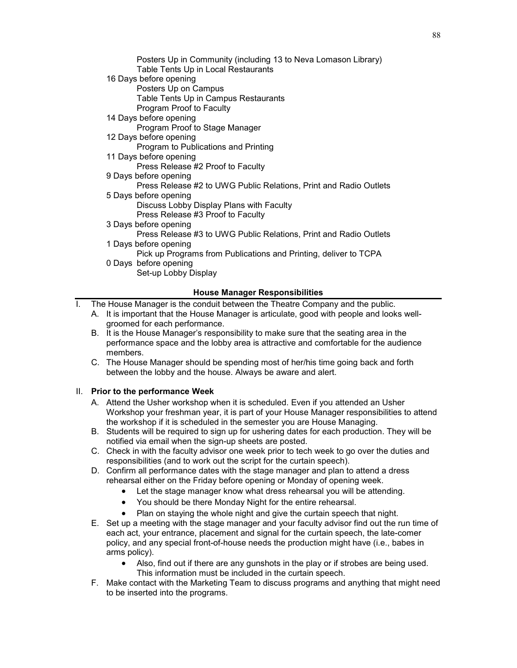| Posters Up in Community (including 13 to Neva Lomason Library)<br>Table Tents Up in Local Restaurants |
|-------------------------------------------------------------------------------------------------------|
| 16 Days before opening                                                                                |
| Posters Up on Campus                                                                                  |
| Table Tents Up in Campus Restaurants                                                                  |
| Program Proof to Faculty                                                                              |
| 14 Days before opening                                                                                |
| Program Proof to Stage Manager                                                                        |
| 12 Days before opening                                                                                |
| Program to Publications and Printing                                                                  |
| 11 Days before opening                                                                                |
| Press Release #2 Proof to Faculty                                                                     |
| 9 Days before opening                                                                                 |
| Press Release #2 to UWG Public Relations, Print and Radio Outlets                                     |
| 5 Days before opening                                                                                 |
| Discuss Lobby Display Plans with Faculty                                                              |
| Press Release #3 Proof to Faculty                                                                     |
| 3 Days before opening                                                                                 |
| Press Release #3 to UWG Public Relations, Print and Radio Outlets                                     |
| 1 Days before opening                                                                                 |
| Pick up Programs from Publications and Printing, deliver to TCPA                                      |
| 0 Days before opening                                                                                 |
| Set-up Lobby Display                                                                                  |
|                                                                                                       |

### **House Manager Responsibilities**

I. The House Manager is the conduit between the Theatre Company and the public.

- A. It is important that the House Manager is articulate, good with people and looks wellgroomed for each performance.
	- B. It is the House Manager's responsibility to make sure that the seating area in the performance space and the lobby area is attractive and comfortable for the audience members.
	- C. The House Manager should be spending most of her/his time going back and forth between the lobby and the house. Always be aware and alert.

### II. **Prior to the performance Week**

- A. Attend the Usher workshop when it is scheduled. Even if you attended an Usher Workshop your freshman year, it is part of your House Manager responsibilities to attend the workshop if it is scheduled in the semester you are House Managing.
- B. Students will be required to sign up for ushering dates for each production. They will be notified via email when the sign-up sheets are posted.
- C. Check in with the faculty advisor one week prior to tech week to go over the duties and responsibilities (and to work out the script for the curtain speech).
- D. Confirm all performance dates with the stage manager and plan to attend a dress rehearsal either on the Friday before opening or Monday of opening week.
	- Let the stage manager know what dress rehearsal you will be attending.
	- You should be there Monday Night for the entire rehearsal.
	- Plan on staying the whole night and give the curtain speech that night.
- E. Set up a meeting with the stage manager and your faculty advisor find out the run time of each act, your entrance, placement and signal for the curtain speech, the late-comer policy, and any special front-of-house needs the production might have (i.e., babes in arms policy).
	- Also, find out if there are any gunshots in the play or if strobes are being used. This information must be included in the curtain speech.
- F. Make contact with the Marketing Team to discuss programs and anything that might need to be inserted into the programs.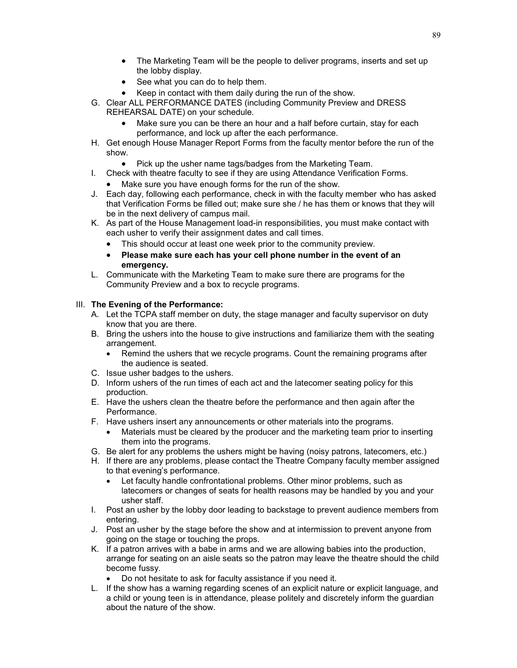- The Marketing Team will be the people to deliver programs, inserts and set up the lobby display.
- See what you can do to help them.
- Keep in contact with them daily during the run of the show.
- G. Clear ALL PERFORMANCE DATES (including Community Preview and DRESS REHEARSAL DATE) on your schedule.
	- Make sure you can be there an hour and a half before curtain, stay for each performance, and lock up after the each performance.
- H. Get enough House Manager Report Forms from the faculty mentor before the run of the show.
	- Pick up the usher name tags/badges from the Marketing Team.
- I. Check with theatre faculty to see if they are using Attendance Verification Forms.
	- Make sure you have enough forms for the run of the show.
- J. Each day, following each performance, check in with the faculty member who has asked that Verification Forms be filled out; make sure she / he has them or knows that they will be in the next delivery of campus mail.
- K. As part of the House Management load-in responsibilities, you must make contact with each usher to verify their assignment dates and call times.
	- This should occur at least one week prior to the community preview.
	- **Please make sure each has your cell phone number in the event of an emergency.**
- L. Communicate with the Marketing Team to make sure there are programs for the Community Preview and a box to recycle programs.

### III. **The Evening of the Performance:**

- A. Let the TCPA staff member on duty, the stage manager and faculty supervisor on duty know that you are there.
- B. Bring the ushers into the house to give instructions and familiarize them with the seating arrangement.
	- Remind the ushers that we recycle programs. Count the remaining programs after the audience is seated.
- C. Issue usher badges to the ushers.
- D. Inform ushers of the run times of each act and the latecomer seating policy for this production.
- E. Have the ushers clean the theatre before the performance and then again after the Performance.
- F. Have ushers insert any announcements or other materials into the programs.
	- Materials must be cleared by the producer and the marketing team prior to inserting them into the programs.
- G. Be alert for any problems the ushers might be having (noisy patrons, latecomers, etc.)
- H. If there are any problems, please contact the Theatre Company faculty member assigned to that evening's performance.
	- Let faculty handle confrontational problems. Other minor problems, such as latecomers or changes of seats for health reasons may be handled by you and your usher staff.
- I. Post an usher by the lobby door leading to backstage to prevent audience members from entering.
- J. Post an usher by the stage before the show and at intermission to prevent anyone from going on the stage or touching the props.
- K. If a patron arrives with a babe in arms and we are allowing babies into the production, arrange for seating on an aisle seats so the patron may leave the theatre should the child become fussy.
	- Do not hesitate to ask for faculty assistance if you need it.
- L. If the show has a warning regarding scenes of an explicit nature or explicit language, and a child or young teen is in attendance, please politely and discretely inform the guardian about the nature of the show.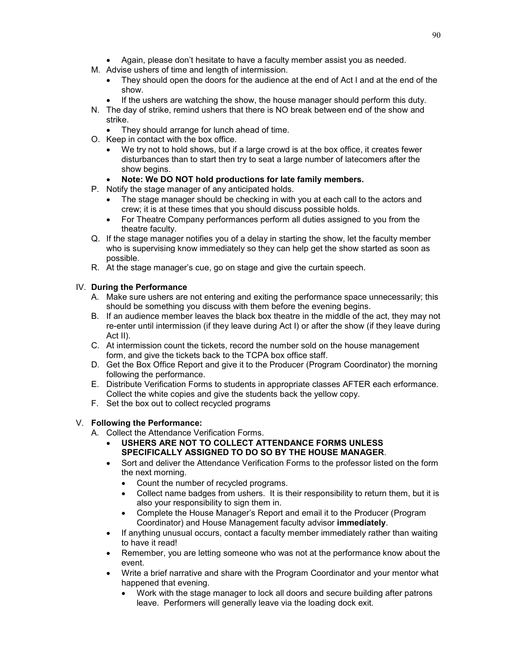- Again, please don't hesitate to have a faculty member assist you as needed.
- M. Advise ushers of time and length of intermission.
	- They should open the doors for the audience at the end of Act I and at the end of the show.
	- If the ushers are watching the show, the house manager should perform this duty.
- N. The day of strike, remind ushers that there is NO break between end of the show and strike.
	- They should arrange for lunch ahead of time.
- O. Keep in contact with the box office.
	- We try not to hold shows, but if a large crowd is at the box office, it creates fewer disturbances than to start then try to seat a large number of latecomers after the show begins.
	- **Note: We DO NOT hold productions for late family members.**
- P. Notify the stage manager of any anticipated holds.
	- The stage manager should be checking in with you at each call to the actors and crew; it is at these times that you should discuss possible holds.
	- For Theatre Company performances perform all duties assigned to you from the theatre faculty.
- Q. If the stage manager notifies you of a delay in starting the show, let the faculty member who is supervising know immediately so they can help get the show started as soon as possible.
- R. At the stage manager's cue, go on stage and give the curtain speech.

# IV. **During the Performance**

- A. Make sure ushers are not entering and exiting the performance space unnecessarily; this should be something you discuss with them before the evening begins.
- B. If an audience member leaves the black box theatre in the middle of the act, they may not re-enter until intermission (if they leave during Act I) or after the show (if they leave during Act II).
- C. At intermission count the tickets, record the number sold on the house management form, and give the tickets back to the TCPA box office staff.
- D. Get the Box Office Report and give it to the Producer (Program Coordinator) the morning following the performance.
- E. Distribute Verification Forms to students in appropriate classes AFTER each erformance. Collect the white copies and give the students back the yellow copy.
- F. Set the box out to collect recycled programs

# V. **Following the Performance:**

- A. Collect the Attendance Verification Forms.
	- **USHERS ARE NOT TO COLLECT ATTENDANCE FORMS UNLESS SPECIFICALLY ASSIGNED TO DO SO BY THE HOUSE MANAGER**.
	- Sort and deliver the Attendance Verification Forms to the professor listed on the form the next morning.
		- Count the number of recycled programs.
		- Collect name badges from ushers. It is their responsibility to return them, but it is also your responsibility to sign them in.
		- Complete the House Manager's Report and email it to the Producer (Program Coordinator) and House Management faculty advisor **immediately**.
	- If anything unusual occurs, contact a faculty member immediately rather than waiting to have it read!
	- Remember, you are letting someone who was not at the performance know about the event.
	- Write a brief narrative and share with the Program Coordinator and your mentor what happened that evening.
		- Work with the stage manager to lock all doors and secure building after patrons leave. Performers will generally leave via the loading dock exit.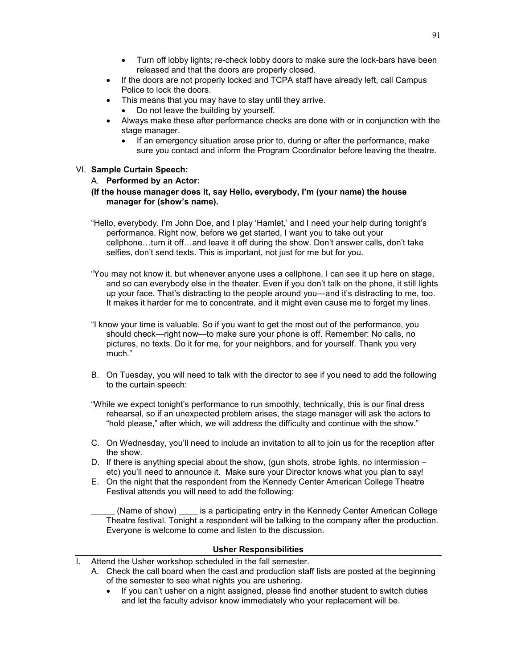- Turn off lobby lights; re-check lobby doors to make sure the lock-bars have been released and that the doors are properly closed.
- If the doors are not properly locked and TCPA staff have already left, call Campus Police to lock the doors.
- This means that you may have to stay until they arrive.
	- Do not leave the building by yourself.
- Always make these after performance checks are done with or in conjunction with the stage manager.
	- If an emergency situation arose prior to, during or after the performance, make sure you contact and inform the Program Coordinator before leaving the theatre.

## VI. **Sample Curtain Speech:**

### A. **Performed by an Actor:**

### **(If the house manager does it, say Hello, everybody, I'm (your name) the house manager for (show's name).**

- "Hello, everybody. I'm John Doe, and I play 'Hamlet,' and I need your help during tonight's performance. Right now, before we get started, I want you to take out your cellphone…turn it off…and leave it off during the show. Don't answer calls, don't take selfies, don't send texts. This is important, not just for me but for you.
- "You may not know it, but whenever anyone uses a cellphone, I can see it up here on stage, and so can everybody else in the theater. Even if you don't talk on the phone, it still lights up your face. That's distracting to the people around you—and it's distracting to me, too. It makes it harder for me to concentrate, and it might even cause me to forget my lines.
- "I know your time is valuable. So if you want to get the most out of the performance, you should check—right now—to make sure your phone is off. Remember: No calls, no pictures, no texts. Do it for me, for your neighbors, and for yourself. Thank you very much."
- B. On Tuesday, you will need to talk with the director to see if you need to add the following to the curtain speech:
- "While we expect tonight's performance to run smoothly, technically, this is our final dress rehearsal, so if an unexpected problem arises, the stage manager will ask the actors to "hold please," after which, we will address the difficulty and continue with the show."
- C. On Wednesday, you'll need to include an invitation to all to join us for the reception after the show.
- D. If there is anything special about the show, (gun shots, strobe lights, no intermission etc) you'll need to announce it. Make sure your Director knows what you plan to say!
- E. On the night that the respondent from the Kennedy Center American College Theatre Festival attends you will need to add the following:

(Name of show) \_\_\_\_\_ is a participating entry in the Kennedy Center American College Theatre festival. Tonight a respondent will be talking to the company after the production. Everyone is welcome to come and listen to the discussion.

### **Usher Responsibilities**

- Attend the Usher workshop scheduled in the fall semester.
	- A. Check the call board when the cast and production staff lists are posted at the beginning of the semester to see what nights you are ushering.
		- If you can't usher on a night assigned, please find another student to switch duties and let the faculty advisor know immediately who your replacement will be.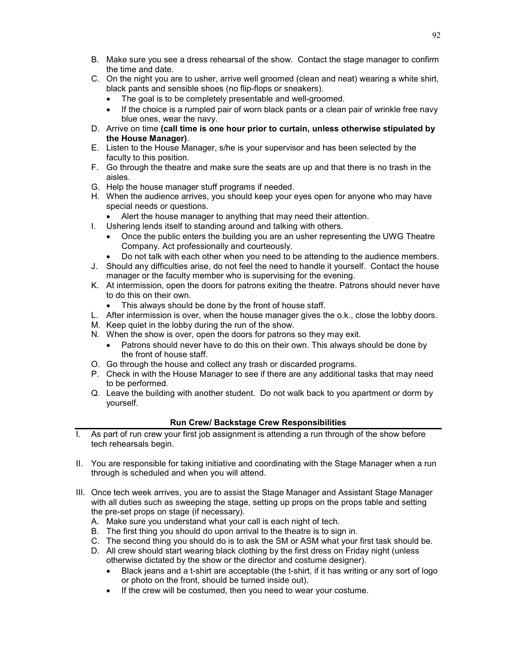- B. Make sure you see a dress rehearsal of the show. Contact the stage manager to confirm the time and date.
- C. On the night you are to usher, arrive well groomed (clean and neat) wearing a white shirt, black pants and sensible shoes (no flip-flops or sneakers).
	- The goal is to be completely presentable and well-groomed.
	- If the choice is a rumpled pair of worn black pants or a clean pair of wrinkle free navy blue ones, wear the navy.
- D. Arrive on time **(call time is one hour prior to curtain, unless otherwise stipulated by the House Manager)**.
- E. Listen to the House Manager, s/he is your supervisor and has been selected by the faculty to this position.
- F. Go through the theatre and make sure the seats are up and that there is no trash in the aisles.
- G. Help the house manager stuff programs if needed.
- H. When the audience arrives, you should keep your eyes open for anyone who may have special needs or questions.
	- Alert the house manager to anything that may need their attention.
- I. Ushering lends itself to standing around and talking with others.
	- Once the public enters the building you are an usher representing the UWG Theatre Company. Act professionally and courteously.
	- Do not talk with each other when you need to be attending to the audience members.
- J. Should any difficulties arise, do not feel the need to handle it yourself. Contact the house manager or the faculty member who is supervising for the evening.
- K. At intermission, open the doors for patrons exiting the theatre. Patrons should never have to do this on their own.
	- This always should be done by the front of house staff.
- L. After intermission is over, when the house manager gives the o.k., close the lobby doors.
- M. Keep quiet in the lobby during the run of the show.
- N. When the show is over, open the doors for patrons so they may exit.
	- Patrons should never have to do this on their own. This always should be done by the front of house staff.
- O. Go through the house and collect any trash or discarded programs.
- P. Check in with the House Manager to see if there are any additional tasks that may need to be performed.
- Q. Leave the building with another student. Do not walk back to you apartment or dorm by yourself.

### **Run Crew/ Backstage Crew Responsibilities**

- I. As part of run crew your first job assignment is attending a run through of the show before tech rehearsals begin.
- II. You are responsible for taking initiative and coordinating with the Stage Manager when a run through is scheduled and when you will attend.
- III. Once tech week arrives, you are to assist the Stage Manager and Assistant Stage Manager with all duties such as sweeping the stage, setting up props on the props table and setting the pre-set props on stage (if necessary).
	- A. Make sure you understand what your call is each night of tech.
	- B. The first thing you should do upon arrival to the theatre is to sign in.
	- C. The second thing you should do is to ask the SM or ASM what your first task should be.
	- D. All crew should start wearing black clothing by the first dress on Friday night (unless otherwise dictated by the show or the director and costume designer).
		- Black jeans and a t-shirt are acceptable (the t-shirt, if it has writing or any sort of logo or photo on the front, should be turned inside out).
		- If the crew will be costumed, then you need to wear your costume.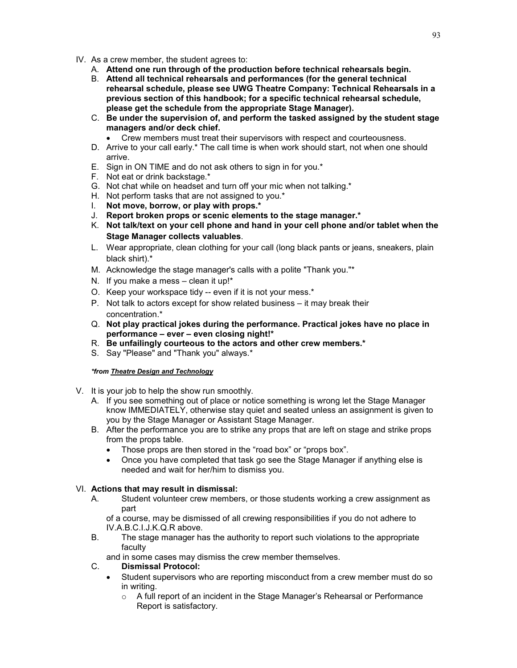- IV. As a crew member, the student agrees to:
	- A. **Attend one run through of the production before technical rehearsals begin.**
	- B. **Attend all technical rehearsals and performances (for the general technical rehearsal schedule, please see UWG Theatre Company: Technical Rehearsals in a previous section of this handbook; for a specific technical rehearsal schedule, please get the schedule from the appropriate Stage Manager).**
	- C. **Be under the supervision of, and perform the tasked assigned by the student stage managers and/or deck chief.** 
		- Crew members must treat their supervisors with respect and courteousness.
	- D. Arrive to your call early.\* The call time is when work should start, not when one should arrive.
	- E. Sign in ON TIME and do not ask others to sign in for you.\*
	- F. Not eat or drink backstage.\*
	- G. Not chat while on headset and turn off your mic when not talking.\*
	- H. Not perform tasks that are not assigned to you.\*
	- I. **Not move, borrow, or play with props.\***
	- J. **Report broken props or scenic elements to the stage manager.\***
	- K. **Not talk/text on your cell phone and hand in your cell phone and/or tablet when the Stage Manager collects valuables**.
	- L. Wear appropriate, clean clothing for your call (long black pants or jeans, sneakers, plain black shirt).\*
	- M. Acknowledge the stage manager's calls with a polite "Thank you."\*
	- N. If you make a mess clean it up!\*
	- O. Keep your workspace tidy -- even if it is not your mess.\*
	- P. Not talk to actors except for show related business it may break their concentration.\*
	- Q. **Not play practical jokes during the performance. Practical jokes have no place in performance – ever – even closing night!\***
	- R. **Be unfailingly courteous to the actors and other crew members.\***
	- S. Say "Please" and "Thank you" always.\*

### *\*from Theatre Design and Technology*

- V. It is your job to help the show run smoothly.
	- A. If you see something out of place or notice something is wrong let the Stage Manager know IMMEDIATELY, otherwise stay quiet and seated unless an assignment is given to you by the Stage Manager or Assistant Stage Manager.
	- B. After the performance you are to strike any props that are left on stage and strike props from the props table.
		- Those props are then stored in the "road box" or "props box".
		- Once you have completed that task go see the Stage Manager if anything else is needed and wait for her/him to dismiss you.

### VI. **Actions that may result in dismissal:**

A. Student volunteer crew members, or those students working a crew assignment as part

of a course, may be dismissed of all crewing responsibilities if you do not adhere to IV.A.B.C.I.J.K.Q.R above.

- B. The stage manager has the authority to report such violations to the appropriate faculty
	- and in some cases may dismiss the crew member themselves.
- C. **Dismissal Protocol:**
	- Student supervisors who are reporting misconduct from a crew member must do so in writing.
		- o A full report of an incident in the Stage Manager's Rehearsal or Performance Report is satisfactory.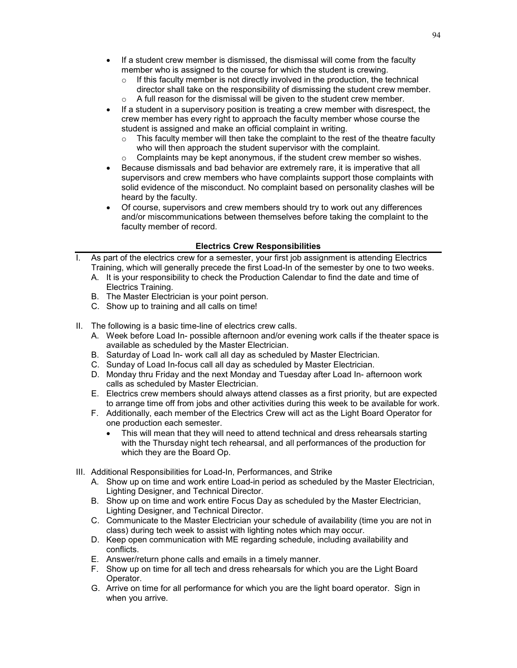- If a student crew member is dismissed, the dismissal will come from the faculty member who is assigned to the course for which the student is crewing.
	- $\circ$  If this faculty member is not directly involved in the production, the technical director shall take on the responsibility of dismissing the student crew member. o A full reason for the dismissal will be given to the student crew member.
	-
- If a student in a supervisory position is treating a crew member with disrespect, the crew member has every right to approach the faculty member whose course the student is assigned and make an official complaint in writing.
	- $\circ$  This faculty member will then take the complaint to the rest of the theatre faculty who will then approach the student supervisor with the complaint.
	- Complaints may be kept anonymous, if the student crew member so wishes.
- Because dismissals and bad behavior are extremely rare, it is imperative that all supervisors and crew members who have complaints support those complaints with solid evidence of the misconduct. No complaint based on personality clashes will be heard by the faculty.
- Of course, supervisors and crew members should try to work out any differences and/or miscommunications between themselves before taking the complaint to the faculty member of record.

## **Electrics Crew Responsibilities**

- I. As part of the electrics crew for a semester, your first job assignment is attending Electrics Training, which will generally precede the first Load-In of the semester by one to two weeks.
	- A. It is your responsibility to check the Production Calendar to find the date and time of Electrics Training.
	- B. The Master Electrician is your point person.
	- C. Show up to training and all calls on time!
- II. The following is a basic time-line of electrics crew calls.
	- A. Week before Load In- possible afternoon and/or evening work calls if the theater space is available as scheduled by the Master Electrician.
	- B. Saturday of Load In- work call all day as scheduled by Master Electrician.
	- C. Sunday of Load In-focus call all day as scheduled by Master Electrician.
	- D. Monday thru Friday and the next Monday and Tuesday after Load In- afternoon work calls as scheduled by Master Electrician.
	- E. Electrics crew members should always attend classes as a first priority, but are expected to arrange time off from jobs and other activities during this week to be available for work.
	- F. Additionally, each member of the Electrics Crew will act as the Light Board Operator for one production each semester.
		- This will mean that they will need to attend technical and dress rehearsals starting with the Thursday night tech rehearsal, and all performances of the production for which they are the Board Op.
- III. Additional Responsibilities for Load-In, Performances, and Strike
	- A. Show up on time and work entire Load-in period as scheduled by the Master Electrician, Lighting Designer, and Technical Director.
	- B. Show up on time and work entire Focus Day as scheduled by the Master Electrician, Lighting Designer, and Technical Director.
	- C. Communicate to the Master Electrician your schedule of availability (time you are not in class) during tech week to assist with lighting notes which may occur.
	- D. Keep open communication with ME regarding schedule, including availability and conflicts.
	- E. Answer/return phone calls and emails in a timely manner.
	- F. Show up on time for all tech and dress rehearsals for which you are the Light Board Operator.
	- G. Arrive on time for all performance for which you are the light board operator. Sign in when you arrive.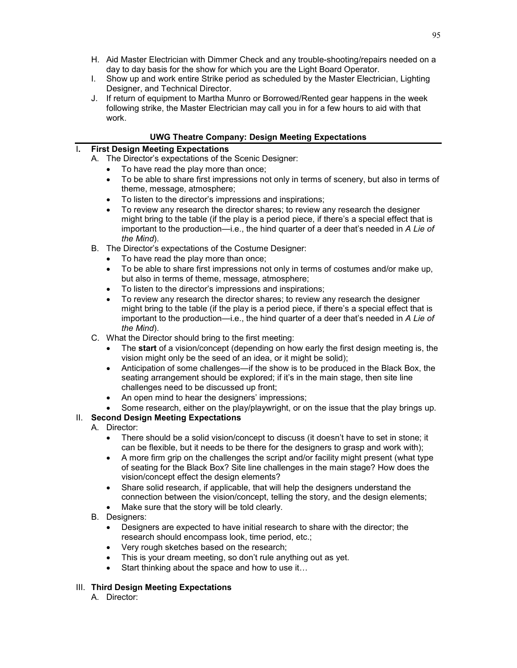- H. Aid Master Electrician with Dimmer Check and any trouble-shooting/repairs needed on a day to day basis for the show for which you are the Light Board Operator.
- I. Show up and work entire Strike period as scheduled by the Master Electrician, Lighting Designer, and Technical Director.
- J. If return of equipment to Martha Munro or Borrowed/Rented gear happens in the week following strike, the Master Electrician may call you in for a few hours to aid with that work.

## **UWG Theatre Company: Design Meeting Expectations**

# I**. First Design Meeting Expectations**

- A. The Director's expectations of the Scenic Designer:
	- To have read the play more than once;
	- To be able to share first impressions not only in terms of scenery, but also in terms of theme, message, atmosphere;
	- To listen to the director's impressions and inspirations;
	- To review any research the director shares; to review any research the designer might bring to the table (if the play is a period piece, if there's a special effect that is important to the production—i.e., the hind quarter of a deer that's needed in *A Lie of the Mind*).
- B. The Director's expectations of the Costume Designer:
	- To have read the play more than once;
	- To be able to share first impressions not only in terms of costumes and/or make up, but also in terms of theme, message, atmosphere;
	- To listen to the director's impressions and inspirations;
	- To review any research the director shares; to review any research the designer might bring to the table (if the play is a period piece, if there's a special effect that is important to the production—i.e., the hind quarter of a deer that's needed in *A Lie of the Mind*).
- C. What the Director should bring to the first meeting:
	- The **start** of a vision/concept (depending on how early the first design meeting is, the vision might only be the seed of an idea, or it might be solid);
	- Anticipation of some challenges—if the show is to be produced in the Black Box, the seating arrangement should be explored; if it's in the main stage, then site line challenges need to be discussed up front;
	- An open mind to hear the designers' impressions;
	- Some research, either on the play/playwright, or on the issue that the play brings up.

# II. **Second Design Meeting Expectations**

- A. Director:
	- There should be a solid vision/concept to discuss (it doesn't have to set in stone; it can be flexible, but it needs to be there for the designers to grasp and work with);
	- A more firm grip on the challenges the script and/or facility might present (what type of seating for the Black Box? Site line challenges in the main stage? How does the vision/concept effect the design elements?
	- Share solid research, if applicable, that will help the designers understand the connection between the vision/concept, telling the story, and the design elements;
	- Make sure that the story will be told clearly.
	- B. Designers:
		- Designers are expected to have initial research to share with the director; the research should encompass look, time period, etc.;
		- Very rough sketches based on the research;
		- This is your dream meeting, so don't rule anything out as yet.
		- Start thinking about the space and how to use it...

## III. **Third Design Meeting Expectations**

A. Director: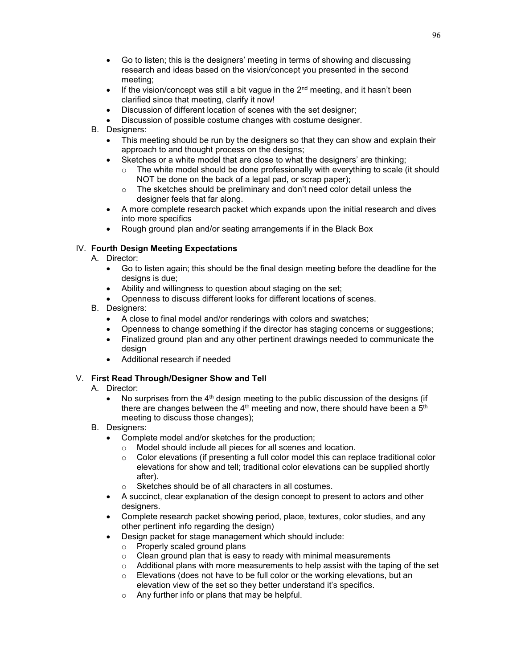- Go to listen; this is the designers' meeting in terms of showing and discussing research and ideas based on the vision/concept you presented in the second meeting;
- If the vision/concept was still a bit vague in the  $2^{nd}$  meeting, and it hasn't been clarified since that meeting, clarify it now!
- Discussion of different location of scenes with the set designer;
- Discussion of possible costume changes with costume designer.
- B. Designers:
	- This meeting should be run by the designers so that they can show and explain their approach to and thought process on the designs;
	- Sketches or a white model that are close to what the designers' are thinking;
		- $\circ$  The white model should be done professionally with everything to scale (it should NOT be done on the back of a legal pad, or scrap paper);
		- o The sketches should be preliminary and don't need color detail unless the designer feels that far along.
	- A more complete research packet which expands upon the initial research and dives into more specifics
	- Rough ground plan and/or seating arrangements if in the Black Box

# IV. **Fourth Design Meeting Expectations**

- A. Director:
	- Go to listen again; this should be the final design meeting before the deadline for the designs is due;
	- Ability and willingness to question about staging on the set;
	- Openness to discuss different looks for different locations of scenes.
- B. Designers:
	- A close to final model and/or renderings with colors and swatches;
	- Openness to change something if the director has staging concerns or suggestions;
	- Finalized ground plan and any other pertinent drawings needed to communicate the design
	- Additional research if needed

# V. **First Read Through/Designer Show and Tell**

- A. Director:
	- No surprises from the  $4<sup>th</sup>$  design meeting to the public discussion of the designs (if there are changes between the  $4<sup>th</sup>$  meeting and now, there should have been a  $5<sup>th</sup>$ meeting to discuss those changes);
- B. Designers:
	- Complete model and/or sketches for the production;
		- $\circ$  Model should include all pieces for all scenes and location.<br> $\circ$  Color elevations (if presenting a full color model this can ret
		- Color elevations (if presenting a full color model this can replace traditional color elevations for show and tell; traditional color elevations can be supplied shortly after).
		- o Sketches should be of all characters in all costumes.
	- A succinct, clear explanation of the design concept to present to actors and other designers.
	- Complete research packet showing period, place, textures, color studies, and any other pertinent info regarding the design)
	- Design packet for stage management which should include:
		- o Properly scaled ground plans
		- o Clean ground plan that is easy to ready with minimal measurements
		- $\circ$  Additional plans with more measurements to help assist with the taping of the set
		- o Elevations (does not have to be full color or the working elevations, but an elevation view of the set so they better understand it's specifics.
		- o Any further info or plans that may be helpful.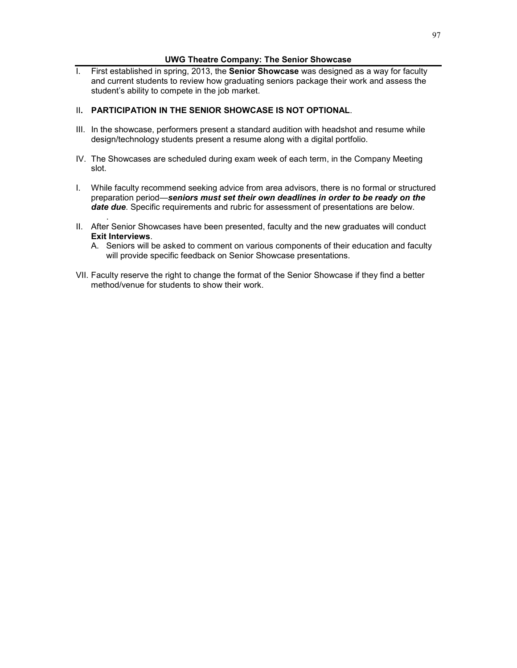### **UWG Theatre Company: The Senior Showcase**

I. First established in spring, 2013, the **Senior Showcase** was designed as a way for faculty and current students to review how graduating seniors package their work and assess the student's ability to compete in the job market.

### II**. PARTICIPATION IN THE SENIOR SHOWCASE IS NOT OPTIONAL**.

- III. In the showcase, performers present a standard audition with headshot and resume while design/technology students present a resume along with a digital portfolio.
- IV. The Showcases are scheduled during exam week of each term, in the Company Meeting slot.
- I. While faculty recommend seeking advice from area advisors, there is no formal or structured preparation period—*seniors must set their own deadlines in order to be ready on the date due*. Specific requirements and rubric for assessment of presentations are below.
- . II. After Senior Showcases have been presented, faculty and the new graduates will conduct **Exit Interviews**.
	- A. Seniors will be asked to comment on various components of their education and faculty will provide specific feedback on Senior Showcase presentations.
- VII. Faculty reserve the right to change the format of the Senior Showcase if they find a better method/venue for students to show their work.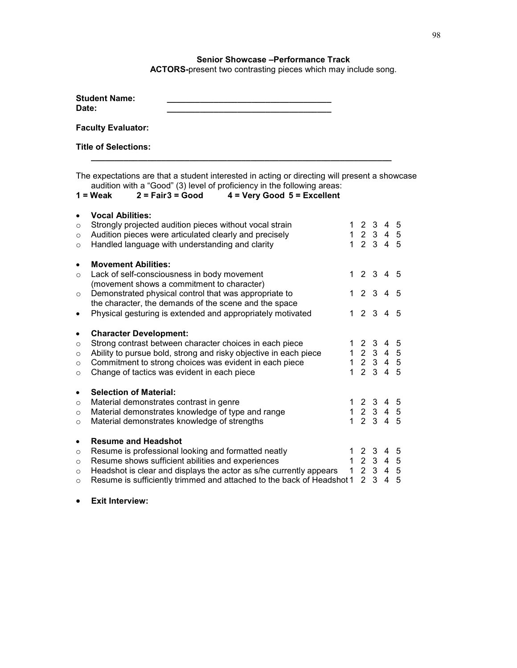## **Senior Showcase –Performance Track**

**ACTORS-**present two contrasting pieces which may include song.

| <b>Student Name:</b> |  |
|----------------------|--|
| Date:                |  |
|                      |  |

**Faculty Evaluator:** 

**Title of Selections:** 

The expectations are that a student interested in acting or directing will present a showcase audition with a "Good" (3) level of proficiency in the following areas:<br>**1 = Weak** 2 = Fair 3 = Good 4 = Very Good 5 = Excellent

**\_\_\_\_\_\_\_\_\_\_\_\_\_\_\_\_\_\_\_\_\_\_\_\_\_\_\_\_\_\_\_\_\_\_\_\_\_\_\_\_\_\_\_\_\_\_\_\_\_\_\_\_\_\_\_\_\_\_\_\_\_\_\_\_**

```
1 = Weak 2 = Fair3 = Good 4 = Very Good 5 = Excellent
```

| $\circ$<br>$\circ$<br>$\circ$                         | <b>Vocal Abilities:</b><br>Strongly projected audition pieces without vocal strain<br>Audition pieces were articulated clearly and precisely<br>Handled language with understanding and clarity                                                                                               |  | 1 2 3 4 5<br>1 2 3 4 5<br>1 2 3 4 5                                                  |  |
|-------------------------------------------------------|-----------------------------------------------------------------------------------------------------------------------------------------------------------------------------------------------------------------------------------------------------------------------------------------------|--|--------------------------------------------------------------------------------------|--|
| $\bullet$<br>$\circ$<br>$\circ$                       | <b>Movement Abilities:</b><br>Lack of self-consciousness in body movement<br>(movement shows a commitment to character)<br>Demonstrated physical control that was appropriate to<br>the character, the demands of the scene and the space                                                     |  | 12345<br>12345                                                                       |  |
| $\bullet$                                             | Physical gesturing is extended and appropriately motivated                                                                                                                                                                                                                                    |  | 12345                                                                                |  |
| ٠<br>$\circ$<br>$\circ$<br>$\circ$<br>$\circ$         | <b>Character Development:</b><br>Strong contrast between character choices in each piece<br>Ability to pursue bold, strong and risky objective in each piece<br>Commitment to strong choices was evident in each piece<br>Change of tactics was evident in each piece                         |  | 1 2 3 4 5<br>$1\ 2\ 3\ 4\ 5$<br>1 2 3 4 5<br>1 2 3 4 5                               |  |
| $\bullet$<br>$\circ$<br>$\circ$<br>$\circ$            | <b>Selection of Material:</b><br>Material demonstrates contrast in genre<br>Material demonstrates knowledge of type and range<br>Material demonstrates knowledge of strengths                                                                                                                 |  | 1 2 3 4 5<br>$\begin{array}{ccccccccc}\n1 & 2 & 3 & 4 & 5\n\end{array}$<br>1 2 3 4 5 |  |
| $\bullet$<br>$\circ$<br>$\circ$<br>$\circ$<br>$\circ$ | <b>Resume and Headshot</b><br>Resume is professional looking and formatted neatly<br>Resume shows sufficient abilities and experiences<br>Headshot is clear and displays the actor as s/he currently appears<br>Resume is sufficiently trimmed and attached to the back of Headshot 1 2 3 4 5 |  | 1 2 3 4 5<br>1 2 3 4 5<br>1 2 3 4 5                                                  |  |

• **Exit Interview:**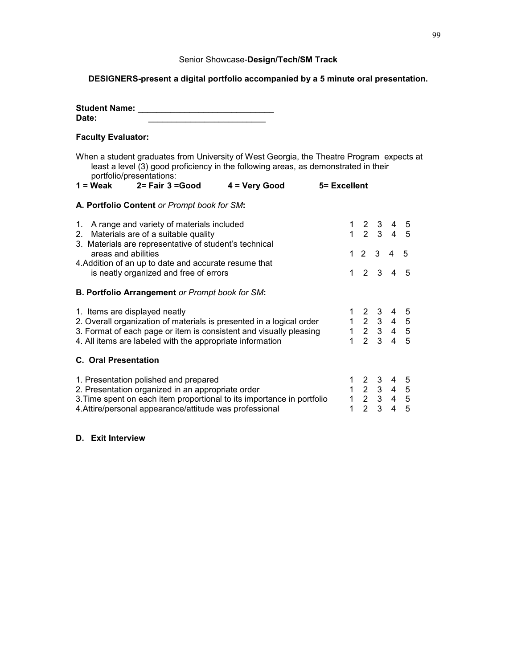### Senior Showcase-**Design/Tech/SM Track**

# **DESIGNERS-present a digital portfolio accompanied by a 5 minute oral presentation.**

**Student Name:** \_\_\_\_\_\_\_\_\_\_\_\_\_\_\_\_\_\_\_\_\_\_\_\_\_\_\_\_\_

### **Faculty Evaluator:**

When a student graduates from University of West Georgia, the Theatre Program expects at least a level (3) good proficiency in the following areas, as demonstrated in their portfolio/presentations:

| $1 = \text{Weak}$ | $2 = Fair 3 = Good$ | 4 = Very Good | 5= Excellent |
|-------------------|---------------------|---------------|--------------|

### **A. Portfolio Content** *or Prompt book for SM***:**

| 1. A range and variety of materials included<br>2. Materials are of a suitable quality<br>3. Materials are representative of student's technical |  | $\begin{array}{cccccc} 1 & 2 & 3 & 4 & 5 \\ 1 & 2 & 3 & 4 & 5 \end{array}$                                           |                |                |                |  |
|--------------------------------------------------------------------------------------------------------------------------------------------------|--|----------------------------------------------------------------------------------------------------------------------|----------------|----------------|----------------|--|
| areas and abilities<br>4. Addition of an up to date and accurate resume that                                                                     |  | 1 2 3 4 5                                                                                                            |                |                |                |  |
| is neatly organized and free of errors                                                                                                           |  | 1 2 3 4 5                                                                                                            |                |                |                |  |
| <b>B. Portfolio Arrangement or Prompt book for SM:</b>                                                                                           |  |                                                                                                                      |                |                |                |  |
| 1. Items are displayed neatly                                                                                                                    |  | $\begin{array}{cccccc} 1 & 2 & 3 & 4 & 5 \\ 1 & 2 & 3 & 4 & 5 \\ 1 & 2 & 3 & 4 & 5 \\ 1 & 2 & 3 & 4 & 5 \end{array}$ |                |                |                |  |
| 2. Overall organization of materials is presented in a logical order                                                                             |  |                                                                                                                      |                |                |                |  |
| 3. Format of each page or item is consistent and visually pleasing                                                                               |  |                                                                                                                      |                |                |                |  |
| 4. All items are labeled with the appropriate information                                                                                        |  |                                                                                                                      |                |                |                |  |
| <b>C. Oral Presentation</b>                                                                                                                      |  |                                                                                                                      |                |                |                |  |
| 1. Presentation polished and prepared                                                                                                            |  | $\begin{array}{cccccc} 1 & 2 & 3 & 4 & 5 \\ 1 & 2 & 3 & 4 & 5 \end{array}$                                           |                |                |                |  |
| 2. Presentation organized in an appropriate order                                                                                                |  |                                                                                                                      |                |                |                |  |
| 3. Time spent on each item proportional to its importance in portfolio                                                                           |  | $1\quad 2\quad 3\quad 4\quad 5$                                                                                      |                |                |                |  |
| 4. Attire/personal appearance/attitude was professional                                                                                          |  |                                                                                                                      | 2 <sub>3</sub> | $\overline{4}$ | $\overline{5}$ |  |

# **D. Exit Interview**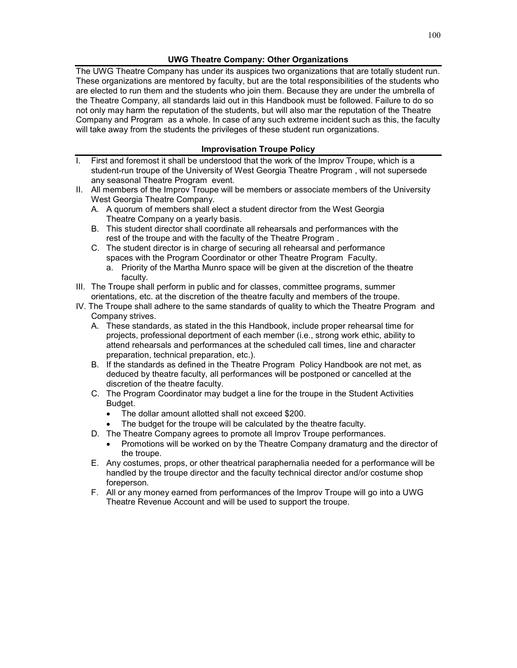### **UWG Theatre Company: Other Organizations**

The UWG Theatre Company has under its auspices two organizations that are totally student run. These organizations are mentored by faculty, but are the total responsibilities of the students who are elected to run them and the students who join them. Because they are under the umbrella of the Theatre Company, all standards laid out in this Handbook must be followed. Failure to do so not only may harm the reputation of the students, but will also mar the reputation of the Theatre Company and Program as a whole. In case of any such extreme incident such as this, the faculty will take away from the students the privileges of these student run organizations.

# **Improvisation Troupe Policy**

- I. First and foremost it shall be understood that the work of the Improv Troupe, which is a student-run troupe of the University of West Georgia Theatre Program , will not supersede any seasonal Theatre Program event.
- II. All members of the Improv Troupe will be members or associate members of the University West Georgia Theatre Company.
	- A. A quorum of members shall elect a student director from the West Georgia Theatre Company on a yearly basis.
	- B. This student director shall coordinate all rehearsals and performances with the rest of the troupe and with the faculty of the Theatre Program .
	- C. The student director is in charge of securing all rehearsal and performance spaces with the Program Coordinator or other Theatre Program Faculty.
		- a. Priority of the Martha Munro space will be given at the discretion of the theatre faculty.
- III. The Troupe shall perform in public and for classes, committee programs, summer orientations, etc. at the discretion of the theatre faculty and members of the troupe.
- IV. The Troupe shall adhere to the same standards of quality to which the Theatre Program and Company strives.
	- A. These standards, as stated in the this Handbook, include proper rehearsal time for projects, professional deportment of each member (i.e., strong work ethic, ability to attend rehearsals and performances at the scheduled call times, line and character preparation, technical preparation, etc.).
	- B. If the standards as defined in the Theatre Program Policy Handbook are not met, as deduced by theatre faculty, all performances will be postponed or cancelled at the discretion of the theatre faculty.
	- C. The Program Coordinator may budget a line for the troupe in the Student Activities Budget.
		- The dollar amount allotted shall not exceed \$200.
		- The budget for the troupe will be calculated by the theatre faculty.
	- D. The Theatre Company agrees to promote all Improv Troupe performances.
		- Promotions will be worked on by the Theatre Company dramaturg and the director of the troupe.
	- E. Any costumes, props, or other theatrical paraphernalia needed for a performance will be handled by the troupe director and the faculty technical director and/or costume shop foreperson.
	- F. All or any money earned from performances of the Improv Troupe will go into a UWG Theatre Revenue Account and will be used to support the troupe.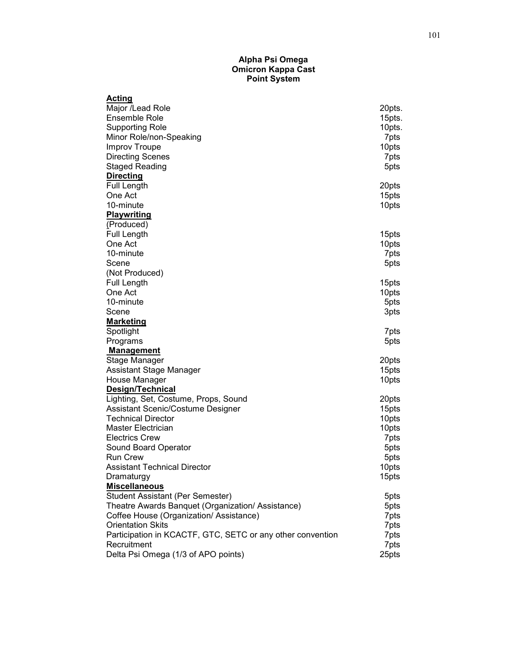#### **Alpha Psi Omega Omicron Kappa Cast Point System**

| Acting                                                     |                |
|------------------------------------------------------------|----------------|
| Major /Lead Role                                           | 20pts.         |
| <b>Ensemble Role</b>                                       | 15pts.         |
| <b>Supporting Role</b>                                     | 10pts.         |
| Minor Role/non-Speaking                                    | 7pts           |
| <b>Improv Troupe</b>                                       | 10pts          |
| <b>Directing Scenes</b>                                    | 7pts           |
| <b>Staged Reading</b>                                      | 5pts           |
| <b>Directing</b>                                           |                |
| <b>Full Length</b>                                         | 20pts          |
| One Act                                                    | 15pts          |
| 10-minute                                                  | 10pts          |
| <b>Playwriting</b>                                         |                |
| (Produced)                                                 |                |
| Full Length                                                | 15pts          |
| One Act                                                    | 10pts          |
| 10-minute                                                  | 7pts           |
| Scene                                                      | 5pts           |
| (Not Produced)                                             |                |
| Full Length                                                | 15pts          |
| One Act                                                    | 10pts          |
| 10-minute                                                  | 5pts           |
| Scene                                                      | 3pts           |
| <b>Marketing</b>                                           |                |
| Spotlight                                                  | 7pts           |
| Programs                                                   | 5pts           |
| <b>Management</b>                                          |                |
| Stage Manager                                              | 20pts          |
| Assistant Stage Manager                                    | 15pts          |
| House Manager                                              | 10pts          |
| Design/Technical                                           |                |
| Lighting, Set, Costume, Props, Sound                       | 20pts          |
| Assistant Scenic/Costume Designer                          | 15pts          |
| <b>Technical Director</b>                                  | 10pts          |
| <b>Master Electrician</b>                                  | 10pts          |
| <b>Electrics Crew</b>                                      | 7pts           |
| Sound Board Operator                                       | 5pts           |
| <b>Run Crew</b>                                            |                |
| Assistant Technical Director                               | 5pts           |
| Dramaturgy                                                 | 10pts<br>15pts |
| <b>Miscellaneous</b>                                       |                |
| <b>Student Assistant (Per Semester)</b>                    | 5pts           |
| Theatre Awards Banquet (Organization/ Assistance)          | 5pts           |
| Coffee House (Organization/ Assistance)                    |                |
| <b>Orientation Skits</b>                                   | 7pts<br>7pts   |
| Participation in KCACTF, GTC, SETC or any other convention |                |
| Recruitment                                                | 7pts           |
|                                                            | 7pts           |
| Delta Psi Omega (1/3 of APO points)                        | 25pts          |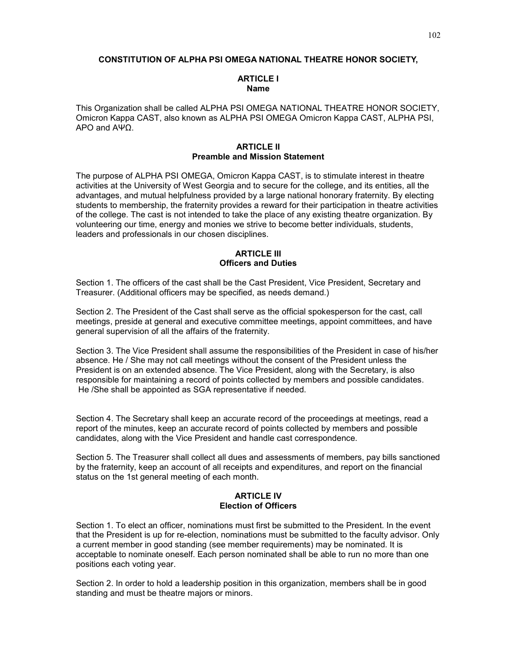#### **CONSTITUTION OF ALPHA PSI OMEGA NATIONAL THEATRE HONOR SOCIETY,**

### **ARTICLE I Name**

This Organization shall be called ALPHA PSI OMEGA NATIONAL THEATRE HONOR SOCIETY, Omicron Kappa CAST, also known as ALPHA PSI OMEGA Omicron Kappa CAST, ALPHA PSI, APO and ΑΨΩ.

#### **ARTICLE II Preamble and Mission Statement**

The purpose of ALPHA PSI OMEGA, Omicron Kappa CAST, is to stimulate interest in theatre activities at the University of West Georgia and to secure for the college, and its entities, all the advantages, and mutual helpfulness provided by a large national honorary fraternity. By electing students to membership, the fraternity provides a reward for their participation in theatre activities of the college. The cast is not intended to take the place of any existing theatre organization. By volunteering our time, energy and monies we strive to become better individuals, students, leaders and professionals in our chosen disciplines.

#### **ARTICLE III Officers and Duties**

Section 1. The officers of the cast shall be the Cast President, Vice President, Secretary and Treasurer. (Additional officers may be specified, as needs demand.)

Section 2. The President of the Cast shall serve as the official spokesperson for the cast, call meetings, preside at general and executive committee meetings, appoint committees, and have general supervision of all the affairs of the fraternity.

Section 3. The Vice President shall assume the responsibilities of the President in case of his/her absence. He / She may not call meetings without the consent of the President unless the President is on an extended absence. The Vice President, along with the Secretary, is also responsible for maintaining a record of points collected by members and possible candidates. He /She shall be appointed as SGA representative if needed.

Section 4. The Secretary shall keep an accurate record of the proceedings at meetings, read a report of the minutes, keep an accurate record of points collected by members and possible candidates, along with the Vice President and handle cast correspondence.

Section 5. The Treasurer shall collect all dues and assessments of members, pay bills sanctioned by the fraternity, keep an account of all receipts and expenditures, and report on the financial status on the 1st general meeting of each month.

#### **ARTICLE IV Election of Officers**

Section 1. To elect an officer, nominations must first be submitted to the President. In the event that the President is up for re-election, nominations must be submitted to the faculty advisor. Only a current member in good standing (see member requirements) may be nominated. It is acceptable to nominate oneself. Each person nominated shall be able to run no more than one positions each voting year.

Section 2. In order to hold a leadership position in this organization, members shall be in good standing and must be theatre majors or minors.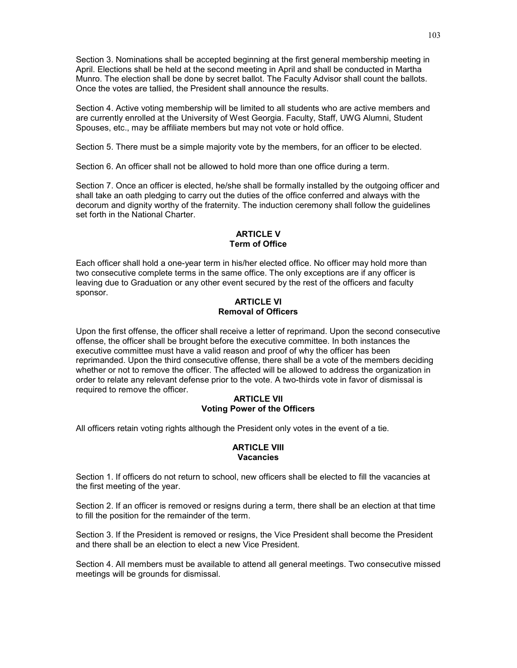Section 3. Nominations shall be accepted beginning at the first general membership meeting in April. Elections shall be held at the second meeting in April and shall be conducted in Martha Munro. The election shall be done by secret ballot. The Faculty Advisor shall count the ballots. Once the votes are tallied, the President shall announce the results.

Section 4. Active voting membership will be limited to all students who are active members and are currently enrolled at the University of West Georgia. Faculty, Staff, UWG Alumni, Student Spouses, etc., may be affiliate members but may not vote or hold office.

Section 5. There must be a simple majority vote by the members, for an officer to be elected.

Section 6. An officer shall not be allowed to hold more than one office during a term.

Section 7. Once an officer is elected, he/she shall be formally installed by the outgoing officer and shall take an oath pledging to carry out the duties of the office conferred and always with the decorum and dignity worthy of the fraternity. The induction ceremony shall follow the guidelines set forth in the National Charter.

### **ARTICLE V Term of Office**

Each officer shall hold a one-year term in his/her elected office. No officer may hold more than two consecutive complete terms in the same office. The only exceptions are if any officer is leaving due to Graduation or any other event secured by the rest of the officers and faculty sponsor.

### **ARTICLE VI Removal of Officers**

Upon the first offense, the officer shall receive a letter of reprimand. Upon the second consecutive offense, the officer shall be brought before the executive committee. In both instances the executive committee must have a valid reason and proof of why the officer has been reprimanded. Upon the third consecutive offense, there shall be a vote of the members deciding whether or not to remove the officer. The affected will be allowed to address the organization in order to relate any relevant defense prior to the vote. A two-thirds vote in favor of dismissal is required to remove the officer.

### **ARTICLE VII Voting Power of the Officers**

All officers retain voting rights although the President only votes in the event of a tie.

### **ARTICLE VIII Vacancies**

Section 1. If officers do not return to school, new officers shall be elected to fill the vacancies at the first meeting of the year.

Section 2. If an officer is removed or resigns during a term, there shall be an election at that time to fill the position for the remainder of the term.

Section 3. If the President is removed or resigns, the Vice President shall become the President and there shall be an election to elect a new Vice President.

Section 4. All members must be available to attend all general meetings. Two consecutive missed meetings will be grounds for dismissal.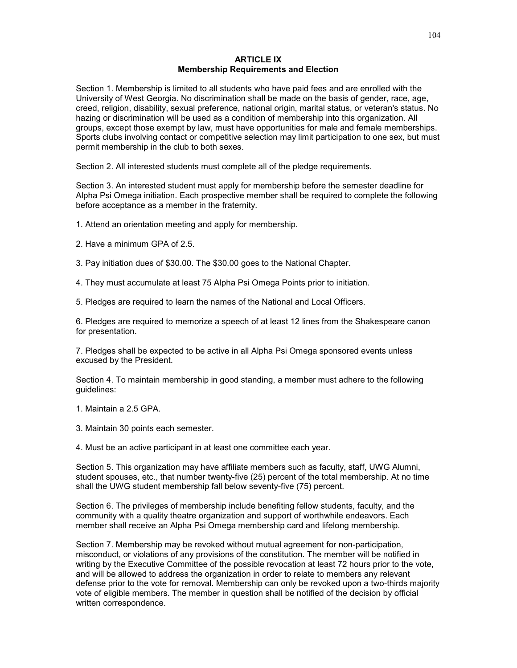#### **ARTICLE IX Membership Requirements and Election**

Section 1. Membership is limited to all students who have paid fees and are enrolled with the University of West Georgia. No discrimination shall be made on the basis of gender, race, age, creed, religion, disability, sexual preference, national origin, marital status, or veteran's status. No hazing or discrimination will be used as a condition of membership into this organization. All groups, except those exempt by law, must have opportunities for male and female memberships. Sports clubs involving contact or competitive selection may limit participation to one sex, but must permit membership in the club to both sexes.

Section 2. All interested students must complete all of the pledge requirements.

Section 3. An interested student must apply for membership before the semester deadline for Alpha Psi Omega initiation. Each prospective member shall be required to complete the following before acceptance as a member in the fraternity.

1. Attend an orientation meeting and apply for membership.

2. Have a minimum GPA of 2.5.

3. Pay initiation dues of \$30.00. The \$30.00 goes to the National Chapter.

4. They must accumulate at least 75 Alpha Psi Omega Points prior to initiation.

5. Pledges are required to learn the names of the National and Local Officers.

6. Pledges are required to memorize a speech of at least 12 lines from the Shakespeare canon for presentation.

7. Pledges shall be expected to be active in all Alpha Psi Omega sponsored events unless excused by the President.

Section 4. To maintain membership in good standing, a member must adhere to the following guidelines:

1. Maintain a 2.5 GPA.

3. Maintain 30 points each semester.

4. Must be an active participant in at least one committee each year.

Section 5. This organization may have affiliate members such as faculty, staff, UWG Alumni, student spouses, etc., that number twenty-five (25) percent of the total membership. At no time shall the UWG student membership fall below seventy-five (75) percent.

Section 6. The privileges of membership include benefiting fellow students, faculty, and the community with a quality theatre organization and support of worthwhile endeavors. Each member shall receive an Alpha Psi Omega membership card and lifelong membership.

Section 7. Membership may be revoked without mutual agreement for non-participation, misconduct, or violations of any provisions of the constitution. The member will be notified in writing by the Executive Committee of the possible revocation at least 72 hours prior to the vote, and will be allowed to address the organization in order to relate to members any relevant defense prior to the vote for removal. Membership can only be revoked upon a two-thirds majority vote of eligible members. The member in question shall be notified of the decision by official written correspondence.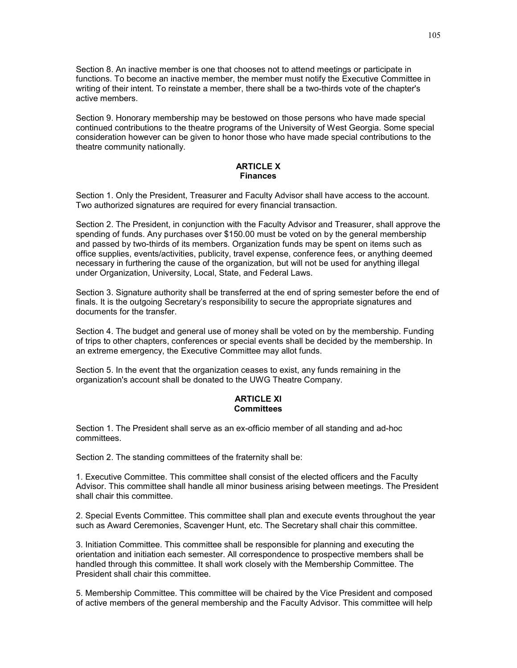Section 8. An inactive member is one that chooses not to attend meetings or participate in functions. To become an inactive member, the member must notify the Executive Committee in writing of their intent. To reinstate a member, there shall be a two-thirds vote of the chapter's active members.

Section 9. Honorary membership may be bestowed on those persons who have made special continued contributions to the theatre programs of the University of West Georgia. Some special consideration however can be given to honor those who have made special contributions to the theatre community nationally.

#### **ARTICLE X Finances**

Section 1. Only the President, Treasurer and Faculty Advisor shall have access to the account. Two authorized signatures are required for every financial transaction.

Section 2. The President, in conjunction with the Faculty Advisor and Treasurer, shall approve the spending of funds. Any purchases over \$150.00 must be voted on by the general membership and passed by two-thirds of its members. Organization funds may be spent on items such as office supplies, events/activities, publicity, travel expense, conference fees, or anything deemed necessary in furthering the cause of the organization, but will not be used for anything illegal under Organization, University, Local, State, and Federal Laws.

Section 3. Signature authority shall be transferred at the end of spring semester before the end of finals. It is the outgoing Secretary's responsibility to secure the appropriate signatures and documents for the transfer.

Section 4. The budget and general use of money shall be voted on by the membership. Funding of trips to other chapters, conferences or special events shall be decided by the membership. In an extreme emergency, the Executive Committee may allot funds.

Section 5. In the event that the organization ceases to exist, any funds remaining in the organization's account shall be donated to the UWG Theatre Company.

### **ARTICLE XI Committees**

Section 1. The President shall serve as an ex-officio member of all standing and ad-hoc committees.

Section 2. The standing committees of the fraternity shall be:

1. Executive Committee. This committee shall consist of the elected officers and the Faculty Advisor. This committee shall handle all minor business arising between meetings. The President shall chair this committee.

2. Special Events Committee. This committee shall plan and execute events throughout the year such as Award Ceremonies, Scavenger Hunt, etc. The Secretary shall chair this committee.

3. Initiation Committee. This committee shall be responsible for planning and executing the orientation and initiation each semester. All correspondence to prospective members shall be handled through this committee. It shall work closely with the Membership Committee. The President shall chair this committee.

5. Membership Committee. This committee will be chaired by the Vice President and composed of active members of the general membership and the Faculty Advisor. This committee will help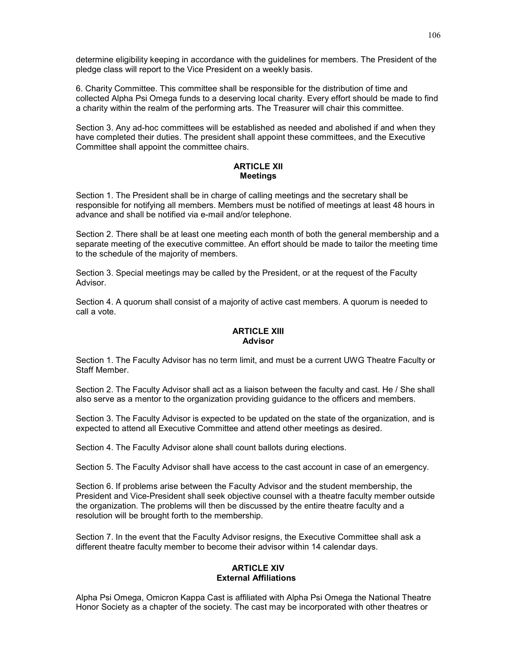determine eligibility keeping in accordance with the guidelines for members. The President of the pledge class will report to the Vice President on a weekly basis.

6. Charity Committee. This committee shall be responsible for the distribution of time and collected Alpha Psi Omega funds to a deserving local charity. Every effort should be made to find a charity within the realm of the performing arts. The Treasurer will chair this committee.

Section 3. Any ad-hoc committees will be established as needed and abolished if and when they have completed their duties. The president shall appoint these committees, and the Executive Committee shall appoint the committee chairs.

### **ARTICLE XII Meetings**

Section 1. The President shall be in charge of calling meetings and the secretary shall be responsible for notifying all members. Members must be notified of meetings at least 48 hours in advance and shall be notified via e-mail and/or telephone.

Section 2. There shall be at least one meeting each month of both the general membership and a separate meeting of the executive committee. An effort should be made to tailor the meeting time to the schedule of the majority of members.

Section 3. Special meetings may be called by the President, or at the request of the Faculty Advisor.

Section 4. A quorum shall consist of a majority of active cast members. A quorum is needed to call a vote.

#### **ARTICLE XIII Advisor**

Section 1. The Faculty Advisor has no term limit, and must be a current UWG Theatre Faculty or Staff Member.

Section 2. The Faculty Advisor shall act as a liaison between the faculty and cast. He / She shall also serve as a mentor to the organization providing guidance to the officers and members.

Section 3. The Faculty Advisor is expected to be updated on the state of the organization, and is expected to attend all Executive Committee and attend other meetings as desired.

Section 4. The Faculty Advisor alone shall count ballots during elections.

Section 5. The Faculty Advisor shall have access to the cast account in case of an emergency.

Section 6. If problems arise between the Faculty Advisor and the student membership, the President and Vice-President shall seek objective counsel with a theatre faculty member outside the organization. The problems will then be discussed by the entire theatre faculty and a resolution will be brought forth to the membership.

Section 7. In the event that the Faculty Advisor resigns, the Executive Committee shall ask a different theatre faculty member to become their advisor within 14 calendar days.

### **ARTICLE XIV External Affiliations**

Alpha Psi Omega, Omicron Kappa Cast is affiliated with Alpha Psi Omega the National Theatre Honor Society as a chapter of the society. The cast may be incorporated with other theatres or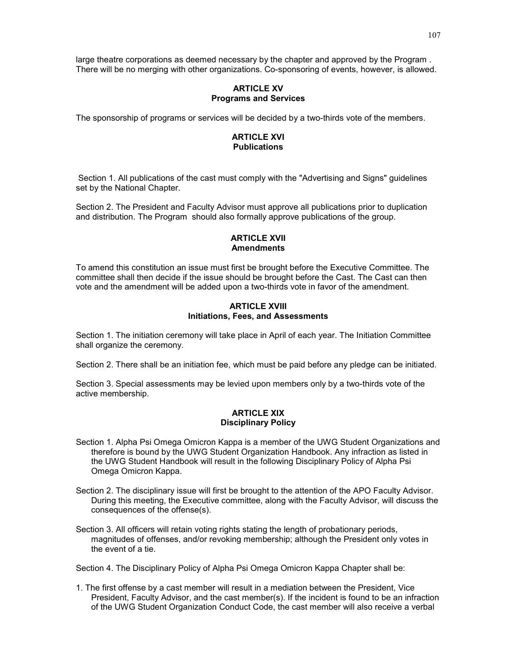large theatre corporations as deemed necessary by the chapter and approved by the Program . There will be no merging with other organizations. Co-sponsoring of events, however, is allowed.

### **ARTICLE XV Programs and Services**

The sponsorship of programs or services will be decided by a two-thirds vote of the members.

# **ARTICLE XVI Publications**

Section 1. All publications of the cast must comply with the "Advertising and Signs" guidelines set by the National Chapter.

Section 2. The President and Faculty Advisor must approve all publications prior to duplication and distribution. The Program should also formally approve publications of the group.

### **ARTICLE XVII Amendments**

To amend this constitution an issue must first be brought before the Executive Committee. The committee shall then decide if the issue should be brought before the Cast. The Cast can then vote and the amendment will be added upon a two-thirds vote in favor of the amendment.

# **ARTICLE XVIII Initiations, Fees, and Assessments**

Section 1. The initiation ceremony will take place in April of each year. The Initiation Committee shall organize the ceremony.

Section 2. There shall be an initiation fee, which must be paid before any pledge can be initiated.

Section 3. Special assessments may be levied upon members only by a two-thirds vote of the active membership.

### **ARTICLE XIX Disciplinary Policy**

- Section 1. Alpha Psi Omega Omicron Kappa is a member of the UWG Student Organizations and therefore is bound by the UWG Student Organization Handbook. Any infraction as listed in the UWG Student Handbook will result in the following Disciplinary Policy of Alpha Psi Omega Omicron Kappa.
- Section 2. The disciplinary issue will first be brought to the attention of the APO Faculty Advisor. During this meeting, the Executive committee, along with the Faculty Advisor, will discuss the consequences of the offense(s).
- Section 3. All officers will retain voting rights stating the length of probationary periods, magnitudes of offenses, and/or revoking membership; although the President only votes in the event of a tie.

Section 4. The Disciplinary Policy of Alpha Psi Omega Omicron Kappa Chapter shall be:

1. The first offense by a cast member will result in a mediation between the President, Vice President, Faculty Advisor, and the cast member(s). If the incident is found to be an infraction of the UWG Student Organization Conduct Code, the cast member will also receive a verbal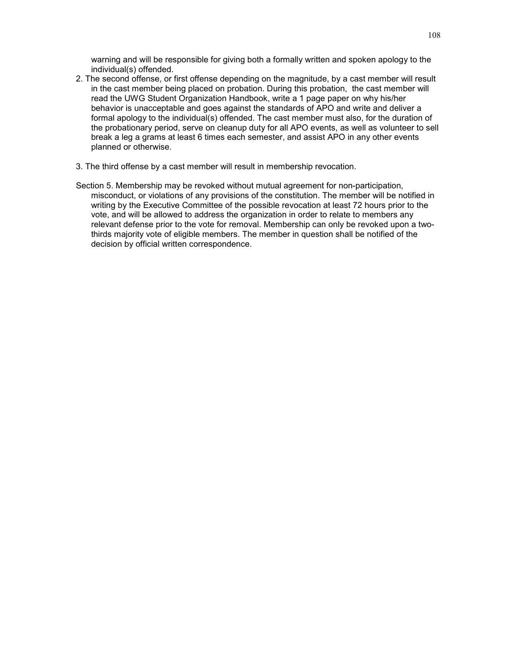warning and will be responsible for giving both a formally written and spoken apology to the individual(s) offended.

- 2. The second offense, or first offense depending on the magnitude, by a cast member will result in the cast member being placed on probation. During this probation, the cast member will read the UWG Student Organization Handbook, write a 1 page paper on why his/her behavior is unacceptable and goes against the standards of APO and write and deliver a formal apology to the individual(s) offended. The cast member must also, for the duration of the probationary period, serve on cleanup duty for all APO events, as well as volunteer to sell break a leg a grams at least 6 times each semester, and assist APO in any other events planned or otherwise.
- 3. The third offense by a cast member will result in membership revocation.
- Section 5. Membership may be revoked without mutual agreement for non-participation, misconduct, or violations of any provisions of the constitution. The member will be notified in writing by the Executive Committee of the possible revocation at least 72 hours prior to the vote, and will be allowed to address the organization in order to relate to members any relevant defense prior to the vote for removal. Membership can only be revoked upon a twothirds majority vote of eligible members. The member in question shall be notified of the decision by official written correspondence.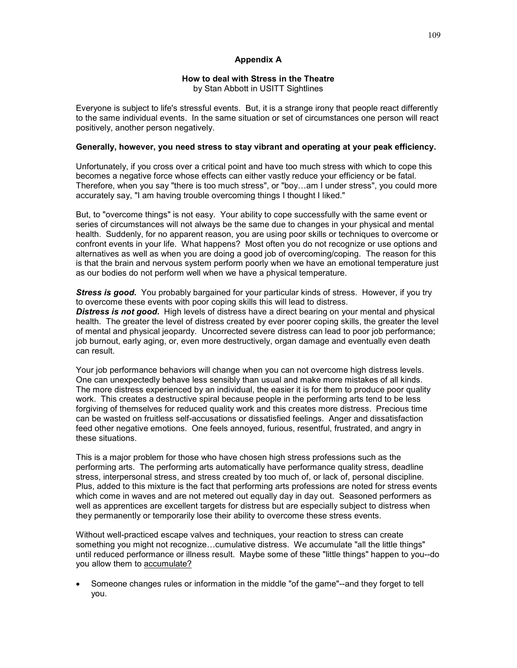### **Appendix A**

#### **How to deal with Stress in the Theatre**

by Stan Abbott in USITT Sightlines

Everyone is subject to life's stressful events. But, it is a strange irony that people react differently to the same individual events. In the same situation or set of circumstances one person will react positively, another person negatively.

#### **Generally, however, you need stress to stay vibrant and operating at your peak efficiency.**

Unfortunately, if you cross over a critical point and have too much stress with which to cope this becomes a negative force whose effects can either vastly reduce your efficiency or be fatal. Therefore, when you say "there is too much stress", or "boy…am I under stress", you could more accurately say, "I am having trouble overcoming things I thought I liked."

But, to "overcome things" is not easy. Your ability to cope successfully with the same event or series of circumstances will not always be the same due to changes in your physical and mental health. Suddenly, for no apparent reason, you are using poor skills or techniques to overcome or confront events in your life. What happens? Most often you do not recognize or use options and alternatives as well as when you are doing a good job of overcoming/coping. The reason for this is that the brain and nervous system perform poorly when we have an emotional temperature just as our bodies do not perform well when we have a physical temperature.

*Stress is good***.** You probably bargained for your particular kinds of stress. However, if you try to overcome these events with poor coping skills this will lead to distress.

*Distress is not good***.** High levels of distress have a direct bearing on your mental and physical health. The greater the level of distress created by ever poorer coping skills, the greater the level of mental and physical jeopardy. Uncorrected severe distress can lead to poor job performance; job burnout, early aging, or, even more destructively, organ damage and eventually even death can result.

Your job performance behaviors will change when you can not overcome high distress levels. One can unexpectedly behave less sensibly than usual and make more mistakes of all kinds. The more distress experienced by an individual, the easier it is for them to produce poor quality work. This creates a destructive spiral because people in the performing arts tend to be less forgiving of themselves for reduced quality work and this creates more distress. Precious time can be wasted on fruitless self-accusations or dissatisfied feelings. Anger and dissatisfaction feed other negative emotions. One feels annoyed, furious, resentful, frustrated, and angry in these situations.

This is a major problem for those who have chosen high stress professions such as the performing arts. The performing arts automatically have performance quality stress, deadline stress, interpersonal stress, and stress created by too much of, or lack of, personal discipline. Plus, added to this mixture is the fact that performing arts professions are noted for stress events which come in waves and are not metered out equally day in day out. Seasoned performers as well as apprentices are excellent targets for distress but are especially subject to distress when they permanently or temporarily lose their ability to overcome these stress events.

Without well-practiced escape valves and techniques, your reaction to stress can create something you might not recognize...cumulative distress. We accumulate "all the little things" until reduced performance or illness result. Maybe some of these "little things" happen to you--do you allow them to accumulate?

• Someone changes rules or information in the middle "of the game"--and they forget to tell you.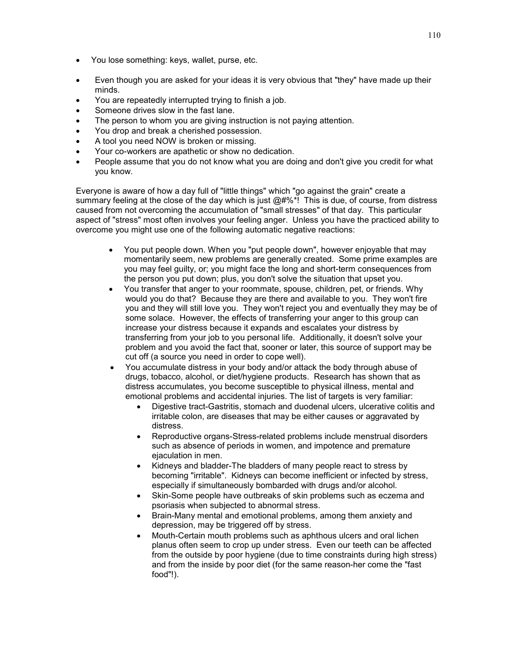- You lose something: keys, wallet, purse, etc.
- Even though you are asked for your ideas it is very obvious that "they" have made up their minds.
- You are repeatedly interrupted trying to finish a job.
- Someone drives slow in the fast lane.
- The person to whom you are giving instruction is not paying attention.
- You drop and break a cherished possession.
- A tool you need NOW is broken or missing.
- Your co-workers are apathetic or show no dedication.
- People assume that you do not know what you are doing and don't give you credit for what you know.

Everyone is aware of how a day full of "little things" which "go against the grain" create a summary feeling at the close of the day which is just  $@4\%*!$  This is due, of course, from distress caused from not overcoming the accumulation of "small stresses" of that day. This particular aspect of "stress" most often involves your feeling anger. Unless you have the practiced ability to overcome you might use one of the following automatic negative reactions:

- You put people down. When you "put people down", however enjoyable that may momentarily seem, new problems are generally created. Some prime examples are you may feel guilty, or; you might face the long and short-term consequences from the person you put down; plus, you don't solve the situation that upset you.
- You transfer that anger to your roommate, spouse, children, pet, or friends. Why would you do that? Because they are there and available to you. They won't fire you and they will still love you. They won't reject you and eventually they may be of some solace. However, the effects of transferring your anger to this group can increase your distress because it expands and escalates your distress by transferring from your job to you personal life. Additionally, it doesn't solve your problem and you avoid the fact that, sooner or later, this source of support may be cut off (a source you need in order to cope well).
- You accumulate distress in your body and/or attack the body through abuse of drugs, tobacco, alcohol, or diet/hygiene products. Research has shown that as distress accumulates, you become susceptible to physical illness, mental and emotional problems and accidental injuries. The list of targets is very familiar:
	- Digestive tract-Gastritis, stomach and duodenal ulcers, ulcerative colitis and irritable colon, are diseases that may be either causes or aggravated by distress.
	- Reproductive organs-Stress-related problems include menstrual disorders such as absence of periods in women, and impotence and premature ejaculation in men.
	- Kidneys and bladder-The bladders of many people react to stress by becoming "irritable". Kidneys can become inefficient or infected by stress, especially if simultaneously bombarded with drugs and/or alcohol.
	- Skin-Some people have outbreaks of skin problems such as eczema and psoriasis when subjected to abnormal stress.
	- Brain-Many mental and emotional problems, among them anxiety and depression, may be triggered off by stress.
	- Mouth-Certain mouth problems such as aphthous ulcers and oral lichen planus often seem to crop up under stress. Even our teeth can be affected from the outside by poor hygiene (due to time constraints during high stress) and from the inside by poor diet (for the same reason-her come the "fast food"!).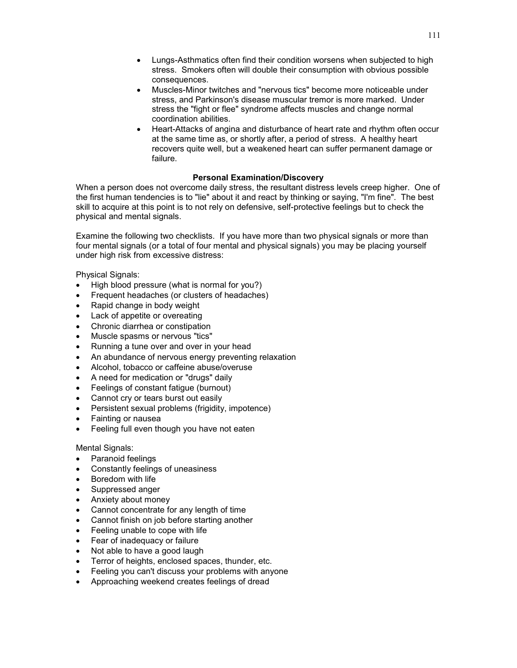- Lungs-Asthmatics often find their condition worsens when subjected to high stress. Smokers often will double their consumption with obvious possible consequences.
- Muscles-Minor twitches and "nervous tics" become more noticeable under stress, and Parkinson's disease muscular tremor is more marked. Under stress the "fight or flee" syndrome affects muscles and change normal coordination abilities.
- Heart-Attacks of angina and disturbance of heart rate and rhythm often occur at the same time as, or shortly after, a period of stress. A healthy heart recovers quite well, but a weakened heart can suffer permanent damage or failure.

# **Personal Examination/Discovery**

When a person does not overcome daily stress, the resultant distress levels creep higher. One of the first human tendencies is to "lie" about it and react by thinking or saying, "I'm fine". The best skill to acquire at this point is to not rely on defensive, self-protective feelings but to check the physical and mental signals.

Examine the following two checklists. If you have more than two physical signals or more than four mental signals (or a total of four mental and physical signals) you may be placing yourself under high risk from excessive distress:

Physical Signals:

- High blood pressure (what is normal for you?)
- Frequent headaches (or clusters of headaches)
- Rapid change in body weight
- Lack of appetite or overeating
- Chronic diarrhea or constipation
- Muscle spasms or nervous "tics"
- Running a tune over and over in your head
- An abundance of nervous energy preventing relaxation
- Alcohol, tobacco or caffeine abuse/overuse
- A need for medication or "drugs" daily
- Feelings of constant fatigue (burnout)
- Cannot cry or tears burst out easily
- Persistent sexual problems (frigidity, impotence)
- Fainting or nausea
- Feeling full even though you have not eaten

Mental Signals:

- Paranoid feelings
- Constantly feelings of uneasiness
- Boredom with life
- Suppressed anger
- Anxiety about money
- Cannot concentrate for any length of time
- Cannot finish on job before starting another
- Feeling unable to cope with life
- Fear of inadequacy or failure
- Not able to have a good laugh
- Terror of heights, enclosed spaces, thunder, etc.
- Feeling you can't discuss your problems with anyone
- Approaching weekend creates feelings of dread